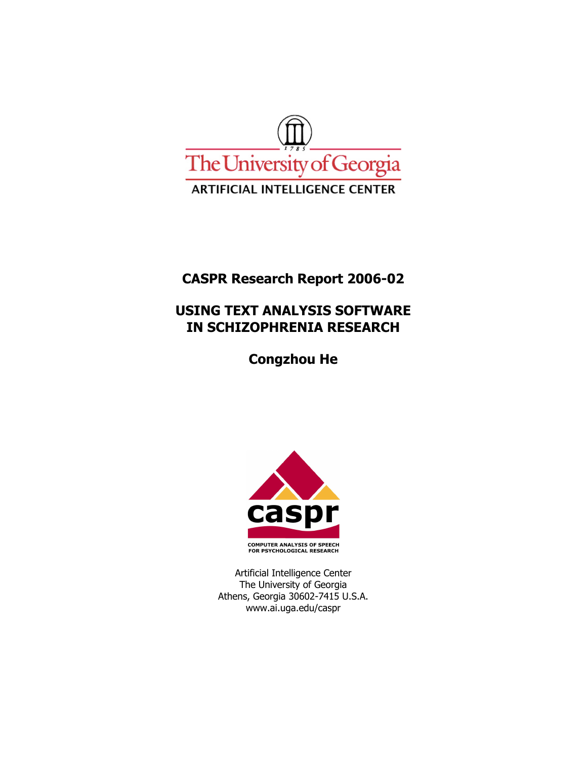

# **CASPR Research Report 2006-02**

# **USING TEXT ANALYSIS SOFTWARE IN SCHIZOPHRENIA RESEARCH**

**Congzhou He** 



Artificial Intelligence Center The University of Georgia Athens, Georgia 30602-7415 U.S.A. www.ai.uga.edu/caspr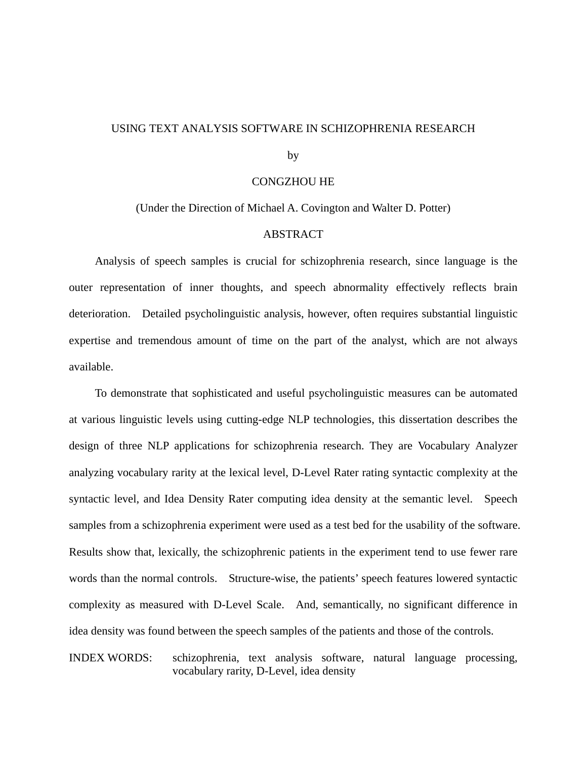### USING TEXT ANALYSIS SOFTWARE IN SCHIZOPHRENIA RESEARCH

by

#### CONGZHOU HE

(Under the Direction of Michael A. Covington and Walter D. Potter)

#### ABSTRACT

Analysis of speech samples is crucial for schizophrenia research, since language is the outer representation of inner thoughts, and speech abnormality effectively reflects brain deterioration. Detailed psycholinguistic analysis, however, often requires substantial linguistic expertise and tremendous amount of time on the part of the analyst, which are not always available.

To demonstrate that sophisticated and useful psycholinguistic measures can be automated at various linguistic levels using cutting-edge NLP technologies, this dissertation describes the design of three NLP applications for schizophrenia research. They are Vocabulary Analyzer analyzing vocabulary rarity at the lexical level, D-Level Rater rating syntactic complexity at the syntactic level, and Idea Density Rater computing idea density at the semantic level. Speech samples from a schizophrenia experiment were used as a test bed for the usability of the software. Results show that, lexically, the schizophrenic patients in the experiment tend to use fewer rare words than the normal controls. Structure-wise, the patients' speech features lowered syntactic complexity as measured with D-Level Scale. And, semantically, no significant difference in idea density was found between the speech samples of the patients and those of the controls.

INDEX WORDS: schizophrenia, text analysis software, natural language processing, vocabulary rarity, D-Level, idea density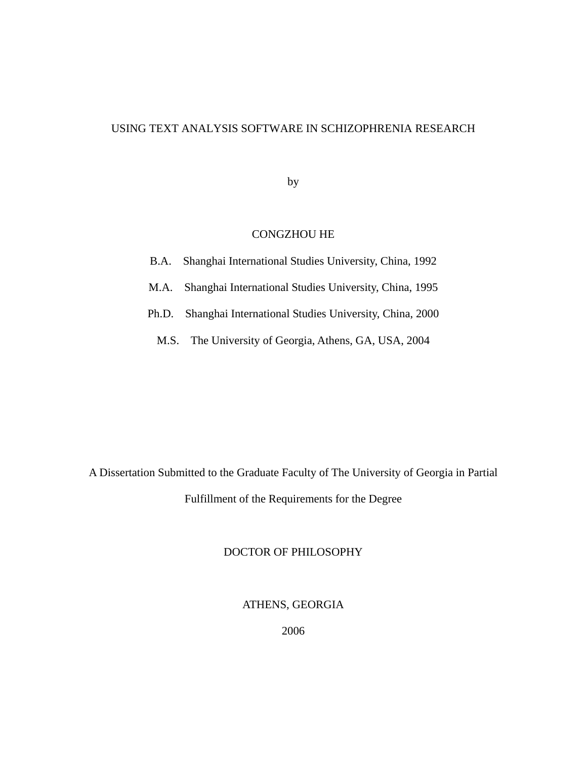## USING TEXT ANALYSIS SOFTWARE IN SCHIZOPHRENIA RESEARCH

by

### CONGZHOU HE

|  | B.A. Shanghai International Studies University, China, 1992 |  |  |
|--|-------------------------------------------------------------|--|--|
|  |                                                             |  |  |

M.A. Shanghai International Studies University, China, 1995

Ph.D. Shanghai International Studies University, China, 2000

M.S. The University of Georgia, Athens, GA, USA, 2004

A Dissertation Submitted to the Graduate Faculty of The University of Georgia in Partial Fulfillment of the Requirements for the Degree

### DOCTOR OF PHILOSOPHY

ATHENS, GEORGIA

2006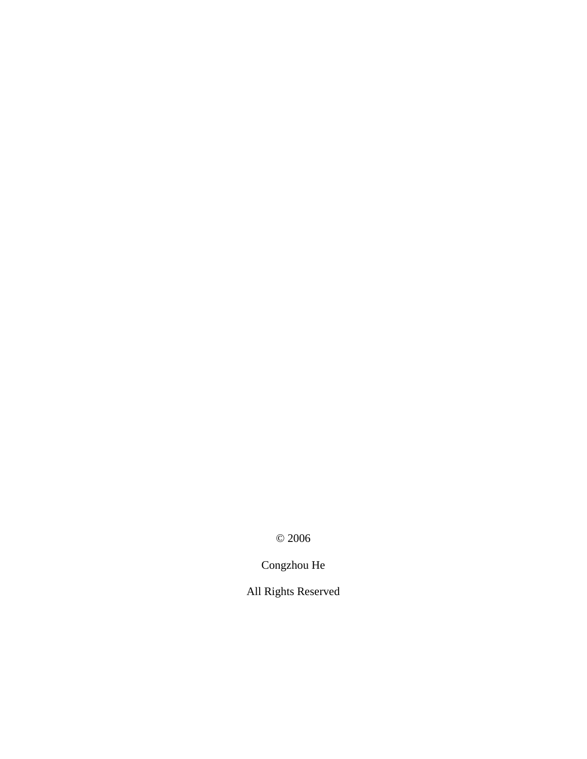© 2006

Congzhou He

All Rights Reserved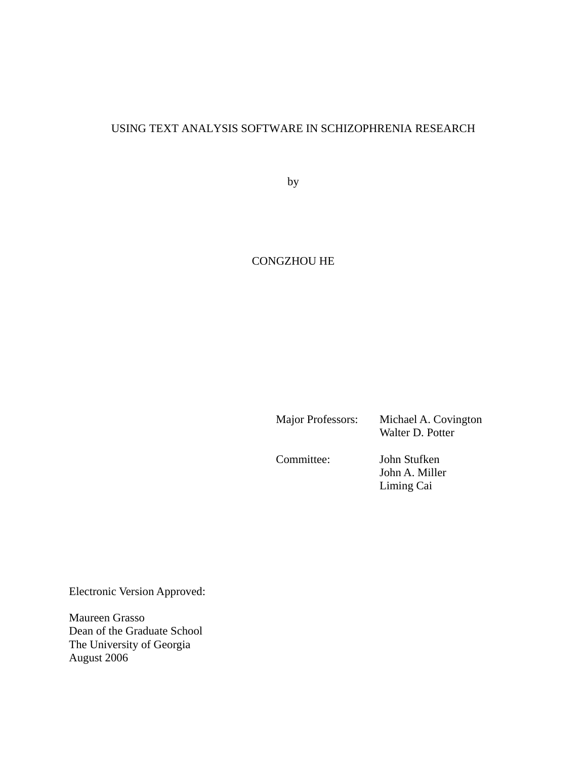# USING TEXT ANALYSIS SOFTWARE IN SCHIZOPHRENIA RESEARCH

by

# CONGZHOU HE

Major Professors: Michael A. Covington

Walter D. Potter

Committee: John Stufken

John A. Miller Liming Cai

Electronic Version Approved:

Maureen Grasso Dean of the Graduate School The University of Georgia August 2006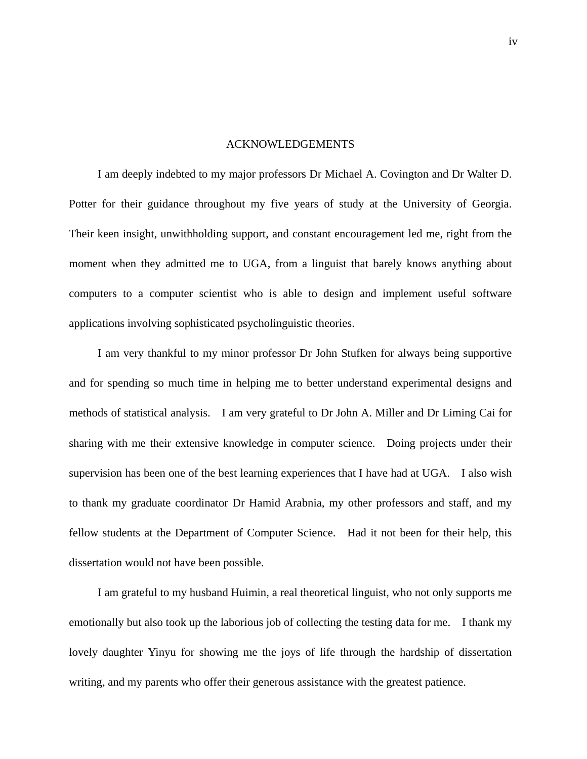#### ACKNOWLEDGEMENTS

I am deeply indebted to my major professors Dr Michael A. Covington and Dr Walter D. Potter for their guidance throughout my five years of study at the University of Georgia. Their keen insight, unwithholding support, and constant encouragement led me, right from the moment when they admitted me to UGA, from a linguist that barely knows anything about computers to a computer scientist who is able to design and implement useful software applications involving sophisticated psycholinguistic theories.

I am very thankful to my minor professor Dr John Stufken for always being supportive and for spending so much time in helping me to better understand experimental designs and methods of statistical analysis. I am very grateful to Dr John A. Miller and Dr Liming Cai for sharing with me their extensive knowledge in computer science. Doing projects under their supervision has been one of the best learning experiences that I have had at UGA. I also wish to thank my graduate coordinator Dr Hamid Arabnia, my other professors and staff, and my fellow students at the Department of Computer Science. Had it not been for their help, this dissertation would not have been possible.

I am grateful to my husband Huimin, a real theoretical linguist, who not only supports me emotionally but also took up the laborious job of collecting the testing data for me. I thank my lovely daughter Yinyu for showing me the joys of life through the hardship of dissertation writing, and my parents who offer their generous assistance with the greatest patience.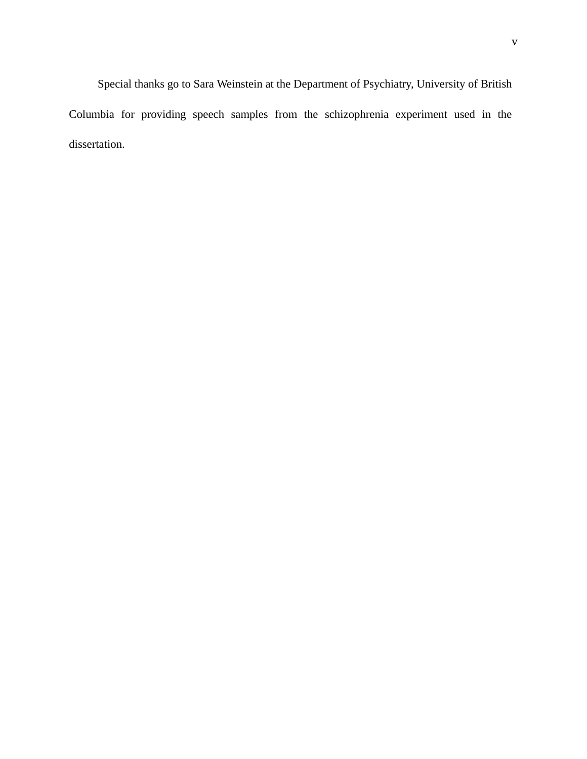Special thanks go to Sara Weinstein at the Department of Psychiatry, University of British Columbia for providing speech samples from the schizophrenia experiment used in the dissertation.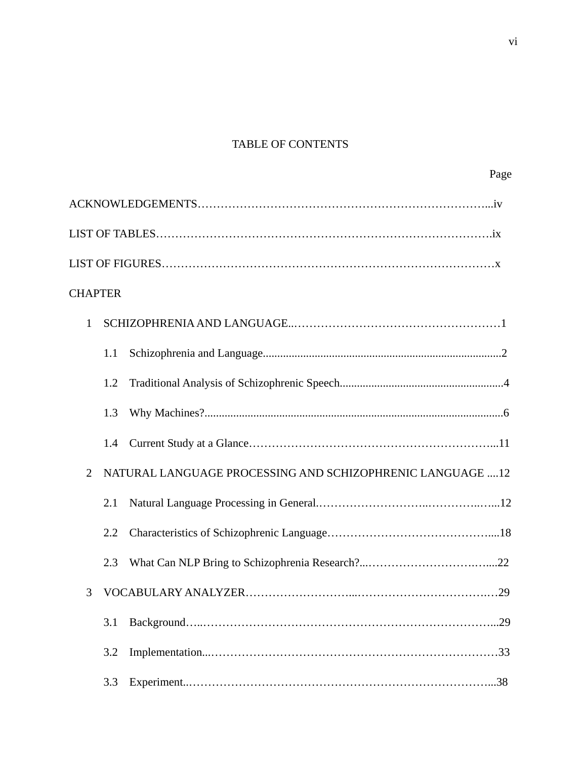# TABLE OF CONTENTS

Page

| <b>CHAPTER</b> |     |                                                            |
|----------------|-----|------------------------------------------------------------|
| $\mathbf{1}$   |     |                                                            |
|                | 1.1 |                                                            |
|                | 1.2 |                                                            |
|                | 1.3 |                                                            |
|                | 1.4 |                                                            |
| 2              |     | NATURAL LANGUAGE PROCESSING AND SCHIZOPHRENIC LANGUAGE  12 |
|                | 2.1 |                                                            |
|                | 2.2 |                                                            |
|                | 2.3 |                                                            |
| 3              |     |                                                            |
|                | 3.1 |                                                            |
|                | 3.2 |                                                            |
|                | 3.3 |                                                            |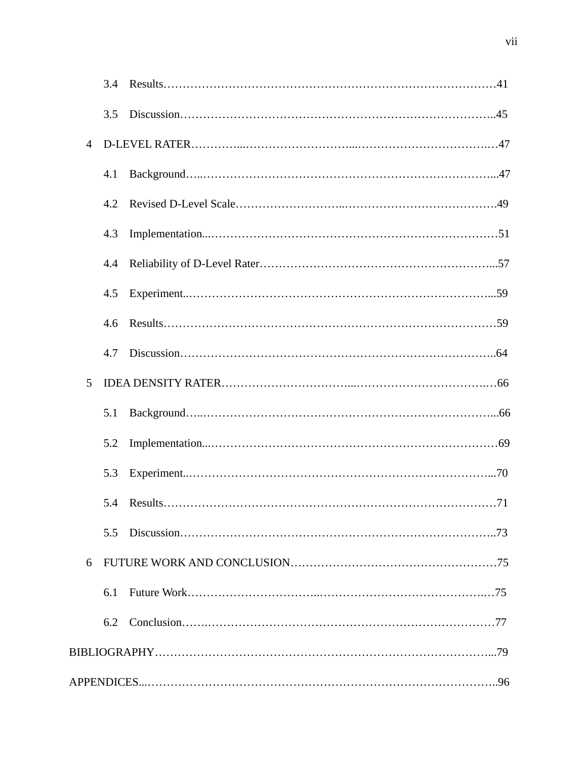|                | 3.5           |     |
|----------------|---------------|-----|
| $\overline{4}$ |               |     |
|                | 4.1           |     |
|                | 4.2           |     |
|                | 4.3           |     |
|                | 4.4           |     |
|                | 4.5           |     |
|                | $4.6^{\circ}$ |     |
|                | 4.7           |     |
| 5              |               |     |
|                | 5.1           |     |
|                | 5.2           |     |
|                | 5.3           |     |
|                |               | .71 |
|                | 5.5           |     |
| 6              |               |     |
|                | 6.1           |     |
|                | 6.2           |     |
|                |               |     |
|                |               |     |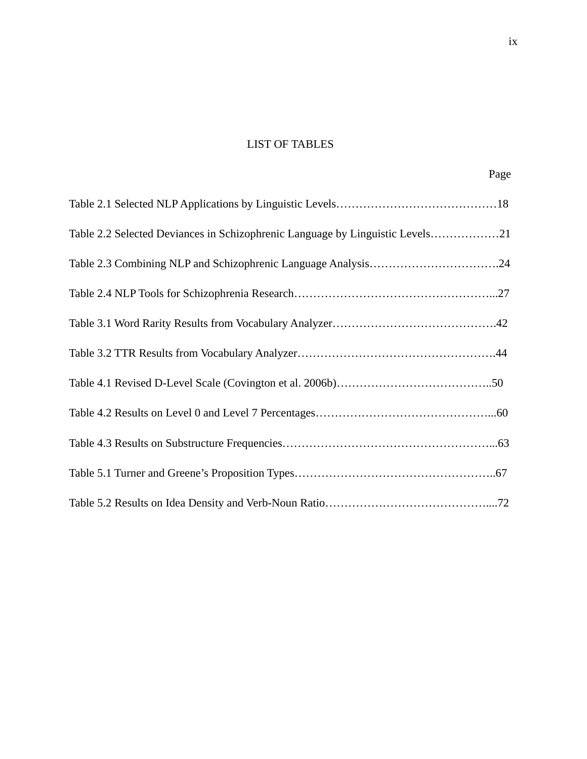# LIST OF TABLES

ix

|  |  | Page |
|--|--|------|
|  |  |      |

| Table 2.2 Selected Deviances in Schizophrenic Language by Linguistic Levels21 |
|-------------------------------------------------------------------------------|
| Table 2.3 Combining NLP and Schizophrenic Language Analysis24                 |
|                                                                               |
|                                                                               |
|                                                                               |
|                                                                               |
|                                                                               |
|                                                                               |
|                                                                               |
|                                                                               |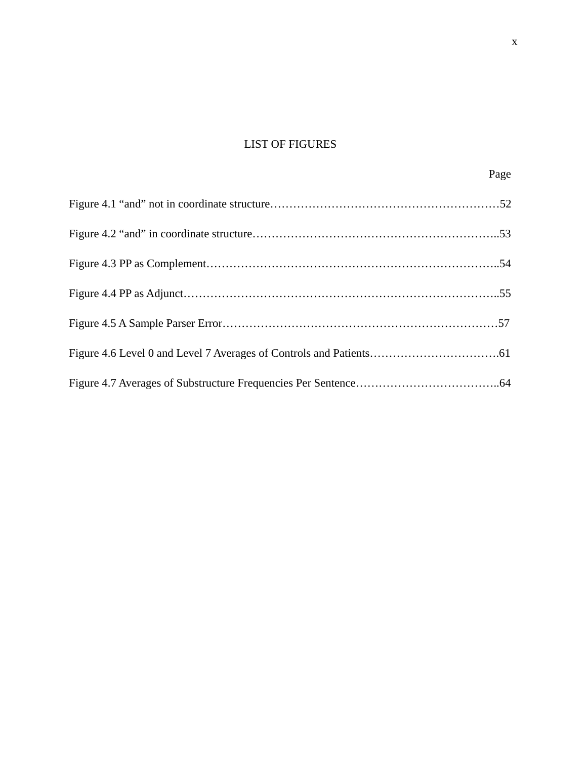# LIST OF FIGURES

x

#### Page **Page**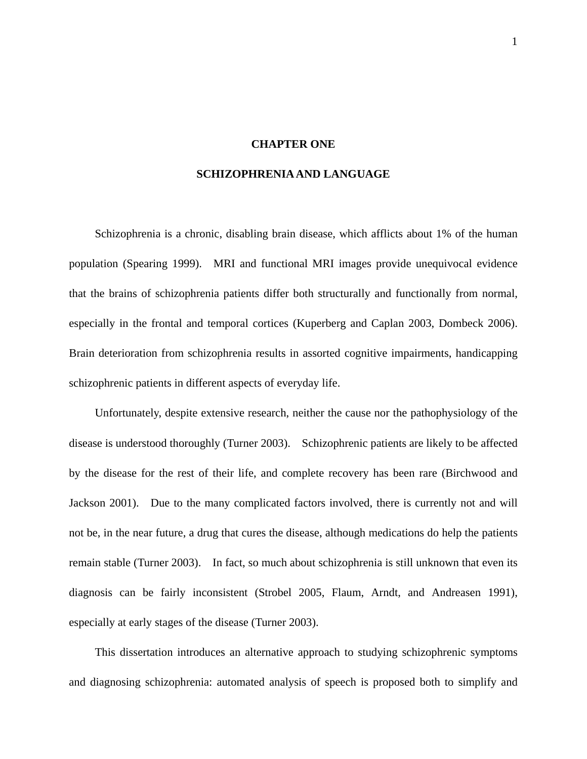#### **CHAPTER ONE**

#### **SCHIZOPHRENIA AND LANGUAGE**

Schizophrenia is a chronic, disabling brain disease, which afflicts about 1% of the human population (Spearing 1999). MRI and functional MRI images provide unequivocal evidence that the brains of schizophrenia patients differ both structurally and functionally from normal, especially in the frontal and temporal cortices (Kuperberg and Caplan 2003, Dombeck 2006). Brain deterioration from schizophrenia results in assorted cognitive impairments, handicapping schizophrenic patients in different aspects of everyday life.

Unfortunately, despite extensive research, neither the cause nor the pathophysiology of the disease is understood thoroughly (Turner 2003). Schizophrenic patients are likely to be affected by the disease for the rest of their life, and complete recovery has been rare (Birchwood and Jackson 2001). Due to the many complicated factors involved, there is currently not and will not be, in the near future, a drug that cures the disease, although medications do help the patients remain stable (Turner 2003). In fact, so much about schizophrenia is still unknown that even its diagnosis can be fairly inconsistent (Strobel 2005, Flaum, Arndt, and Andreasen 1991), especially at early stages of the disease (Turner 2003).

This dissertation introduces an alternative approach to studying schizophrenic symptoms and diagnosing schizophrenia: automated analysis of speech is proposed both to simplify and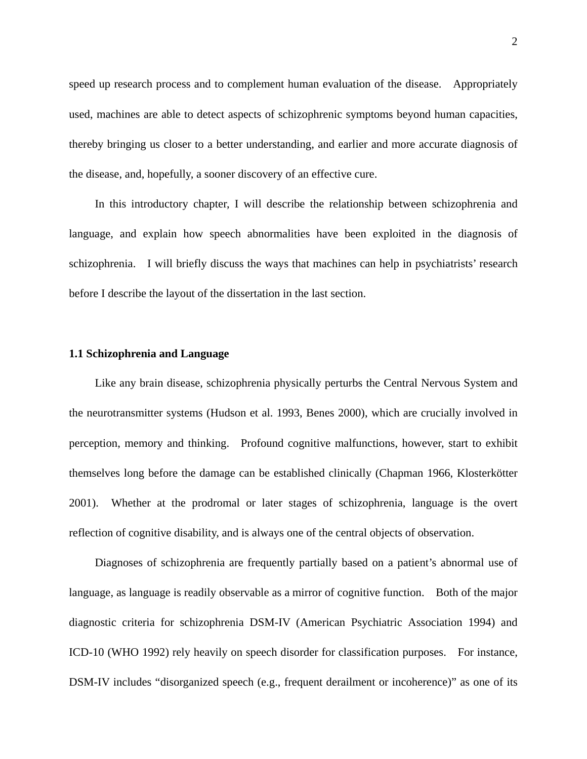speed up research process and to complement human evaluation of the disease. Appropriately used, machines are able to detect aspects of schizophrenic symptoms beyond human capacities, thereby bringing us closer to a better understanding, and earlier and more accurate diagnosis of the disease, and, hopefully, a sooner discovery of an effective cure.

In this introductory chapter, I will describe the relationship between schizophrenia and language, and explain how speech abnormalities have been exploited in the diagnosis of schizophrenia. I will briefly discuss the ways that machines can help in psychiatrists' research before I describe the layout of the dissertation in the last section.

### **1.1 Schizophrenia and Language**

Like any brain disease, schizophrenia physically perturbs the Central Nervous System and the neurotransmitter systems (Hudson et al. 1993, Benes 2000), which are crucially involved in perception, memory and thinking. Profound cognitive malfunctions, however, start to exhibit themselves long before the damage can be established clinically (Chapman 1966, Klosterkötter 2001). Whether at the prodromal or later stages of schizophrenia, language is the overt reflection of cognitive disability, and is always one of the central objects of observation.

Diagnoses of schizophrenia are frequently partially based on a patient's abnormal use of language, as language is readily observable as a mirror of cognitive function. Both of the major diagnostic criteria for schizophrenia DSM-IV (American Psychiatric Association 1994) and ICD-10 (WHO 1992) rely heavily on speech disorder for classification purposes. For instance, DSM-IV includes "disorganized speech (e.g., frequent derailment or incoherence)" as one of its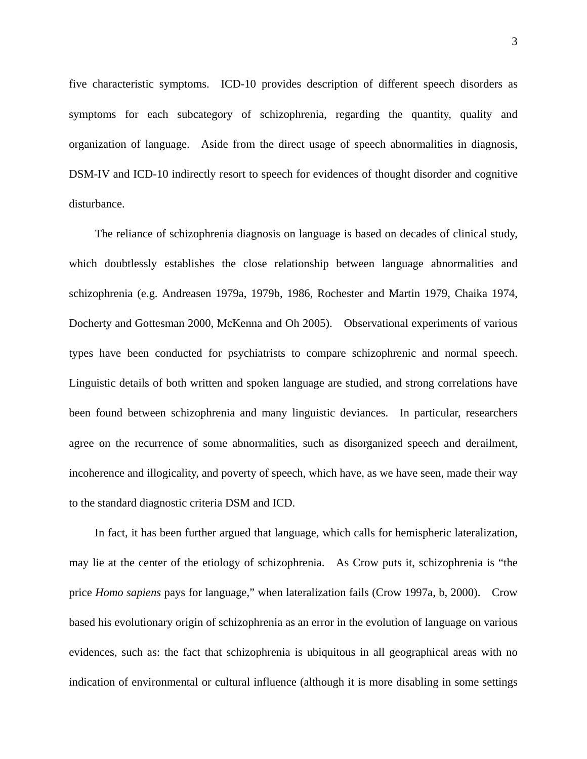five characteristic symptoms. ICD-10 provides description of different speech disorders as symptoms for each subcategory of schizophrenia, regarding the quantity, quality and organization of language. Aside from the direct usage of speech abnormalities in diagnosis, DSM-IV and ICD-10 indirectly resort to speech for evidences of thought disorder and cognitive disturbance.

The reliance of schizophrenia diagnosis on language is based on decades of clinical study, which doubtlessly establishes the close relationship between language abnormalities and schizophrenia (e.g. Andreasen 1979a, 1979b, 1986, Rochester and Martin 1979, Chaika 1974, Docherty and Gottesman 2000, McKenna and Oh 2005). Observational experiments of various types have been conducted for psychiatrists to compare schizophrenic and normal speech. Linguistic details of both written and spoken language are studied, and strong correlations have been found between schizophrenia and many linguistic deviances. In particular, researchers agree on the recurrence of some abnormalities, such as disorganized speech and derailment, incoherence and illogicality, and poverty of speech, which have, as we have seen, made their way to the standard diagnostic criteria DSM and ICD.

In fact, it has been further argued that language, which calls for hemispheric lateralization, may lie at the center of the etiology of schizophrenia. As Crow puts it, schizophrenia is "the price *Homo sapiens* pays for language," when lateralization fails (Crow 1997a, b, 2000). Crow based his evolutionary origin of schizophrenia as an error in the evolution of language on various evidences, such as: the fact that schizophrenia is ubiquitous in all geographical areas with no indication of environmental or cultural influence (although it is more disabling in some settings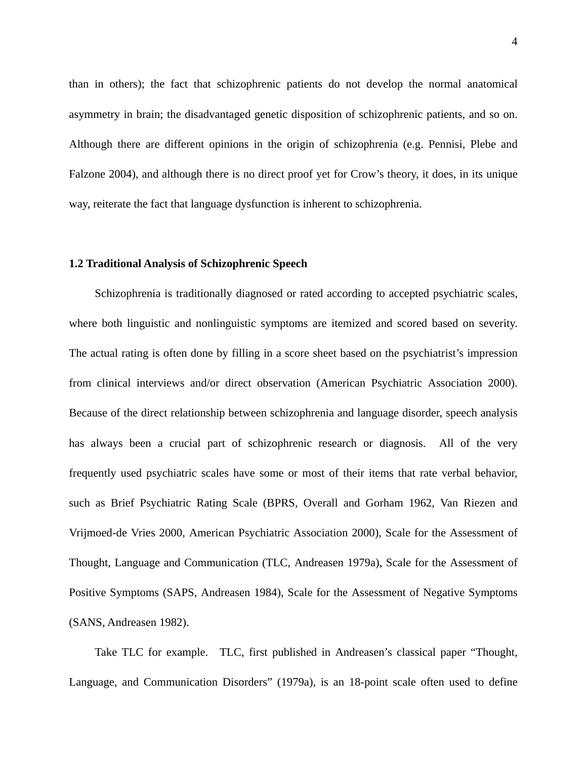than in others); the fact that schizophrenic patients do not develop the normal anatomical asymmetry in brain; the disadvantaged genetic disposition of schizophrenic patients, and so on. Although there are different opinions in the origin of schizophrenia (e.g. Pennisi, Plebe and Falzone 2004), and although there is no direct proof yet for Crow's theory, it does, in its unique way, reiterate the fact that language dysfunction is inherent to schizophrenia.

#### **1.2 Traditional Analysis of Schizophrenic Speech**

Schizophrenia is traditionally diagnosed or rated according to accepted psychiatric scales, where both linguistic and nonlinguistic symptoms are itemized and scored based on severity. The actual rating is often done by filling in a score sheet based on the psychiatrist's impression from clinical interviews and/or direct observation (American Psychiatric Association 2000). Because of the direct relationship between schizophrenia and language disorder, speech analysis has always been a crucial part of schizophrenic research or diagnosis. All of the very frequently used psychiatric scales have some or most of their items that rate verbal behavior, such as Brief Psychiatric Rating Scale (BPRS, Overall and Gorham 1962, Van Riezen and Vrijmoed-de Vries 2000, American Psychiatric Association 2000), Scale for the Assessment of Thought, Language and Communication (TLC, Andreasen 1979a), Scale for the Assessment of Positive Symptoms (SAPS, Andreasen 1984), Scale for the Assessment of Negative Symptoms (SANS, Andreasen 1982).

Take TLC for example. TLC, first published in Andreasen's classical paper "Thought, Language, and Communication Disorders" (1979a), is an 18-point scale often used to define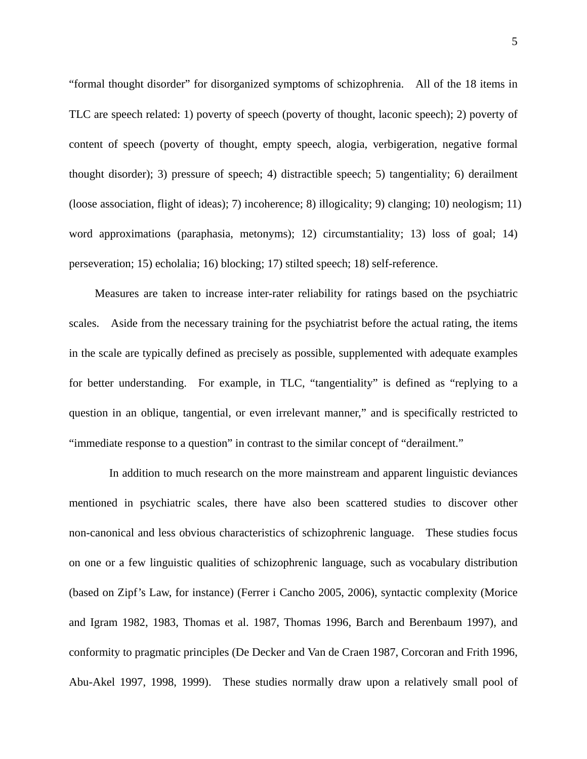"formal thought disorder" for disorganized symptoms of schizophrenia. All of the 18 items in TLC are speech related: 1) poverty of speech (poverty of thought, laconic speech); 2) poverty of content of speech (poverty of thought, empty speech, alogia, verbigeration, negative formal thought disorder); 3) pressure of speech; 4) distractible speech; 5) tangentiality; 6) derailment (loose association, flight of ideas); 7) incoherence; 8) illogicality; 9) clanging; 10) neologism; 11) word approximations (paraphasia, metonyms); 12) circumstantiality; 13) loss of goal; 14) perseveration; 15) echolalia; 16) blocking; 17) stilted speech; 18) self-reference.

Measures are taken to increase inter-rater reliability for ratings based on the psychiatric scales. Aside from the necessary training for the psychiatrist before the actual rating, the items in the scale are typically defined as precisely as possible, supplemented with adequate examples for better understanding. For example, in TLC, "tangentiality" is defined as "replying to a question in an oblique, tangential, or even irrelevant manner," and is specifically restricted to "immediate response to a question" in contrast to the similar concept of "derailment."

In addition to much research on the more mainstream and apparent linguistic deviances mentioned in psychiatric scales, there have also been scattered studies to discover other non-canonical and less obvious characteristics of schizophrenic language. These studies focus on one or a few linguistic qualities of schizophrenic language, such as vocabulary distribution (based on Zipf's Law, for instance) (Ferrer i Cancho 2005, 2006), syntactic complexity (Morice and Igram 1982, 1983, Thomas et al. 1987, Thomas 1996, Barch and Berenbaum 1997), and conformity to pragmatic principles (De Decker and Van de Craen 1987, Corcoran and Frith 1996, Abu-Akel 1997, 1998, 1999). These studies normally draw upon a relatively small pool of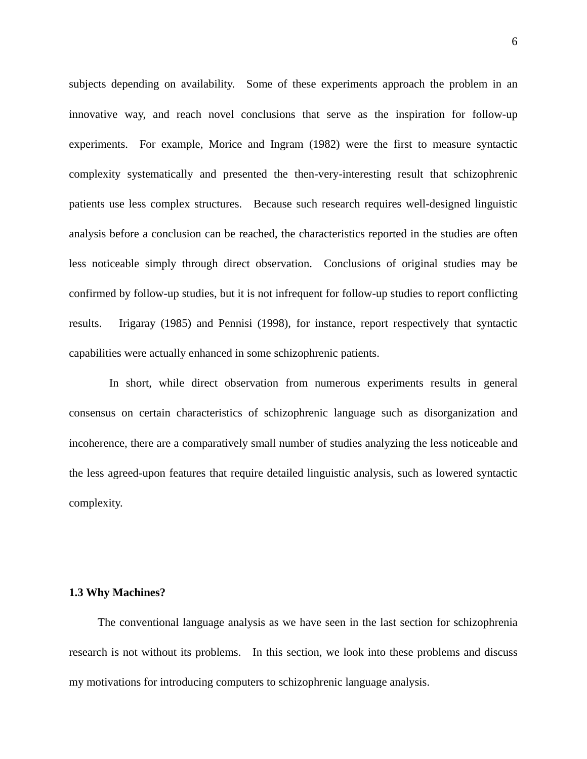subjects depending on availability. Some of these experiments approach the problem in an innovative way, and reach novel conclusions that serve as the inspiration for follow-up experiments. For example, Morice and Ingram (1982) were the first to measure syntactic complexity systematically and presented the then-very-interesting result that schizophrenic patients use less complex structures. Because such research requires well-designed linguistic analysis before a conclusion can be reached, the characteristics reported in the studies are often less noticeable simply through direct observation. Conclusions of original studies may be confirmed by follow-up studies, but it is not infrequent for follow-up studies to report conflicting results. Irigaray (1985) and Pennisi (1998), for instance, report respectively that syntactic capabilities were actually enhanced in some schizophrenic patients.

In short, while direct observation from numerous experiments results in general consensus on certain characteristics of schizophrenic language such as disorganization and incoherence, there are a comparatively small number of studies analyzing the less noticeable and the less agreed-upon features that require detailed linguistic analysis, such as lowered syntactic complexity.

#### **1.3 Why Machines?**

The conventional language analysis as we have seen in the last section for schizophrenia research is not without its problems. In this section, we look into these problems and discuss my motivations for introducing computers to schizophrenic language analysis.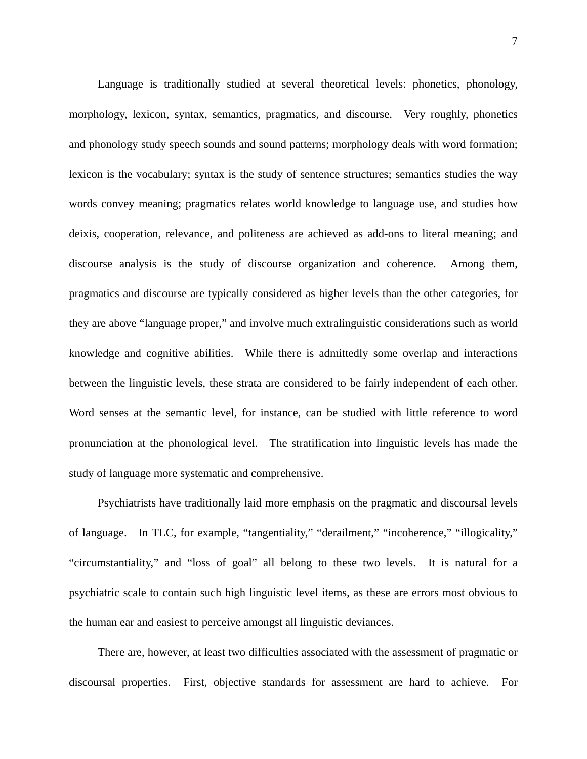Language is traditionally studied at several theoretical levels: phonetics, phonology, morphology, lexicon, syntax, semantics, pragmatics, and discourse. Very roughly, phonetics and phonology study speech sounds and sound patterns; morphology deals with word formation; lexicon is the vocabulary; syntax is the study of sentence structures; semantics studies the way words convey meaning; pragmatics relates world knowledge to language use, and studies how deixis, cooperation, relevance, and politeness are achieved as add-ons to literal meaning; and discourse analysis is the study of discourse organization and coherence. Among them, pragmatics and discourse are typically considered as higher levels than the other categories, for they are above "language proper," and involve much extralinguistic considerations such as world knowledge and cognitive abilities. While there is admittedly some overlap and interactions between the linguistic levels, these strata are considered to be fairly independent of each other. Word senses at the semantic level, for instance, can be studied with little reference to word pronunciation at the phonological level. The stratification into linguistic levels has made the study of language more systematic and comprehensive.

Psychiatrists have traditionally laid more emphasis on the pragmatic and discoursal levels of language. In TLC, for example, "tangentiality," "derailment," "incoherence," "illogicality," "circumstantiality," and "loss of goal" all belong to these two levels. It is natural for a psychiatric scale to contain such high linguistic level items, as these are errors most obvious to the human ear and easiest to perceive amongst all linguistic deviances.

There are, however, at least two difficulties associated with the assessment of pragmatic or discoursal properties. First, objective standards for assessment are hard to achieve. For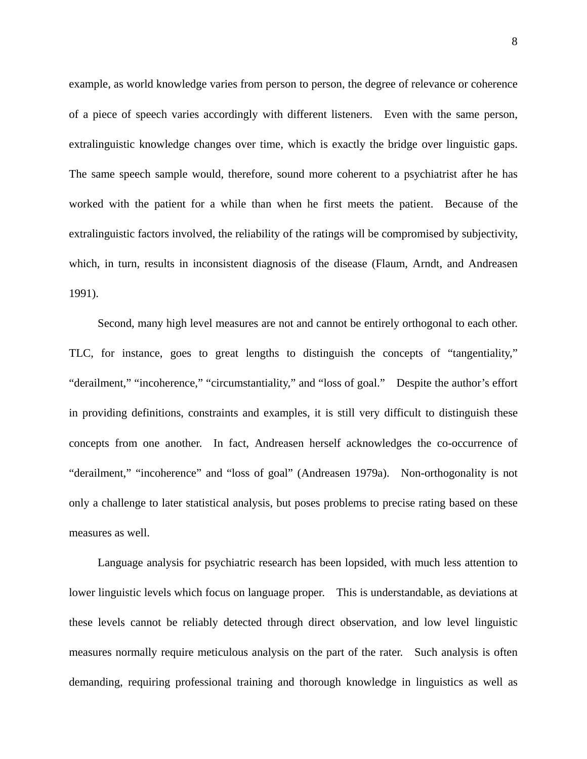example, as world knowledge varies from person to person, the degree of relevance or coherence of a piece of speech varies accordingly with different listeners. Even with the same person, extralinguistic knowledge changes over time, which is exactly the bridge over linguistic gaps. The same speech sample would, therefore, sound more coherent to a psychiatrist after he has worked with the patient for a while than when he first meets the patient. Because of the extralinguistic factors involved, the reliability of the ratings will be compromised by subjectivity, which, in turn, results in inconsistent diagnosis of the disease (Flaum, Arndt, and Andreasen 1991).

Second, many high level measures are not and cannot be entirely orthogonal to each other. TLC, for instance, goes to great lengths to distinguish the concepts of "tangentiality," "derailment," "incoherence," "circumstantiality," and "loss of goal." Despite the author's effort in providing definitions, constraints and examples, it is still very difficult to distinguish these concepts from one another. In fact, Andreasen herself acknowledges the co-occurrence of "derailment," "incoherence" and "loss of goal" (Andreasen 1979a). Non-orthogonality is not only a challenge to later statistical analysis, but poses problems to precise rating based on these measures as well.

Language analysis for psychiatric research has been lopsided, with much less attention to lower linguistic levels which focus on language proper. This is understandable, as deviations at these levels cannot be reliably detected through direct observation, and low level linguistic measures normally require meticulous analysis on the part of the rater. Such analysis is often demanding, requiring professional training and thorough knowledge in linguistics as well as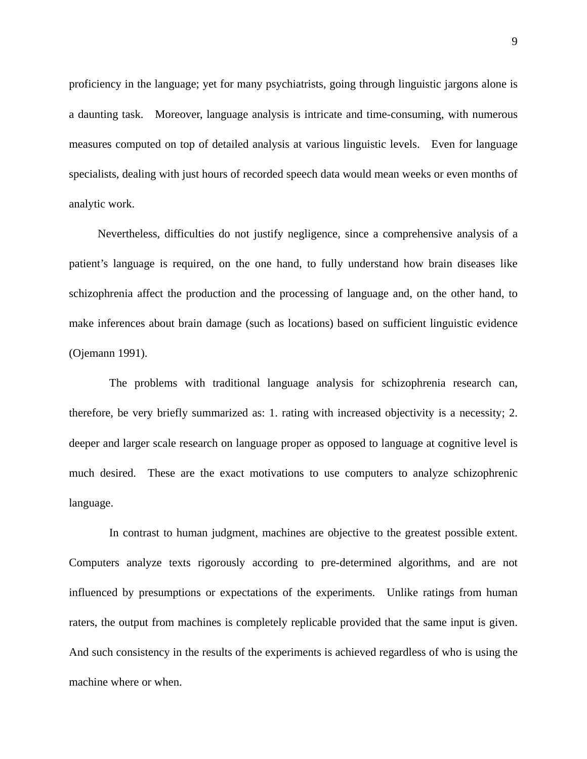proficiency in the language; yet for many psychiatrists, going through linguistic jargons alone is a daunting task. Moreover, language analysis is intricate and time-consuming, with numerous measures computed on top of detailed analysis at various linguistic levels. Even for language specialists, dealing with just hours of recorded speech data would mean weeks or even months of analytic work.

Nevertheless, difficulties do not justify negligence, since a comprehensive analysis of a patient's language is required, on the one hand, to fully understand how brain diseases like schizophrenia affect the production and the processing of language and, on the other hand, to make inferences about brain damage (such as locations) based on sufficient linguistic evidence (Ojemann 1991).

The problems with traditional language analysis for schizophrenia research can, therefore, be very briefly summarized as: 1. rating with increased objectivity is a necessity; 2. deeper and larger scale research on language proper as opposed to language at cognitive level is much desired. These are the exact motivations to use computers to analyze schizophrenic language.

In contrast to human judgment, machines are objective to the greatest possible extent. Computers analyze texts rigorously according to pre-determined algorithms, and are not influenced by presumptions or expectations of the experiments. Unlike ratings from human raters, the output from machines is completely replicable provided that the same input is given. And such consistency in the results of the experiments is achieved regardless of who is using the machine where or when.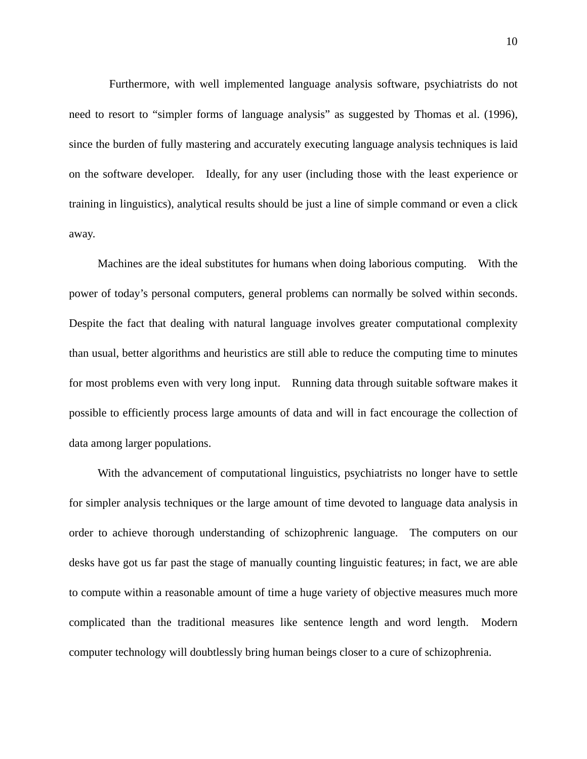Furthermore, with well implemented language analysis software, psychiatrists do not need to resort to "simpler forms of language analysis" as suggested by Thomas et al. (1996), since the burden of fully mastering and accurately executing language analysis techniques is laid on the software developer. Ideally, for any user (including those with the least experience or training in linguistics), analytical results should be just a line of simple command or even a click away.

Machines are the ideal substitutes for humans when doing laborious computing. With the power of today's personal computers, general problems can normally be solved within seconds. Despite the fact that dealing with natural language involves greater computational complexity than usual, better algorithms and heuristics are still able to reduce the computing time to minutes for most problems even with very long input. Running data through suitable software makes it possible to efficiently process large amounts of data and will in fact encourage the collection of data among larger populations.

With the advancement of computational linguistics, psychiatrists no longer have to settle for simpler analysis techniques or the large amount of time devoted to language data analysis in order to achieve thorough understanding of schizophrenic language. The computers on our desks have got us far past the stage of manually counting linguistic features; in fact, we are able to compute within a reasonable amount of time a huge variety of objective measures much more complicated than the traditional measures like sentence length and word length. Modern computer technology will doubtlessly bring human beings closer to a cure of schizophrenia.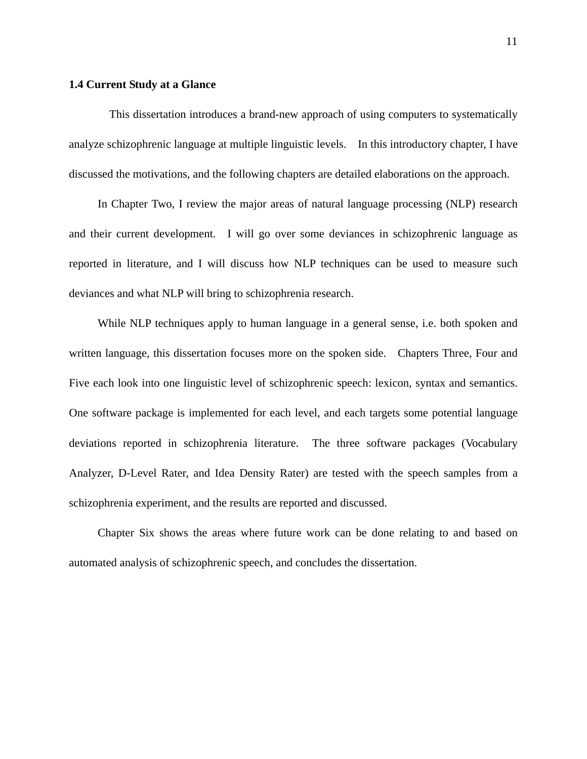### **1.4 Current Study at a Glance**

This dissertation introduces a brand-new approach of using computers to systematically analyze schizophrenic language at multiple linguistic levels. In this introductory chapter, I have discussed the motivations, and the following chapters are detailed elaborations on the approach.

In Chapter Two, I review the major areas of natural language processing (NLP) research and their current development. I will go over some deviances in schizophrenic language as reported in literature, and I will discuss how NLP techniques can be used to measure such deviances and what NLP will bring to schizophrenia research.

While NLP techniques apply to human language in a general sense, i.e. both spoken and written language, this dissertation focuses more on the spoken side. Chapters Three, Four and Five each look into one linguistic level of schizophrenic speech: lexicon, syntax and semantics. One software package is implemented for each level, and each targets some potential language deviations reported in schizophrenia literature. The three software packages (Vocabulary Analyzer, D-Level Rater, and Idea Density Rater) are tested with the speech samples from a schizophrenia experiment, and the results are reported and discussed.

Chapter Six shows the areas where future work can be done relating to and based on automated analysis of schizophrenic speech, and concludes the dissertation.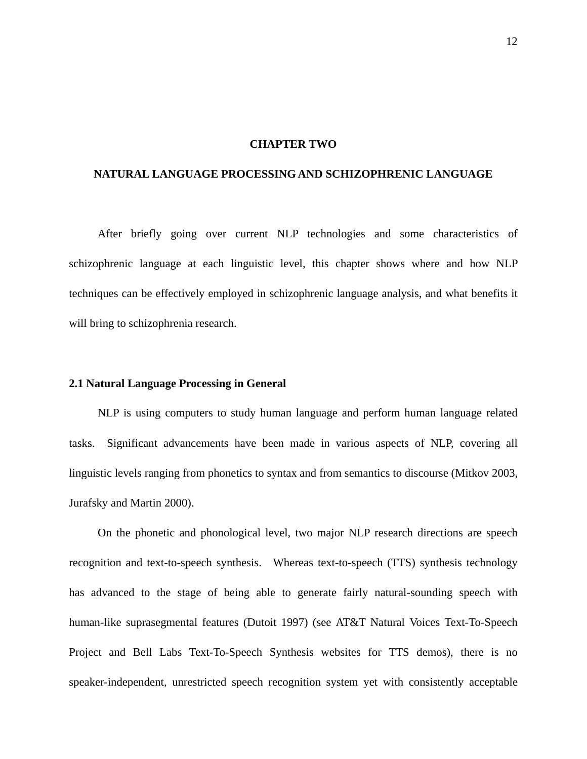#### **CHAPTER TWO**

### **NATURAL LANGUAGE PROCESSING AND SCHIZOPHRENIC LANGUAGE**

 After briefly going over current NLP technologies and some characteristics of schizophrenic language at each linguistic level, this chapter shows where and how NLP techniques can be effectively employed in schizophrenic language analysis, and what benefits it will bring to schizophrenia research.

#### **2.1 Natural Language Processing in General**

NLP is using computers to study human language and perform human language related tasks. Significant advancements have been made in various aspects of NLP, covering all linguistic levels ranging from phonetics to syntax and from semantics to discourse (Mitkov 2003, Jurafsky and Martin 2000).

On the phonetic and phonological level, two major NLP research directions are speech recognition and text-to-speech synthesis. Whereas text-to-speech (TTS) synthesis technology has advanced to the stage of being able to generate fairly natural-sounding speech with human-like suprasegmental features (Dutoit 1997) (see AT&T Natural Voices Text-To-Speech Project and Bell Labs Text-To-Speech Synthesis websites for TTS demos), there is no speaker-independent, unrestricted speech recognition system yet with consistently acceptable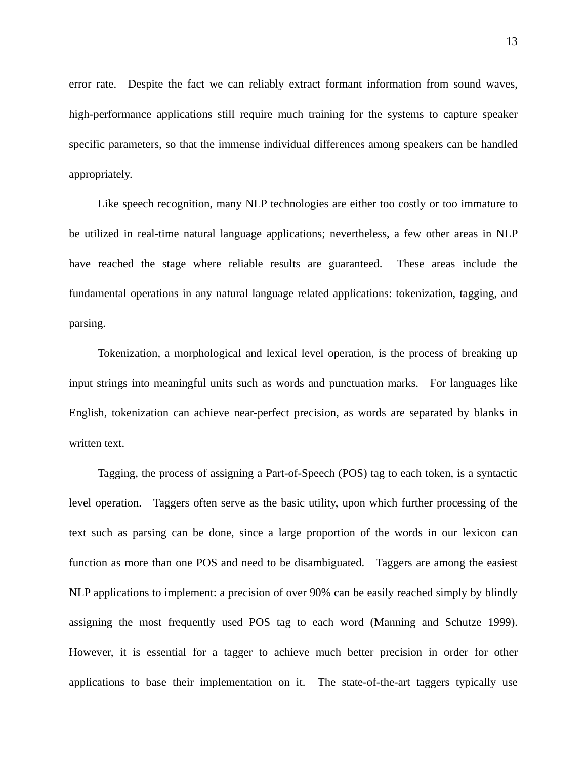error rate. Despite the fact we can reliably extract formant information from sound waves, high-performance applications still require much training for the systems to capture speaker specific parameters, so that the immense individual differences among speakers can be handled appropriately.

Like speech recognition, many NLP technologies are either too costly or too immature to be utilized in real-time natural language applications; nevertheless, a few other areas in NLP have reached the stage where reliable results are guaranteed. These areas include the fundamental operations in any natural language related applications: tokenization, tagging, and parsing.

Tokenization, a morphological and lexical level operation, is the process of breaking up input strings into meaningful units such as words and punctuation marks. For languages like English, tokenization can achieve near-perfect precision, as words are separated by blanks in written text.

Tagging, the process of assigning a Part-of-Speech (POS) tag to each token, is a syntactic level operation. Taggers often serve as the basic utility, upon which further processing of the text such as parsing can be done, since a large proportion of the words in our lexicon can function as more than one POS and need to be disambiguated. Taggers are among the easiest NLP applications to implement: a precision of over 90% can be easily reached simply by blindly assigning the most frequently used POS tag to each word (Manning and Schutze 1999). However, it is essential for a tagger to achieve much better precision in order for other applications to base their implementation on it. The state-of-the-art taggers typically use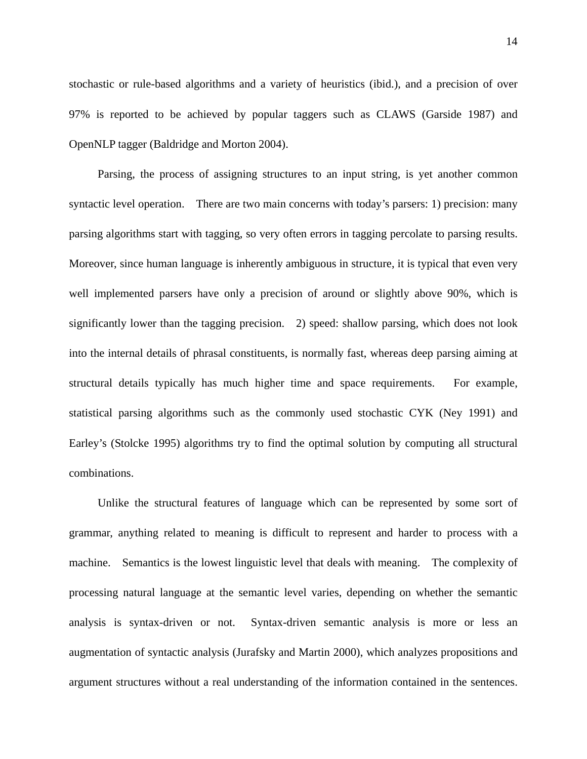stochastic or rule-based algorithms and a variety of heuristics (ibid.), and a precision of over 97% is reported to be achieved by popular taggers such as CLAWS (Garside 1987) and OpenNLP tagger (Baldridge and Morton 2004).

Parsing, the process of assigning structures to an input string, is yet another common syntactic level operation. There are two main concerns with today's parsers: 1) precision: many parsing algorithms start with tagging, so very often errors in tagging percolate to parsing results. Moreover, since human language is inherently ambiguous in structure, it is typical that even very well implemented parsers have only a precision of around or slightly above 90%, which is significantly lower than the tagging precision. 2) speed: shallow parsing, which does not look into the internal details of phrasal constituents, is normally fast, whereas deep parsing aiming at structural details typically has much higher time and space requirements. For example, statistical parsing algorithms such as the commonly used stochastic CYK (Ney 1991) and Earley's (Stolcke 1995) algorithms try to find the optimal solution by computing all structural combinations.

Unlike the structural features of language which can be represented by some sort of grammar, anything related to meaning is difficult to represent and harder to process with a machine. Semantics is the lowest linguistic level that deals with meaning. The complexity of processing natural language at the semantic level varies, depending on whether the semantic analysis is syntax-driven or not. Syntax-driven semantic analysis is more or less an augmentation of syntactic analysis (Jurafsky and Martin 2000), which analyzes propositions and argument structures without a real understanding of the information contained in the sentences.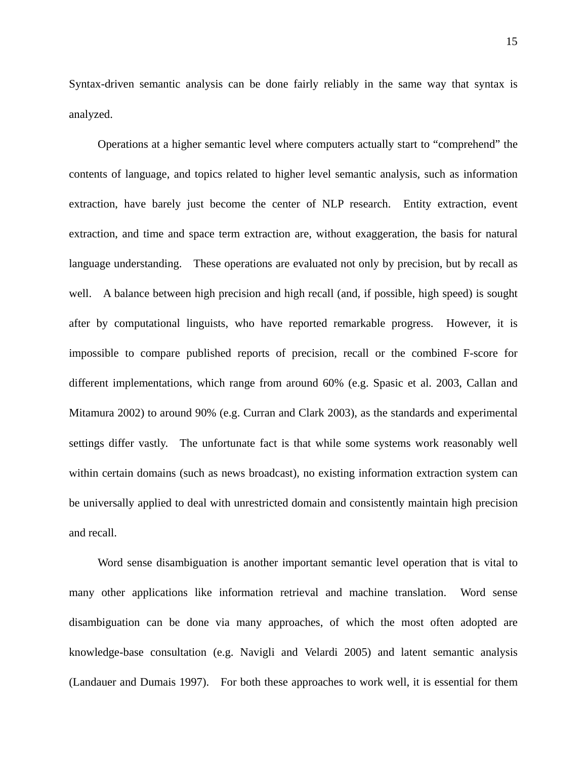Syntax-driven semantic analysis can be done fairly reliably in the same way that syntax is analyzed.

Operations at a higher semantic level where computers actually start to "comprehend" the contents of language, and topics related to higher level semantic analysis, such as information extraction, have barely just become the center of NLP research. Entity extraction, event extraction, and time and space term extraction are, without exaggeration, the basis for natural language understanding. These operations are evaluated not only by precision, but by recall as well. A balance between high precision and high recall (and, if possible, high speed) is sought after by computational linguists, who have reported remarkable progress. However, it is impossible to compare published reports of precision, recall or the combined F-score for different implementations, which range from around 60% (e.g. Spasic et al. 2003, Callan and Mitamura 2002) to around 90% (e.g. Curran and Clark 2003), as the standards and experimental settings differ vastly. The unfortunate fact is that while some systems work reasonably well within certain domains (such as news broadcast), no existing information extraction system can be universally applied to deal with unrestricted domain and consistently maintain high precision and recall.

Word sense disambiguation is another important semantic level operation that is vital to many other applications like information retrieval and machine translation. Word sense disambiguation can be done via many approaches, of which the most often adopted are knowledge-base consultation (e.g. Navigli and Velardi 2005) and latent semantic analysis (Landauer and Dumais 1997). For both these approaches to work well, it is essential for them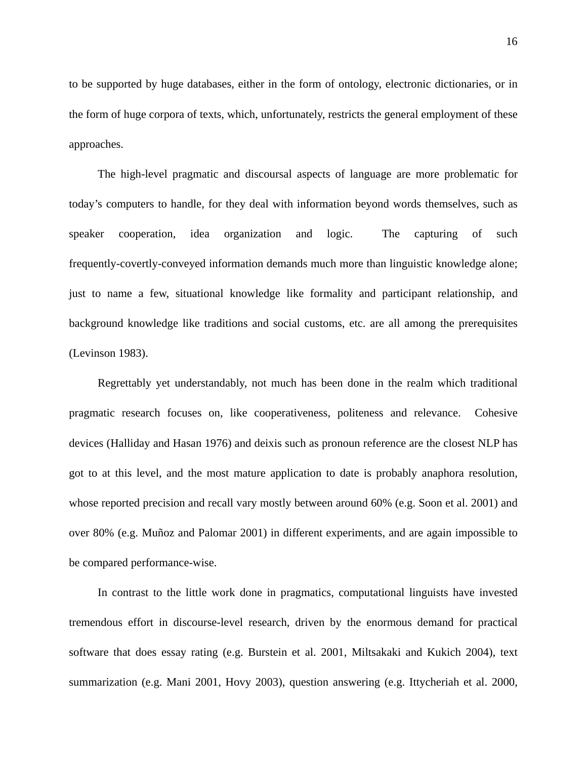to be supported by huge databases, either in the form of ontology, electronic dictionaries, or in the form of huge corpora of texts, which, unfortunately, restricts the general employment of these approaches.

The high-level pragmatic and discoursal aspects of language are more problematic for today's computers to handle, for they deal with information beyond words themselves, such as speaker cooperation, idea organization and logic. The capturing of such frequently-covertly-conveyed information demands much more than linguistic knowledge alone; just to name a few, situational knowledge like formality and participant relationship, and background knowledge like traditions and social customs, etc. are all among the prerequisites (Levinson 1983).

Regrettably yet understandably, not much has been done in the realm which traditional pragmatic research focuses on, like cooperativeness, politeness and relevance. Cohesive devices (Halliday and Hasan 1976) and deixis such as pronoun reference are the closest NLP has got to at this level, and the most mature application to date is probably anaphora resolution, whose reported precision and recall vary mostly between around 60% (e.g. Soon et al. 2001) and over 80% (e.g. Muñoz and Palomar 2001) in different experiments, and are again impossible to be compared performance-wise.

In contrast to the little work done in pragmatics, computational linguists have invested tremendous effort in discourse-level research, driven by the enormous demand for practical software that does essay rating (e.g. Burstein et al. 2001, Miltsakaki and Kukich 2004), text summarization (e.g. Mani 2001, Hovy 2003), question answering (e.g. Ittycheriah et al. 2000,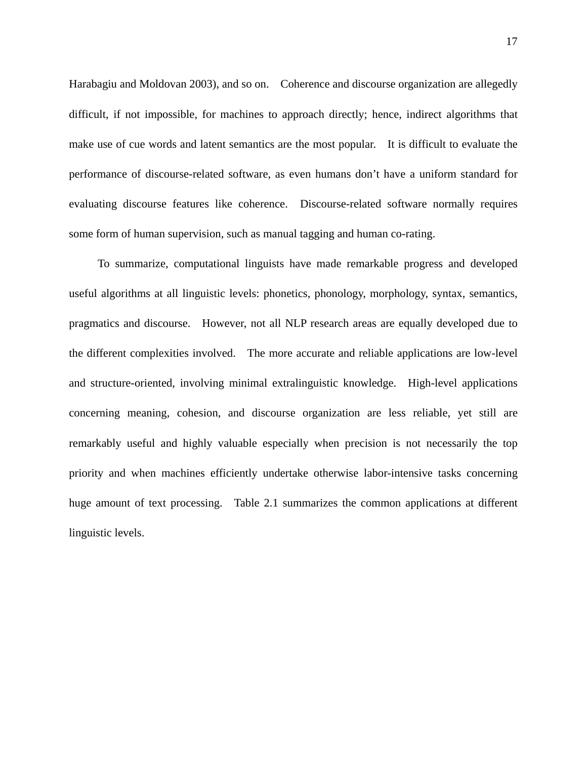Harabagiu and Moldovan 2003), and so on. Coherence and discourse organization are allegedly difficult, if not impossible, for machines to approach directly; hence, indirect algorithms that make use of cue words and latent semantics are the most popular. It is difficult to evaluate the performance of discourse-related software, as even humans don't have a uniform standard for evaluating discourse features like coherence. Discourse-related software normally requires some form of human supervision, such as manual tagging and human co-rating.

To summarize, computational linguists have made remarkable progress and developed useful algorithms at all linguistic levels: phonetics, phonology, morphology, syntax, semantics, pragmatics and discourse. However, not all NLP research areas are equally developed due to the different complexities involved. The more accurate and reliable applications are low-level and structure-oriented, involving minimal extralinguistic knowledge. High-level applications concerning meaning, cohesion, and discourse organization are less reliable, yet still are remarkably useful and highly valuable especially when precision is not necessarily the top priority and when machines efficiently undertake otherwise labor-intensive tasks concerning huge amount of text processing. Table 2.1 summarizes the common applications at different linguistic levels.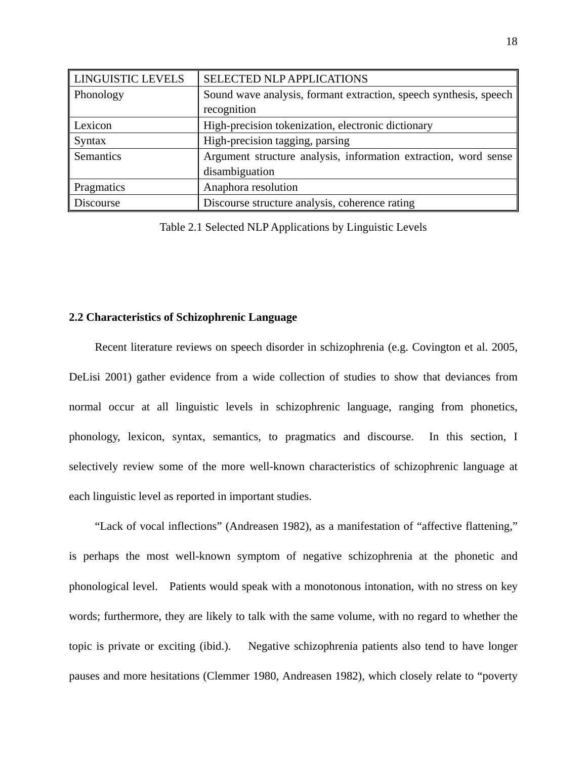| <b>LINGUISTIC LEVELS</b> | SELECTED NLP APPLICATIONS                                         |  |
|--------------------------|-------------------------------------------------------------------|--|
| Phonology                | Sound wave analysis, formant extraction, speech synthesis, speech |  |
|                          | recognition                                                       |  |
| Lexicon                  | High-precision tokenization, electronic dictionary                |  |
| <b>Syntax</b>            | High-precision tagging, parsing                                   |  |
| Semantics                | Argument structure analysis, information extraction, word sense   |  |
|                          | disambiguation                                                    |  |
| <b>Pragmatics</b>        | Anaphora resolution                                               |  |
| <b>Discourse</b>         | Discourse structure analysis, coherence rating                    |  |

Table 2.1 Selected NLP Applications by Linguistic Levels

# **2.2 Characteristics of Schizophrenic Language**

Recent literature reviews on speech disorder in schizophrenia (e.g. Covington et al. 2005, DeLisi 2001) gather evidence from a wide collection of studies to show that deviances from normal occur at all linguistic levels in schizophrenic language, ranging from phonetics, phonology, lexicon, syntax, semantics, to pragmatics and discourse. In this section, I selectively review some of the more well-known characteristics of schizophrenic language at each linguistic level as reported in important studies.

"Lack of vocal inflections" (Andreasen 1982), as a manifestation of "affective flattening," is perhaps the most well-known symptom of negative schizophrenia at the phonetic and phonological level. Patients would speak with a monotonous intonation, with no stress on key words; furthermore, they are likely to talk with the same volume, with no regard to whether the topic is private or exciting (ibid.). Negative schizophrenia patients also tend to have longer pauses and more hesitations (Clemmer 1980, Andreasen 1982), which closely relate to "poverty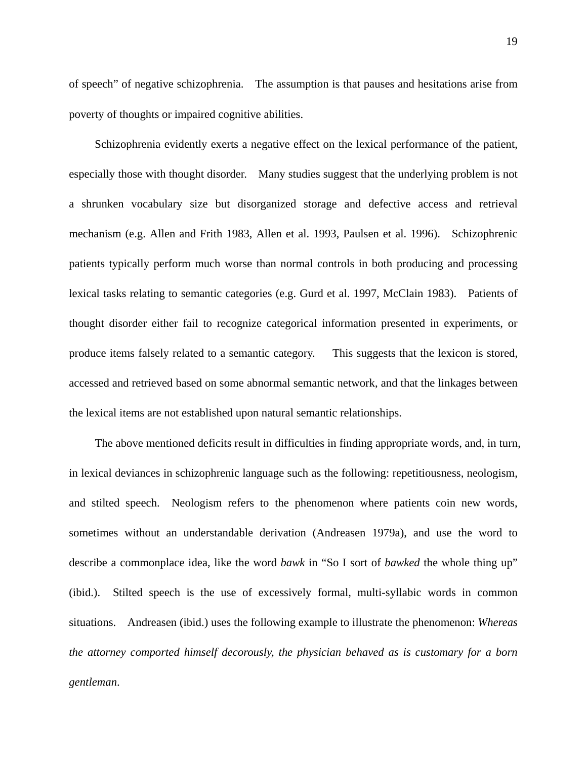of speech" of negative schizophrenia. The assumption is that pauses and hesitations arise from poverty of thoughts or impaired cognitive abilities.

Schizophrenia evidently exerts a negative effect on the lexical performance of the patient, especially those with thought disorder. Many studies suggest that the underlying problem is not a shrunken vocabulary size but disorganized storage and defective access and retrieval mechanism (e.g. Allen and Frith 1983, Allen et al. 1993, Paulsen et al. 1996). Schizophrenic patients typically perform much worse than normal controls in both producing and processing lexical tasks relating to semantic categories (e.g. Gurd et al. 1997, McClain 1983). Patients of thought disorder either fail to recognize categorical information presented in experiments, or produce items falsely related to a semantic category. This suggests that the lexicon is stored, accessed and retrieved based on some abnormal semantic network, and that the linkages between the lexical items are not established upon natural semantic relationships.

The above mentioned deficits result in difficulties in finding appropriate words, and, in turn, in lexical deviances in schizophrenic language such as the following: repetitiousness, neologism, and stilted speech. Neologism refers to the phenomenon where patients coin new words, sometimes without an understandable derivation (Andreasen 1979a), and use the word to describe a commonplace idea, like the word *bawk* in "So I sort of *bawked* the whole thing up" (ibid.). Stilted speech is the use of excessively formal, multi-syllabic words in common situations. Andreasen (ibid.) uses the following example to illustrate the phenomenon: *Whereas the attorney comported himself decorously, the physician behaved as is customary for a born gentleman*.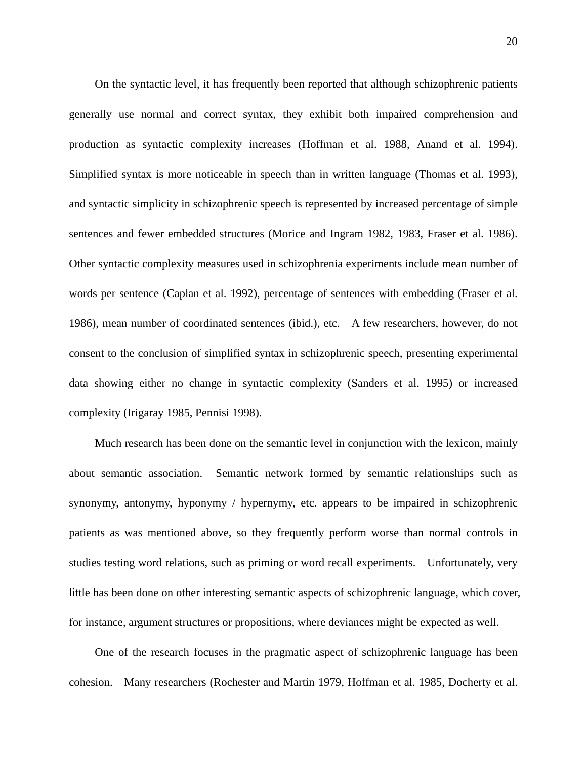On the syntactic level, it has frequently been reported that although schizophrenic patients generally use normal and correct syntax, they exhibit both impaired comprehension and production as syntactic complexity increases (Hoffman et al. 1988, Anand et al. 1994). Simplified syntax is more noticeable in speech than in written language (Thomas et al. 1993), and syntactic simplicity in schizophrenic speech is represented by increased percentage of simple sentences and fewer embedded structures (Morice and Ingram 1982, 1983, Fraser et al. 1986). Other syntactic complexity measures used in schizophrenia experiments include mean number of words per sentence (Caplan et al. 1992), percentage of sentences with embedding (Fraser et al. 1986), mean number of coordinated sentences (ibid.), etc. A few researchers, however, do not consent to the conclusion of simplified syntax in schizophrenic speech, presenting experimental data showing either no change in syntactic complexity (Sanders et al. 1995) or increased complexity (Irigaray 1985, Pennisi 1998).

Much research has been done on the semantic level in conjunction with the lexicon, mainly about semantic association. Semantic network formed by semantic relationships such as synonymy, antonymy, hyponymy / hypernymy, etc. appears to be impaired in schizophrenic patients as was mentioned above, so they frequently perform worse than normal controls in studies testing word relations, such as priming or word recall experiments. Unfortunately, very little has been done on other interesting semantic aspects of schizophrenic language, which cover, for instance, argument structures or propositions, where deviances might be expected as well.

One of the research focuses in the pragmatic aspect of schizophrenic language has been cohesion. Many researchers (Rochester and Martin 1979, Hoffman et al. 1985, Docherty et al.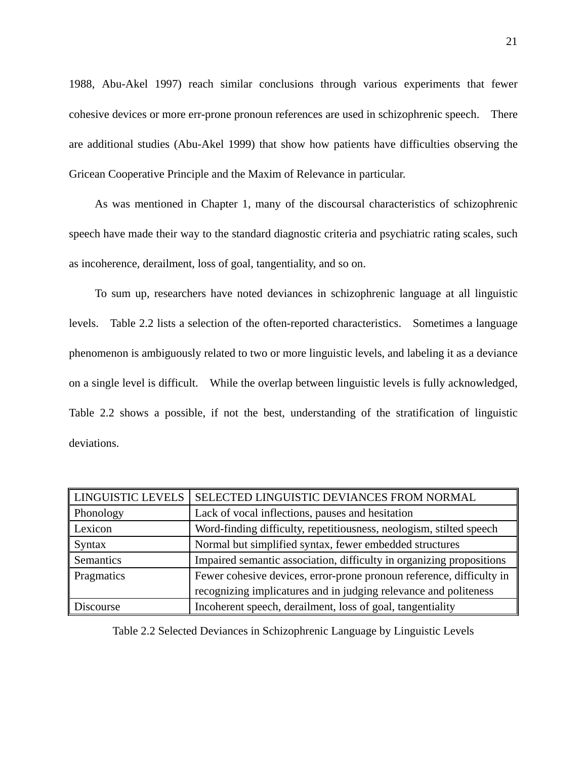1988, Abu-Akel 1997) reach similar conclusions through various experiments that fewer cohesive devices or more err-prone pronoun references are used in schizophrenic speech. There are additional studies (Abu-Akel 1999) that show how patients have difficulties observing the Gricean Cooperative Principle and the Maxim of Relevance in particular.

As was mentioned in Chapter 1, many of the discoursal characteristics of schizophrenic speech have made their way to the standard diagnostic criteria and psychiatric rating scales, such as incoherence, derailment, loss of goal, tangentiality, and so on.

To sum up, researchers have noted deviances in schizophrenic language at all linguistic levels. Table 2.2 lists a selection of the often-reported characteristics. Sometimes a language phenomenon is ambiguously related to two or more linguistic levels, and labeling it as a deviance on a single level is difficult. While the overlap between linguistic levels is fully acknowledged, Table 2.2 shows a possible, if not the best, understanding of the stratification of linguistic deviations.

| <b>LINGUISTIC LEVELS</b> | SELECTED LINGUISTIC DEVIANCES FROM NORMAL                            |
|--------------------------|----------------------------------------------------------------------|
| Phonology                | Lack of vocal inflections, pauses and hesitation                     |
| Lexicon                  | Word-finding difficulty, repetitiousness, neologism, stilted speech  |
| Syntax                   | Normal but simplified syntax, fewer embedded structures              |
| Semantics                | Impaired semantic association, difficulty in organizing propositions |
| Pragmatics               | Fewer cohesive devices, error-prone pronoun reference, difficulty in |
|                          | recognizing implicatures and in judging relevance and politeness     |
| Discourse                | Incoherent speech, derailment, loss of goal, tangentiality           |

Table 2.2 Selected Deviances in Schizophrenic Language by Linguistic Levels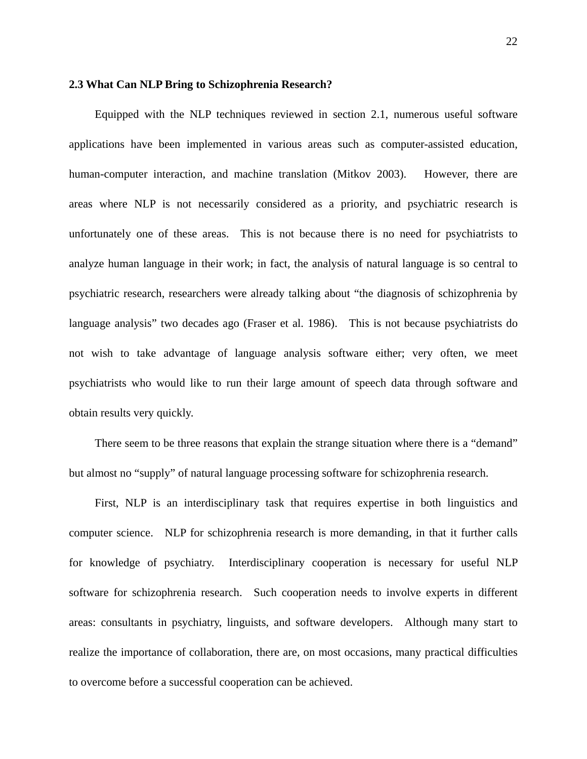### **2.3 What Can NLP Bring to Schizophrenia Research?**

Equipped with the NLP techniques reviewed in section 2.1, numerous useful software applications have been implemented in various areas such as computer-assisted education, human-computer interaction, and machine translation (Mitkov 2003). However, there are areas where NLP is not necessarily considered as a priority, and psychiatric research is unfortunately one of these areas. This is not because there is no need for psychiatrists to analyze human language in their work; in fact, the analysis of natural language is so central to psychiatric research, researchers were already talking about "the diagnosis of schizophrenia by language analysis" two decades ago (Fraser et al. 1986). This is not because psychiatrists do not wish to take advantage of language analysis software either; very often, we meet psychiatrists who would like to run their large amount of speech data through software and obtain results very quickly.

There seem to be three reasons that explain the strange situation where there is a "demand" but almost no "supply" of natural language processing software for schizophrenia research.

First, NLP is an interdisciplinary task that requires expertise in both linguistics and computer science. NLP for schizophrenia research is more demanding, in that it further calls for knowledge of psychiatry. Interdisciplinary cooperation is necessary for useful NLP software for schizophrenia research. Such cooperation needs to involve experts in different areas: consultants in psychiatry, linguists, and software developers. Although many start to realize the importance of collaboration, there are, on most occasions, many practical difficulties to overcome before a successful cooperation can be achieved.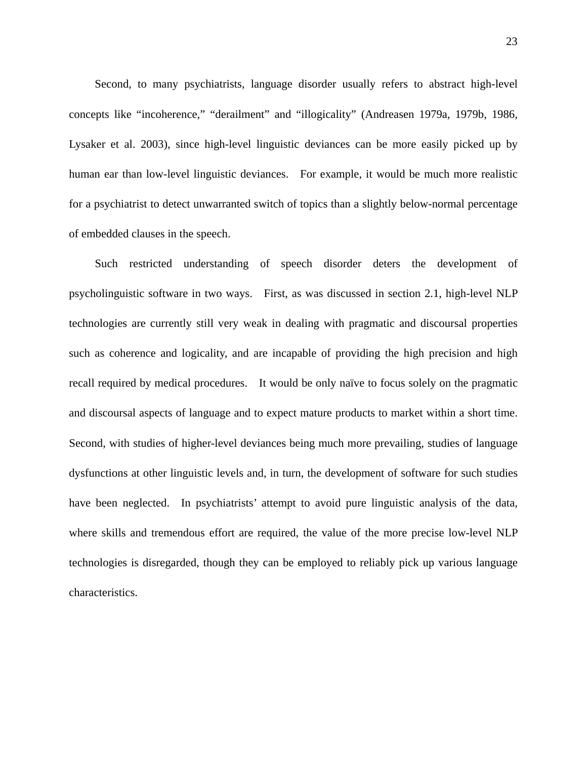Second, to many psychiatrists, language disorder usually refers to abstract high-level concepts like "incoherence," "derailment" and "illogicality" (Andreasen 1979a, 1979b, 1986, Lysaker et al. 2003), since high-level linguistic deviances can be more easily picked up by human ear than low-level linguistic deviances. For example, it would be much more realistic for a psychiatrist to detect unwarranted switch of topics than a slightly below-normal percentage of embedded clauses in the speech.

Such restricted understanding of speech disorder deters the development of psycholinguistic software in two ways. First, as was discussed in section 2.1, high-level NLP technologies are currently still very weak in dealing with pragmatic and discoursal properties such as coherence and logicality, and are incapable of providing the high precision and high recall required by medical procedures. It would be only naïve to focus solely on the pragmatic and discoursal aspects of language and to expect mature products to market within a short time. Second, with studies of higher-level deviances being much more prevailing, studies of language dysfunctions at other linguistic levels and, in turn, the development of software for such studies have been neglected. In psychiatrists' attempt to avoid pure linguistic analysis of the data, where skills and tremendous effort are required, the value of the more precise low-level NLP technologies is disregarded, though they can be employed to reliably pick up various language characteristics.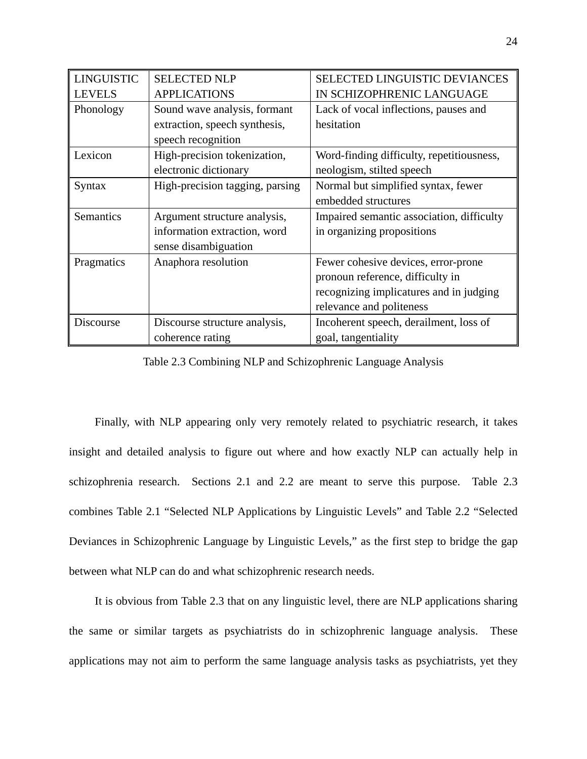| <b>LINGUISTIC</b> | <b>SELECTED NLP</b>             | <b>SELECTED LINGUISTIC DEVIANCES</b>      |
|-------------------|---------------------------------|-------------------------------------------|
| <b>LEVELS</b>     | <b>APPLICATIONS</b>             | IN SCHIZOPHRENIC LANGUAGE                 |
| Phonology         | Sound wave analysis, formant    | Lack of vocal inflections, pauses and     |
|                   | extraction, speech synthesis,   | hesitation                                |
|                   | speech recognition              |                                           |
| Lexicon           | High-precision tokenization,    | Word-finding difficulty, repetitiousness, |
|                   | electronic dictionary           | neologism, stilted speech                 |
| Syntax            | High-precision tagging, parsing | Normal but simplified syntax, fewer       |
|                   |                                 | embedded structures                       |
| Semantics         | Argument structure analysis,    | Impaired semantic association, difficulty |
|                   | information extraction, word    | in organizing propositions                |
|                   | sense disambiguation            |                                           |
| Pragmatics        | Anaphora resolution             | Fewer cohesive devices, error-prone       |
|                   |                                 | pronoun reference, difficulty in          |
|                   |                                 | recognizing implicatures and in judging   |
|                   |                                 | relevance and politeness                  |
| Discourse         | Discourse structure analysis,   | Incoherent speech, derailment, loss of    |
|                   |                                 |                                           |

Table 2.3 Combining NLP and Schizophrenic Language Analysis

Finally, with NLP appearing only very remotely related to psychiatric research, it takes insight and detailed analysis to figure out where and how exactly NLP can actually help in schizophrenia research. Sections 2.1 and 2.2 are meant to serve this purpose. Table 2.3 combines Table 2.1 "Selected NLP Applications by Linguistic Levels" and Table 2.2 "Selected Deviances in Schizophrenic Language by Linguistic Levels," as the first step to bridge the gap between what NLP can do and what schizophrenic research needs.

It is obvious from Table 2.3 that on any linguistic level, there are NLP applications sharing the same or similar targets as psychiatrists do in schizophrenic language analysis. These applications may not aim to perform the same language analysis tasks as psychiatrists, yet they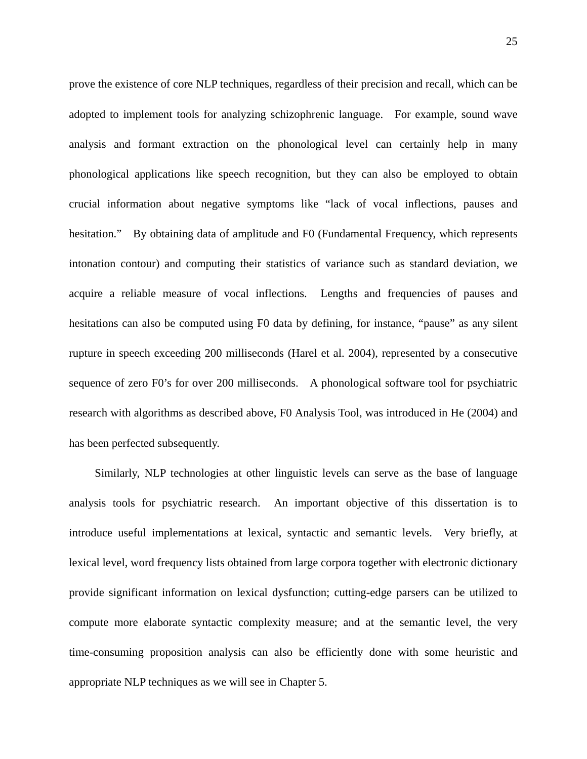prove the existence of core NLP techniques, regardless of their precision and recall, which can be adopted to implement tools for analyzing schizophrenic language. For example, sound wave analysis and formant extraction on the phonological level can certainly help in many phonological applications like speech recognition, but they can also be employed to obtain crucial information about negative symptoms like "lack of vocal inflections, pauses and hesitation." By obtaining data of amplitude and F0 (Fundamental Frequency, which represents intonation contour) and computing their statistics of variance such as standard deviation, we acquire a reliable measure of vocal inflections. Lengths and frequencies of pauses and hesitations can also be computed using F0 data by defining, for instance, "pause" as any silent rupture in speech exceeding 200 milliseconds (Harel et al. 2004), represented by a consecutive sequence of zero F0's for over 200 milliseconds. A phonological software tool for psychiatric research with algorithms as described above, F0 Analysis Tool, was introduced in He (2004) and has been perfected subsequently.

Similarly, NLP technologies at other linguistic levels can serve as the base of language analysis tools for psychiatric research. An important objective of this dissertation is to introduce useful implementations at lexical, syntactic and semantic levels. Very briefly, at lexical level, word frequency lists obtained from large corpora together with electronic dictionary provide significant information on lexical dysfunction; cutting-edge parsers can be utilized to compute more elaborate syntactic complexity measure; and at the semantic level, the very time-consuming proposition analysis can also be efficiently done with some heuristic and appropriate NLP techniques as we will see in Chapter 5.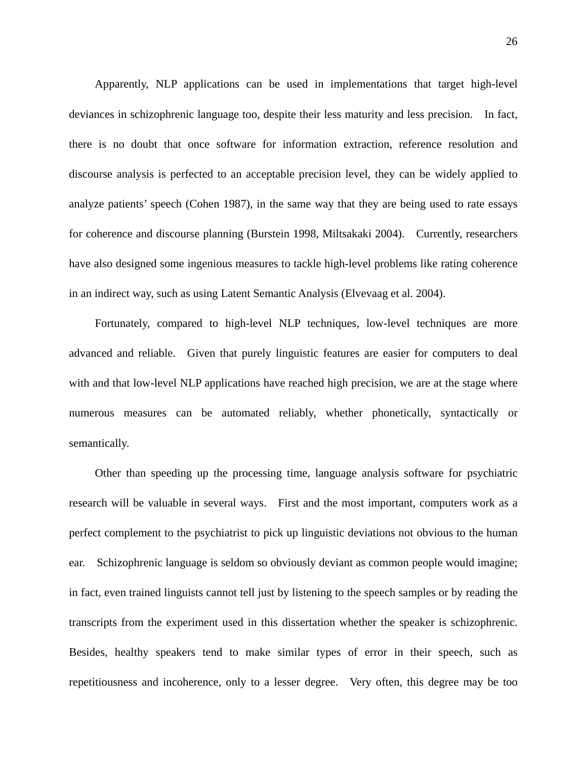Apparently, NLP applications can be used in implementations that target high-level deviances in schizophrenic language too, despite their less maturity and less precision. In fact, there is no doubt that once software for information extraction, reference resolution and discourse analysis is perfected to an acceptable precision level, they can be widely applied to analyze patients' speech (Cohen 1987), in the same way that they are being used to rate essays for coherence and discourse planning (Burstein 1998, Miltsakaki 2004). Currently, researchers have also designed some ingenious measures to tackle high-level problems like rating coherence in an indirect way, such as using Latent Semantic Analysis (Elvevaag et al. 2004).

Fortunately, compared to high-level NLP techniques, low-level techniques are more advanced and reliable. Given that purely linguistic features are easier for computers to deal with and that low-level NLP applications have reached high precision, we are at the stage where numerous measures can be automated reliably, whether phonetically, syntactically or semantically.

Other than speeding up the processing time, language analysis software for psychiatric research will be valuable in several ways. First and the most important, computers work as a perfect complement to the psychiatrist to pick up linguistic deviations not obvious to the human ear. Schizophrenic language is seldom so obviously deviant as common people would imagine; in fact, even trained linguists cannot tell just by listening to the speech samples or by reading the transcripts from the experiment used in this dissertation whether the speaker is schizophrenic. Besides, healthy speakers tend to make similar types of error in their speech, such as repetitiousness and incoherence, only to a lesser degree. Very often, this degree may be too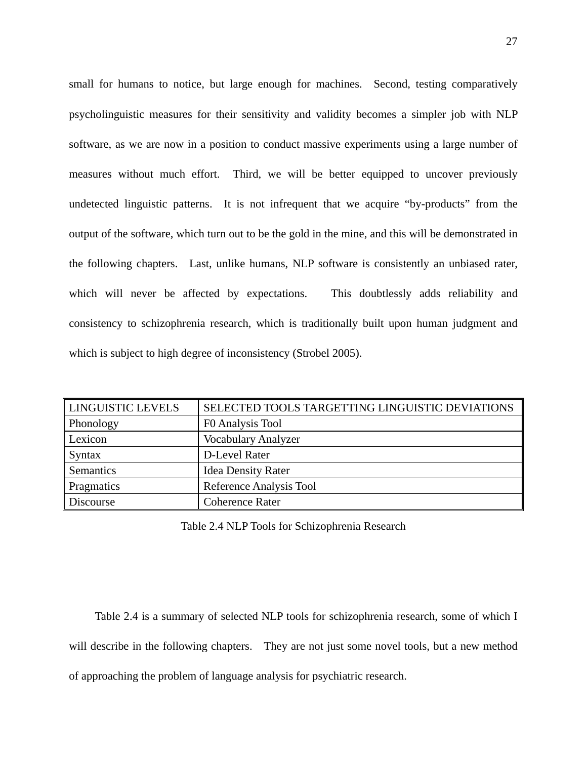small for humans to notice, but large enough for machines. Second, testing comparatively psycholinguistic measures for their sensitivity and validity becomes a simpler job with NLP software, as we are now in a position to conduct massive experiments using a large number of measures without much effort. Third, we will be better equipped to uncover previously undetected linguistic patterns. It is not infrequent that we acquire "by-products" from the output of the software, which turn out to be the gold in the mine, and this will be demonstrated in the following chapters. Last, unlike humans, NLP software is consistently an unbiased rater, which will never be affected by expectations. This doubtlessly adds reliability and consistency to schizophrenia research, which is traditionally built upon human judgment and which is subject to high degree of inconsistency (Strobel 2005).

| LINGUISTIC LEVELS | SELECTED TOOLS TARGETTING LINGUISTIC DEVIATIONS |
|-------------------|-------------------------------------------------|
| Phonology         | F0 Analysis Tool                                |
| Lexicon           | <b>Vocabulary Analyzer</b>                      |
| <b>Syntax</b>     | D-Level Rater                                   |
| Semantics         | <b>Idea Density Rater</b>                       |
| Pragmatics        | Reference Analysis Tool                         |
| Discourse         | <b>Coherence Rater</b>                          |

Table 2.4 NLP Tools for Schizophrenia Research

Table 2.4 is a summary of selected NLP tools for schizophrenia research, some of which I will describe in the following chapters. They are not just some novel tools, but a new method of approaching the problem of language analysis for psychiatric research.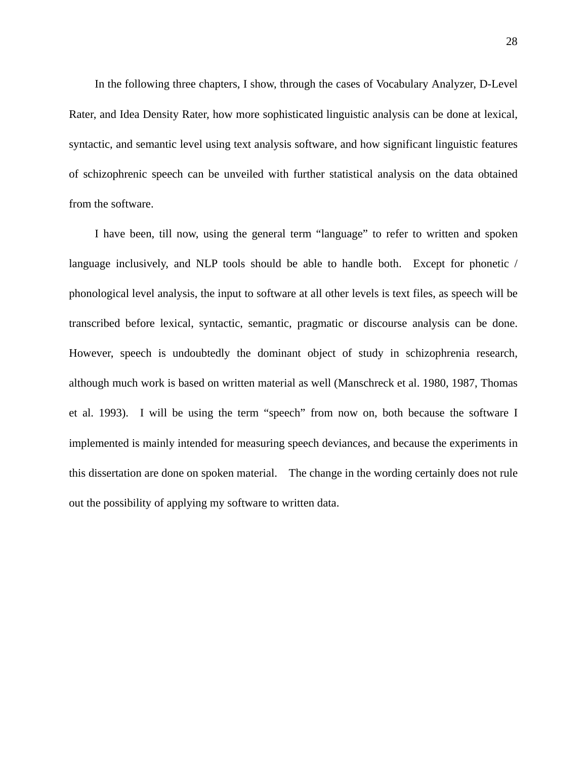In the following three chapters, I show, through the cases of Vocabulary Analyzer, D-Level Rater, and Idea Density Rater, how more sophisticated linguistic analysis can be done at lexical, syntactic, and semantic level using text analysis software, and how significant linguistic features of schizophrenic speech can be unveiled with further statistical analysis on the data obtained from the software.

I have been, till now, using the general term "language" to refer to written and spoken language inclusively, and NLP tools should be able to handle both. Except for phonetic / phonological level analysis, the input to software at all other levels is text files, as speech will be transcribed before lexical, syntactic, semantic, pragmatic or discourse analysis can be done. However, speech is undoubtedly the dominant object of study in schizophrenia research, although much work is based on written material as well (Manschreck et al. 1980, 1987, Thomas et al. 1993). I will be using the term "speech" from now on, both because the software I implemented is mainly intended for measuring speech deviances, and because the experiments in this dissertation are done on spoken material. The change in the wording certainly does not rule out the possibility of applying my software to written data.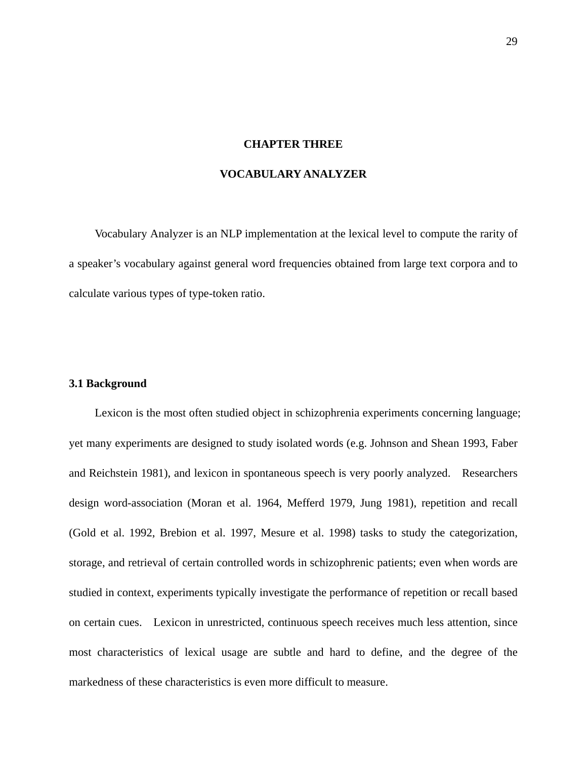### **CHAPTER THREE**

# **VOCABULARY ANALYZER**

Vocabulary Analyzer is an NLP implementation at the lexical level to compute the rarity of a speaker's vocabulary against general word frequencies obtained from large text corpora and to calculate various types of type-token ratio.

#### **3.1 Background**

Lexicon is the most often studied object in schizophrenia experiments concerning language; yet many experiments are designed to study isolated words (e.g. Johnson and Shean 1993, Faber and Reichstein 1981), and lexicon in spontaneous speech is very poorly analyzed. Researchers design word-association (Moran et al. 1964, Mefferd 1979, Jung 1981), repetition and recall (Gold et al. 1992, Brebion et al. 1997, Mesure et al. 1998) tasks to study the categorization, storage, and retrieval of certain controlled words in schizophrenic patients; even when words are studied in context, experiments typically investigate the performance of repetition or recall based on certain cues. Lexicon in unrestricted, continuous speech receives much less attention, since most characteristics of lexical usage are subtle and hard to define, and the degree of the markedness of these characteristics is even more difficult to measure.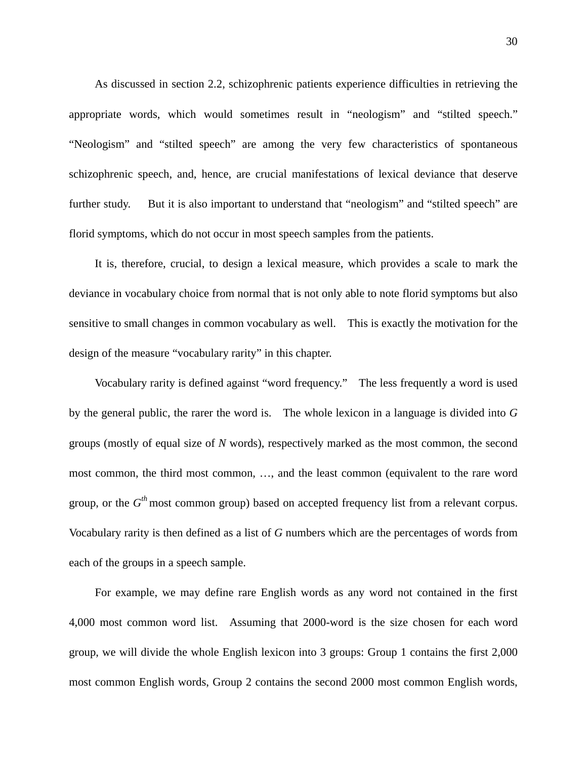As discussed in section 2.2, schizophrenic patients experience difficulties in retrieving the appropriate words, which would sometimes result in "neologism" and "stilted speech." "Neologism" and "stilted speech" are among the very few characteristics of spontaneous schizophrenic speech, and, hence, are crucial manifestations of lexical deviance that deserve further study. But it is also important to understand that "neologism" and "stilted speech" are florid symptoms, which do not occur in most speech samples from the patients.

It is, therefore, crucial, to design a lexical measure, which provides a scale to mark the deviance in vocabulary choice from normal that is not only able to note florid symptoms but also sensitive to small changes in common vocabulary as well. This is exactly the motivation for the design of the measure "vocabulary rarity" in this chapter.

Vocabulary rarity is defined against "word frequency." The less frequently a word is used by the general public, the rarer the word is. The whole lexicon in a language is divided into *G* groups (mostly of equal size of *N* words), respectively marked as the most common, the second most common, the third most common, …, and the least common (equivalent to the rare word group, or the  $G<sup>th</sup>$  most common group) based on accepted frequency list from a relevant corpus. Vocabulary rarity is then defined as a list of *G* numbers which are the percentages of words from each of the groups in a speech sample.

For example, we may define rare English words as any word not contained in the first 4,000 most common word list. Assuming that 2000-word is the size chosen for each word group, we will divide the whole English lexicon into 3 groups: Group 1 contains the first 2,000 most common English words, Group 2 contains the second 2000 most common English words,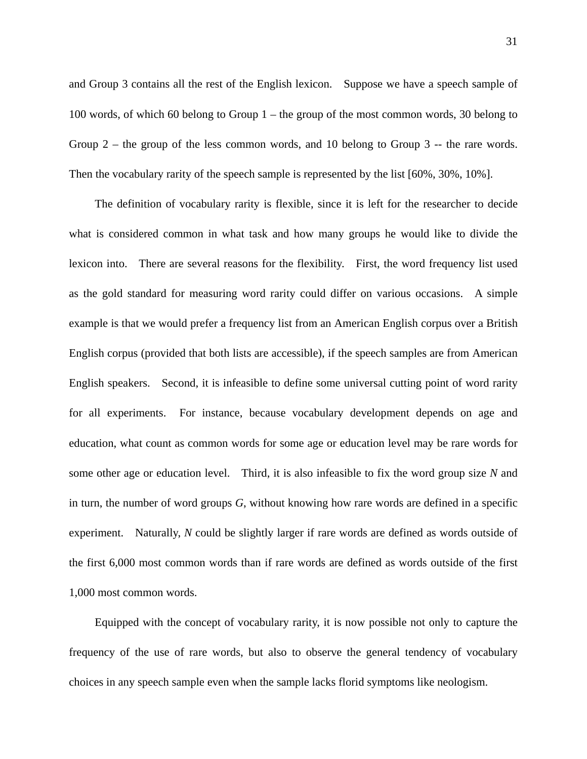and Group 3 contains all the rest of the English lexicon. Suppose we have a speech sample of 100 words, of which 60 belong to Group 1 – the group of the most common words, 30 belong to Group 2 – the group of the less common words, and 10 belong to Group 3 -- the rare words. Then the vocabulary rarity of the speech sample is represented by the list [60%, 30%, 10%].

The definition of vocabulary rarity is flexible, since it is left for the researcher to decide what is considered common in what task and how many groups he would like to divide the lexicon into. There are several reasons for the flexibility. First, the word frequency list used as the gold standard for measuring word rarity could differ on various occasions. A simple example is that we would prefer a frequency list from an American English corpus over a British English corpus (provided that both lists are accessible), if the speech samples are from American English speakers. Second, it is infeasible to define some universal cutting point of word rarity for all experiments. For instance, because vocabulary development depends on age and education, what count as common words for some age or education level may be rare words for some other age or education level. Third, it is also infeasible to fix the word group size *N* and in turn, the number of word groups *G*, without knowing how rare words are defined in a specific experiment. Naturally, *N* could be slightly larger if rare words are defined as words outside of the first 6,000 most common words than if rare words are defined as words outside of the first 1,000 most common words.

Equipped with the concept of vocabulary rarity, it is now possible not only to capture the frequency of the use of rare words, but also to observe the general tendency of vocabulary choices in any speech sample even when the sample lacks florid symptoms like neologism.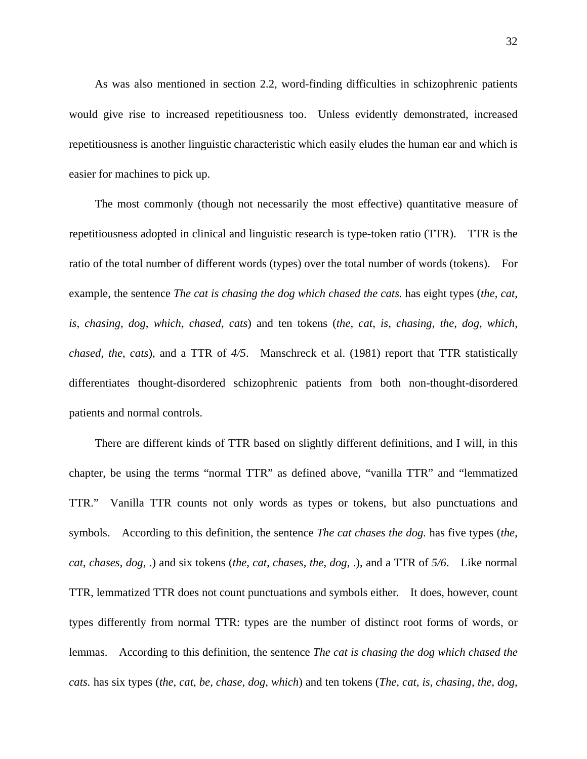As was also mentioned in section 2.2, word-finding difficulties in schizophrenic patients would give rise to increased repetitiousness too. Unless evidently demonstrated, increased repetitiousness is another linguistic characteristic which easily eludes the human ear and which is easier for machines to pick up.

The most commonly (though not necessarily the most effective) quantitative measure of repetitiousness adopted in clinical and linguistic research is type-token ratio (TTR). TTR is the ratio of the total number of different words (types) over the total number of words (tokens). For example, the sentence *The cat is chasing the dog which chased the cats.* has eight types (*the*, *cat*, *is*, *chasing*, *dog*, *which*, *chased*, *cats*) and ten tokens (*the*, *cat*, *is*, *chasing*, *the*, *dog*, *which*, *chased*, *the*, *cats*), and a TTR of *4/5*. Manschreck et al. (1981) report that TTR statistically differentiates thought-disordered schizophrenic patients from both non-thought-disordered patients and normal controls.

There are different kinds of TTR based on slightly different definitions, and I will, in this chapter, be using the terms "normal TTR" as defined above, "vanilla TTR" and "lemmatized TTR." Vanilla TTR counts not only words as types or tokens, but also punctuations and symbols. According to this definition, the sentence *The cat chases the dog.* has five types (*the*, *cat*, *chases*, *dog*, .) and six tokens (*the*, *cat*, *chases*, *the*, *dog*, .), and a TTR of *5/6*. Like normal TTR, lemmatized TTR does not count punctuations and symbols either. It does, however, count types differently from normal TTR: types are the number of distinct root forms of words, or lemmas. According to this definition, the sentence *The cat is chasing the dog which chased the cats.* has six types (*the*, *cat*, *be*, *chase*, *dog*, *which*) and ten tokens (*The, cat, is, chasing, the, dog,*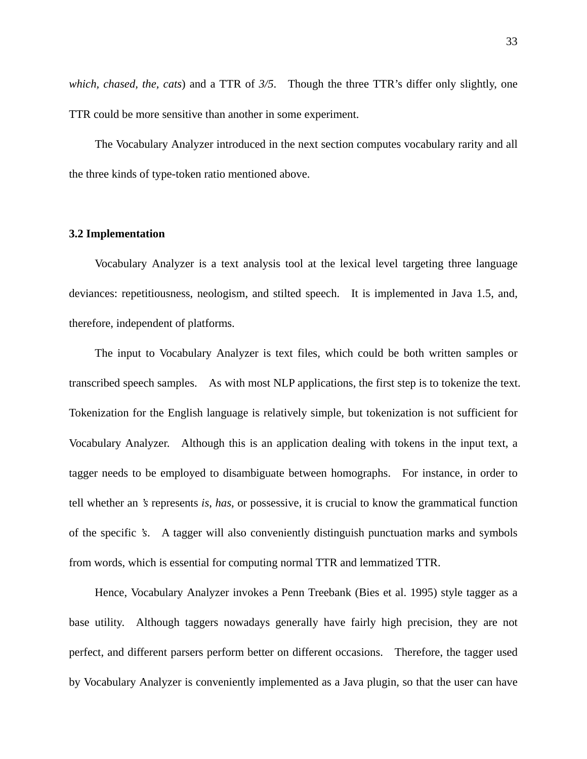*which, chased, the, cats*) and a TTR of *3/5*. Though the three TTR's differ only slightly, one TTR could be more sensitive than another in some experiment.

The Vocabulary Analyzer introduced in the next section computes vocabulary rarity and all the three kinds of type-token ratio mentioned above.

### **3.2 Implementation**

Vocabulary Analyzer is a text analysis tool at the lexical level targeting three language deviances: repetitiousness, neologism, and stilted speech. It is implemented in Java 1.5, and, therefore, independent of platforms.

The input to Vocabulary Analyzer is text files, which could be both written samples or transcribed speech samples. As with most NLP applications, the first step is to tokenize the text. Tokenization for the English language is relatively simple, but tokenization is not sufficient for Vocabulary Analyzer. Although this is an application dealing with tokens in the input text, a tagger needs to be employed to disambiguate between homographs. For instance, in order to tell whether an *'s* represents *is*, *has*, or possessive, it is crucial to know the grammatical function of the specific *'s*. A tagger will also conveniently distinguish punctuation marks and symbols from words, which is essential for computing normal TTR and lemmatized TTR.

Hence, Vocabulary Analyzer invokes a Penn Treebank (Bies et al. 1995) style tagger as a base utility. Although taggers nowadays generally have fairly high precision, they are not perfect, and different parsers perform better on different occasions. Therefore, the tagger used by Vocabulary Analyzer is conveniently implemented as a Java plugin, so that the user can have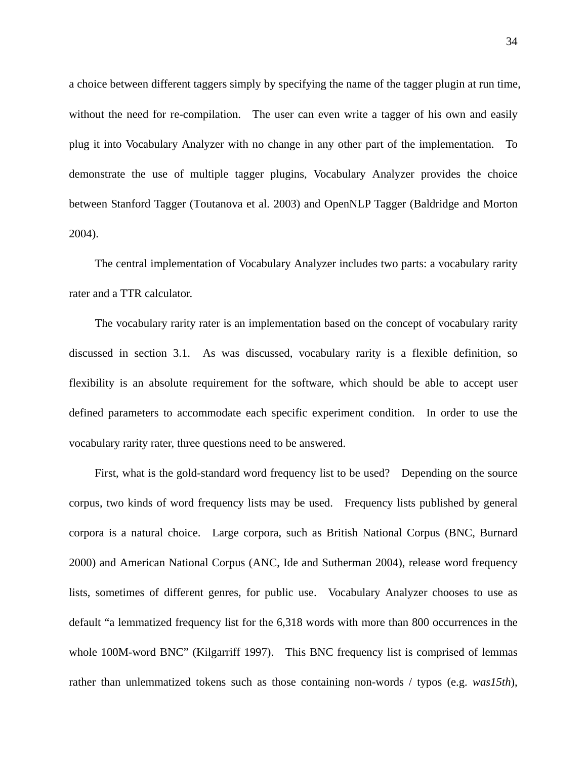a choice between different taggers simply by specifying the name of the tagger plugin at run time, without the need for re-compilation. The user can even write a tagger of his own and easily plug it into Vocabulary Analyzer with no change in any other part of the implementation. To demonstrate the use of multiple tagger plugins, Vocabulary Analyzer provides the choice between Stanford Tagger (Toutanova et al. 2003) and OpenNLP Tagger (Baldridge and Morton 2004).

The central implementation of Vocabulary Analyzer includes two parts: a vocabulary rarity rater and a TTR calculator.

The vocabulary rarity rater is an implementation based on the concept of vocabulary rarity discussed in section 3.1. As was discussed, vocabulary rarity is a flexible definition, so flexibility is an absolute requirement for the software, which should be able to accept user defined parameters to accommodate each specific experiment condition. In order to use the vocabulary rarity rater, three questions need to be answered.

First, what is the gold-standard word frequency list to be used? Depending on the source corpus, two kinds of word frequency lists may be used. Frequency lists published by general corpora is a natural choice. Large corpora, such as British National Corpus (BNC, Burnard 2000) and American National Corpus (ANC, Ide and Sutherman 2004), release word frequency lists, sometimes of different genres, for public use. Vocabulary Analyzer chooses to use as default "a lemmatized frequency list for the 6,318 words with more than 800 occurrences in the whole 100M-word BNC" (Kilgarriff 1997). This BNC frequency list is comprised of lemmas rather than unlemmatized tokens such as those containing non-words / typos (e.g. *was15th*),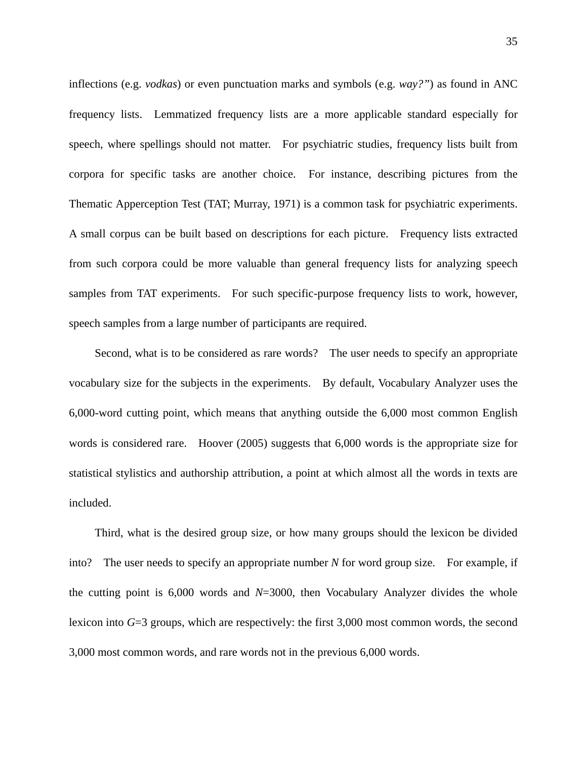inflections (e.g. *vodkas*) or even punctuation marks and symbols (e.g. *way?"*) as found in ANC frequency lists. Lemmatized frequency lists are a more applicable standard especially for speech, where spellings should not matter. For psychiatric studies, frequency lists built from corpora for specific tasks are another choice. For instance, describing pictures from the Thematic Apperception Test (TAT; Murray, 1971) is a common task for psychiatric experiments. A small corpus can be built based on descriptions for each picture. Frequency lists extracted from such corpora could be more valuable than general frequency lists for analyzing speech samples from TAT experiments. For such specific-purpose frequency lists to work, however, speech samples from a large number of participants are required.

Second, what is to be considered as rare words? The user needs to specify an appropriate vocabulary size for the subjects in the experiments. By default, Vocabulary Analyzer uses the 6,000-word cutting point, which means that anything outside the 6,000 most common English words is considered rare. Hoover (2005) suggests that 6,000 words is the appropriate size for statistical stylistics and authorship attribution, a point at which almost all the words in texts are included.

Third, what is the desired group size, or how many groups should the lexicon be divided into? The user needs to specify an appropriate number *N* for word group size. For example, if the cutting point is 6,000 words and *N*=3000, then Vocabulary Analyzer divides the whole lexicon into *G*=3 groups, which are respectively: the first 3,000 most common words, the second 3,000 most common words, and rare words not in the previous 6,000 words.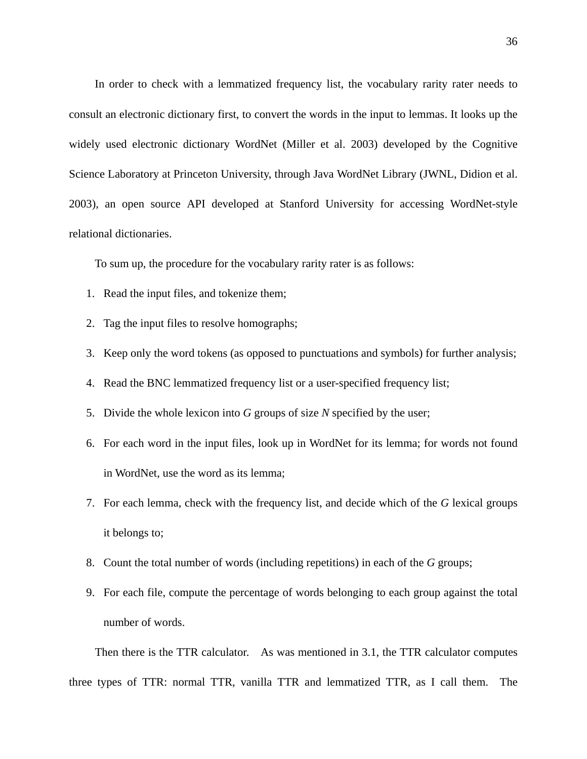In order to check with a lemmatized frequency list, the vocabulary rarity rater needs to consult an electronic dictionary first, to convert the words in the input to lemmas. It looks up the widely used electronic dictionary WordNet (Miller et al. 2003) developed by the Cognitive Science Laboratory at Princeton University, through Java WordNet Library (JWNL, Didion et al. 2003), an open source API developed at Stanford University for accessing WordNet-style relational dictionaries.

To sum up, the procedure for the vocabulary rarity rater is as follows:

- 1. Read the input files, and tokenize them;
- 2. Tag the input files to resolve homographs;
- 3. Keep only the word tokens (as opposed to punctuations and symbols) for further analysis;
- 4. Read the BNC lemmatized frequency list or a user-specified frequency list;
- 5. Divide the whole lexicon into *G* groups of size *N* specified by the user;
- 6. For each word in the input files, look up in WordNet for its lemma; for words not found in WordNet, use the word as its lemma;
- 7. For each lemma, check with the frequency list, and decide which of the *G* lexical groups it belongs to;
- 8. Count the total number of words (including repetitions) in each of the *G* groups;
- 9. For each file, compute the percentage of words belonging to each group against the total number of words.

Then there is the TTR calculator. As was mentioned in 3.1, the TTR calculator computes three types of TTR: normal TTR, vanilla TTR and lemmatized TTR, as I call them. The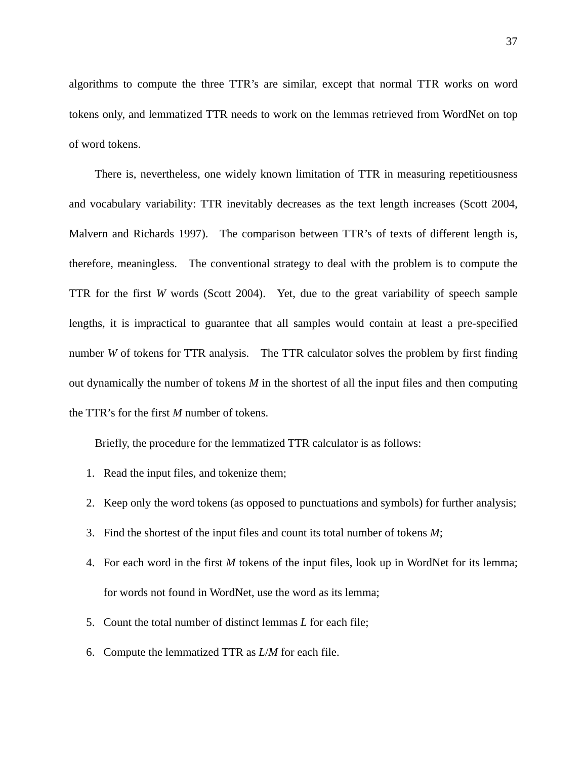algorithms to compute the three TTR's are similar, except that normal TTR works on word tokens only, and lemmatized TTR needs to work on the lemmas retrieved from WordNet on top of word tokens.

There is, nevertheless, one widely known limitation of TTR in measuring repetitiousness and vocabulary variability: TTR inevitably decreases as the text length increases (Scott 2004, Malvern and Richards 1997). The comparison between TTR's of texts of different length is, therefore, meaningless. The conventional strategy to deal with the problem is to compute the TTR for the first *W* words (Scott 2004). Yet, due to the great variability of speech sample lengths, it is impractical to guarantee that all samples would contain at least a pre-specified number *W* of tokens for TTR analysis. The TTR calculator solves the problem by first finding out dynamically the number of tokens *M* in the shortest of all the input files and then computing the TTR's for the first *M* number of tokens.

Briefly, the procedure for the lemmatized TTR calculator is as follows:

- 1. Read the input files, and tokenize them;
- 2. Keep only the word tokens (as opposed to punctuations and symbols) for further analysis;
- 3. Find the shortest of the input files and count its total number of tokens *M*;
- 4. For each word in the first *M* tokens of the input files, look up in WordNet for its lemma; for words not found in WordNet, use the word as its lemma;
- 5. Count the total number of distinct lemmas *L* for each file;
- 6. Compute the lemmatized TTR as *L*/*M* for each file.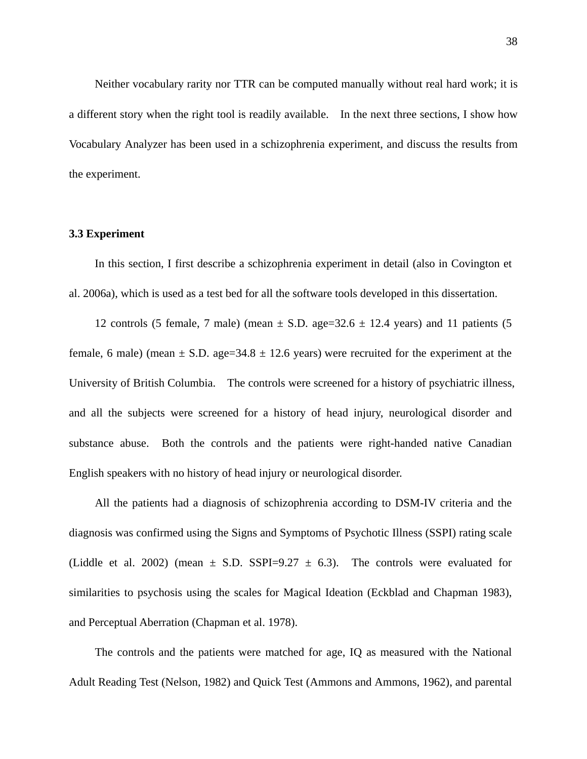Neither vocabulary rarity nor TTR can be computed manually without real hard work; it is a different story when the right tool is readily available. In the next three sections, I show how Vocabulary Analyzer has been used in a schizophrenia experiment, and discuss the results from the experiment.

## **3.3 Experiment**

In this section, I first describe a schizophrenia experiment in detail (also in Covington et al. 2006a), which is used as a test bed for all the software tools developed in this dissertation.

12 controls (5 female, 7 male) (mean  $\pm$  S.D. age=32.6  $\pm$  12.4 years) and 11 patients (5 female, 6 male) (mean  $\pm$  S.D. age=34.8  $\pm$  12.6 years) were recruited for the experiment at the University of British Columbia. The controls were screened for a history of psychiatric illness, and all the subjects were screened for a history of head injury, neurological disorder and substance abuse. Both the controls and the patients were right-handed native Canadian English speakers with no history of head injury or neurological disorder.

All the patients had a diagnosis of schizophrenia according to DSM-IV criteria and the diagnosis was confirmed using the Signs and Symptoms of Psychotic Illness (SSPI) rating scale (Liddle et al. 2002) (mean  $\pm$  S.D. SSPI=9.27  $\pm$  6.3). The controls were evaluated for similarities to psychosis using the scales for Magical Ideation (Eckblad and Chapman 1983), and Perceptual Aberration (Chapman et al. 1978).

The controls and the patients were matched for age, IQ as measured with the National Adult Reading Test (Nelson, 1982) and Quick Test (Ammons and Ammons, 1962), and parental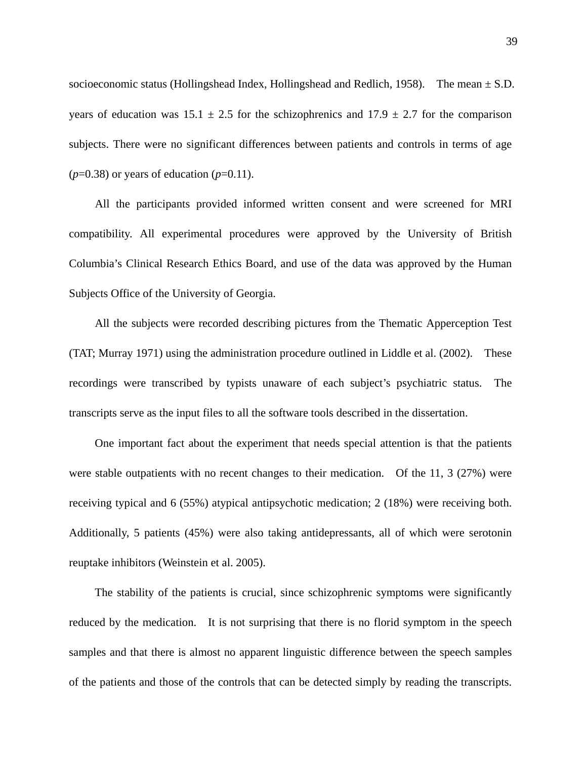socioeconomic status (Hollingshead Index, Hollingshead and Redlich, 1958). The mean  $\pm$  S.D. years of education was  $15.1 \pm 2.5$  for the schizophrenics and  $17.9 \pm 2.7$  for the comparison subjects. There were no significant differences between patients and controls in terms of age  $(p=0.38)$  or years of education  $(p=0.11)$ .

All the participants provided informed written consent and were screened for MRI compatibility. All experimental procedures were approved by the University of British Columbia's Clinical Research Ethics Board, and use of the data was approved by the Human Subjects Office of the University of Georgia.

All the subjects were recorded describing pictures from the Thematic Apperception Test (TAT; Murray 1971) using the administration procedure outlined in Liddle et al. (2002). These recordings were transcribed by typists unaware of each subject's psychiatric status. The transcripts serve as the input files to all the software tools described in the dissertation.

One important fact about the experiment that needs special attention is that the patients were stable outpatients with no recent changes to their medication. Of the 11, 3 (27%) were receiving typical and 6 (55%) atypical antipsychotic medication; 2 (18%) were receiving both. Additionally, 5 patients (45%) were also taking antidepressants, all of which were serotonin reuptake inhibitors (Weinstein et al. 2005).

The stability of the patients is crucial, since schizophrenic symptoms were significantly reduced by the medication. It is not surprising that there is no florid symptom in the speech samples and that there is almost no apparent linguistic difference between the speech samples of the patients and those of the controls that can be detected simply by reading the transcripts.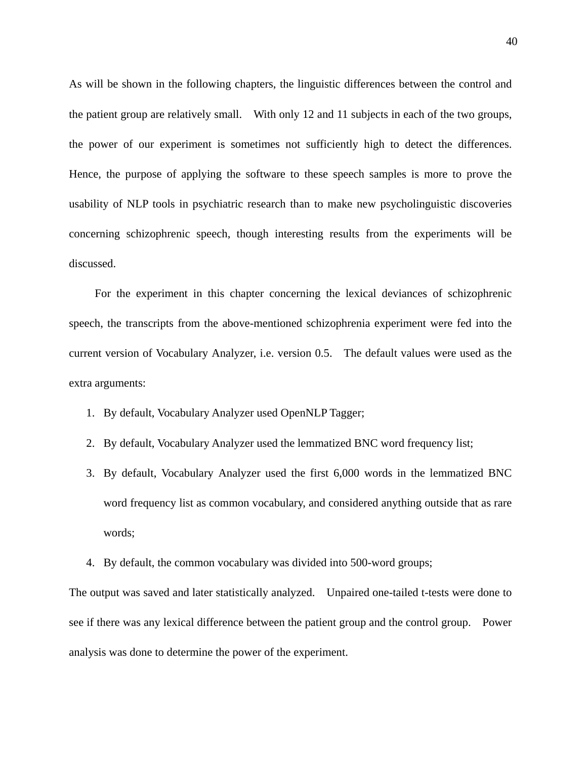As will be shown in the following chapters, the linguistic differences between the control and the patient group are relatively small. With only 12 and 11 subjects in each of the two groups, the power of our experiment is sometimes not sufficiently high to detect the differences. Hence, the purpose of applying the software to these speech samples is more to prove the usability of NLP tools in psychiatric research than to make new psycholinguistic discoveries concerning schizophrenic speech, though interesting results from the experiments will be discussed.

For the experiment in this chapter concerning the lexical deviances of schizophrenic speech, the transcripts from the above-mentioned schizophrenia experiment were fed into the current version of Vocabulary Analyzer, i.e. version 0.5. The default values were used as the extra arguments:

- 1. By default, Vocabulary Analyzer used OpenNLP Tagger;
- 2. By default, Vocabulary Analyzer used the lemmatized BNC word frequency list;
- 3. By default, Vocabulary Analyzer used the first 6,000 words in the lemmatized BNC word frequency list as common vocabulary, and considered anything outside that as rare words;
- 4. By default, the common vocabulary was divided into 500-word groups;

The output was saved and later statistically analyzed. Unpaired one-tailed t-tests were done to see if there was any lexical difference between the patient group and the control group. Power analysis was done to determine the power of the experiment.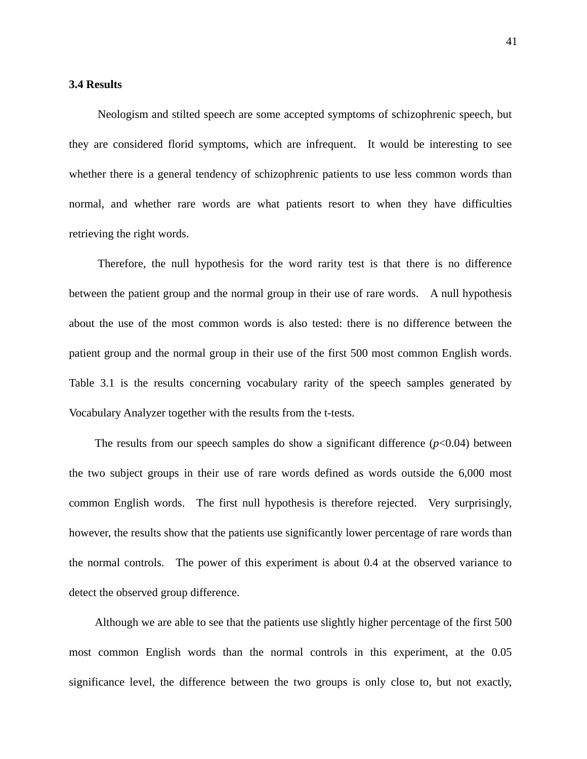## **3.4 Results**

Neologism and stilted speech are some accepted symptoms of schizophrenic speech, but they are considered florid symptoms, which are infrequent. It would be interesting to see whether there is a general tendency of schizophrenic patients to use less common words than normal, and whether rare words are what patients resort to when they have difficulties retrieving the right words.

Therefore, the null hypothesis for the word rarity test is that there is no difference between the patient group and the normal group in their use of rare words. A null hypothesis about the use of the most common words is also tested: there is no difference between the patient group and the normal group in their use of the first 500 most common English words. Table 3.1 is the results concerning vocabulary rarity of the speech samples generated by Vocabulary Analyzer together with the results from the t-tests.

The results from our speech samples do show a significant difference  $(p<0.04)$  between the two subject groups in their use of rare words defined as words outside the 6,000 most common English words. The first null hypothesis is therefore rejected. Very surprisingly, however, the results show that the patients use significantly lower percentage of rare words than the normal controls. The power of this experiment is about 0.4 at the observed variance to detect the observed group difference.

Although we are able to see that the patients use slightly higher percentage of the first 500 most common English words than the normal controls in this experiment, at the 0.05 significance level, the difference between the two groups is only close to, but not exactly,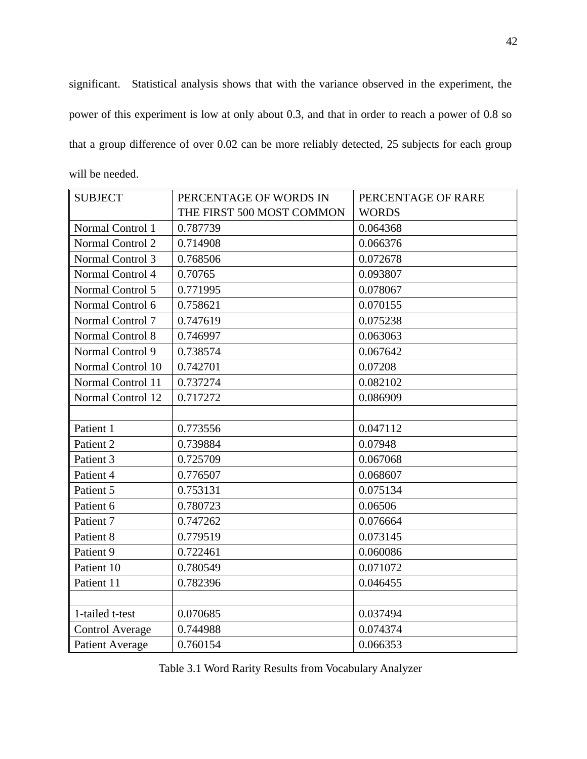significant. Statistical analysis shows that with the variance observed in the experiment, the power of this experiment is low at only about 0.3, and that in order to reach a power of 0.8 so that a group difference of over 0.02 can be more reliably detected, 25 subjects for each group will be needed.

| <b>SUBJECT</b>         | PERCENTAGE OF WORDS IN    | PERCENTAGE OF RARE |
|------------------------|---------------------------|--------------------|
|                        | THE FIRST 500 MOST COMMON | <b>WORDS</b>       |
| Normal Control 1       | 0.787739                  | 0.064368           |
| Normal Control 2       | 0.714908                  | 0.066376           |
| Normal Control 3       | 0.768506                  | 0.072678           |
| Normal Control 4       | 0.70765                   | 0.093807           |
| Normal Control 5       | 0.771995                  | 0.078067           |
| Normal Control 6       | 0.758621                  | 0.070155           |
| Normal Control 7       | 0.747619                  | 0.075238           |
| Normal Control 8       | 0.746997                  | 0.063063           |
| Normal Control 9       | 0.738574                  | 0.067642           |
| Normal Control 10      | 0.742701                  | 0.07208            |
| Normal Control 11      | 0.737274                  | 0.082102           |
| Normal Control 12      | 0.717272                  | 0.086909           |
|                        |                           |                    |
| Patient 1              | 0.773556                  | 0.047112           |
| Patient 2              | 0.739884                  | 0.07948            |
| Patient 3              | 0.725709                  | 0.067068           |
| Patient 4              | 0.776507                  | 0.068607           |
| Patient 5              | 0.753131                  | 0.075134           |
| Patient 6              | 0.780723                  | 0.06506            |
| Patient 7              | 0.747262                  | 0.076664           |
| Patient 8              | 0.779519                  | 0.073145           |
| Patient 9              | 0.722461                  | 0.060086           |
| Patient 10             | 0.780549                  | 0.071072           |
| Patient 11             | 0.782396                  | 0.046455           |
|                        |                           |                    |
| 1-tailed t-test        | 0.070685                  | 0.037494           |
| <b>Control Average</b> | 0.744988                  | 0.074374           |
| <b>Patient Average</b> | 0.760154                  | 0.066353           |

Table 3.1 Word Rarity Results from Vocabulary Analyzer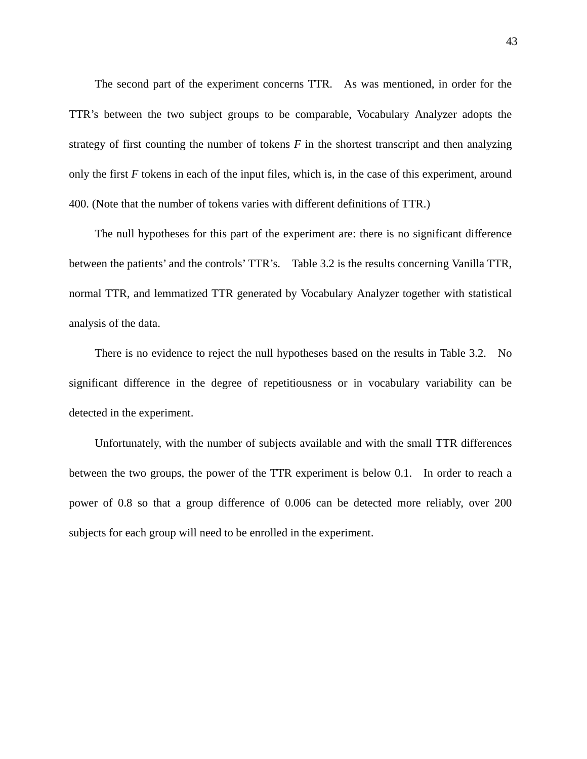The second part of the experiment concerns TTR. As was mentioned, in order for the TTR's between the two subject groups to be comparable, Vocabulary Analyzer adopts the strategy of first counting the number of tokens *F* in the shortest transcript and then analyzing only the first *F* tokens in each of the input files, which is, in the case of this experiment, around 400. (Note that the number of tokens varies with different definitions of TTR.)

The null hypotheses for this part of the experiment are: there is no significant difference between the patients' and the controls' TTR's. Table 3.2 is the results concerning Vanilla TTR, normal TTR, and lemmatized TTR generated by Vocabulary Analyzer together with statistical analysis of the data.

There is no evidence to reject the null hypotheses based on the results in Table 3.2. No significant difference in the degree of repetitiousness or in vocabulary variability can be detected in the experiment.

Unfortunately, with the number of subjects available and with the small TTR differences between the two groups, the power of the TTR experiment is below 0.1. In order to reach a power of 0.8 so that a group difference of 0.006 can be detected more reliably, over 200 subjects for each group will need to be enrolled in the experiment.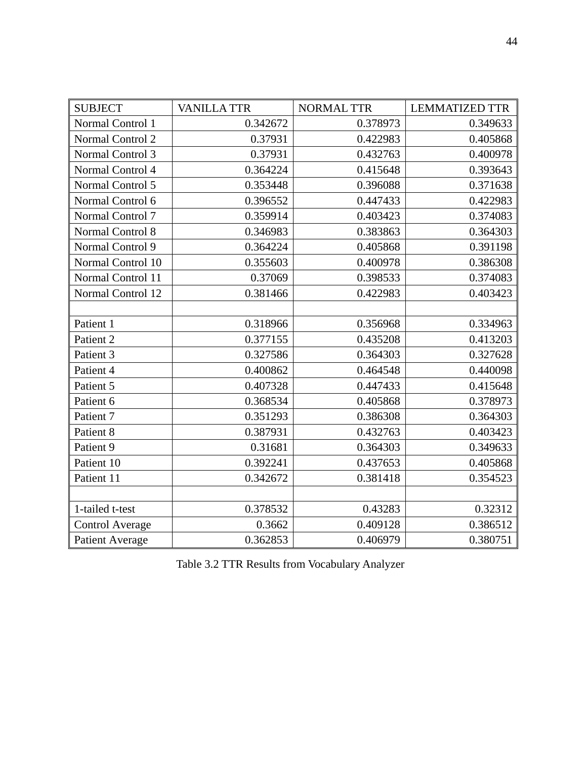| <b>SUBJECT</b>         | <b>VANILLATTR</b> | <b>NORMAL TTR</b> | <b>LEMMATIZED TTR</b> |
|------------------------|-------------------|-------------------|-----------------------|
| Normal Control 1       | 0.342672          | 0.378973          | 0.349633              |
| Normal Control 2       | 0.37931           | 0.422983          | 0.405868              |
| Normal Control 3       | 0.37931           | 0.432763          | 0.400978              |
| Normal Control 4       | 0.364224          | 0.415648          | 0.393643              |
| Normal Control 5       | 0.353448          | 0.396088          | 0.371638              |
| Normal Control 6       | 0.396552          | 0.447433          | 0.422983              |
| Normal Control 7       | 0.359914          | 0.403423          | 0.374083              |
| Normal Control 8       | 0.346983          | 0.383863          | 0.364303              |
| Normal Control 9       | 0.364224          | 0.405868          | 0.391198              |
| Normal Control 10      | 0.355603          | 0.400978          | 0.386308              |
| Normal Control 11      | 0.37069           | 0.398533          | 0.374083              |
| Normal Control 12      | 0.381466          | 0.422983          | 0.403423              |
|                        |                   |                   |                       |
| Patient 1              | 0.318966          | 0.356968          | 0.334963              |
| Patient 2              | 0.377155          | 0.435208          | 0.413203              |
| Patient 3              | 0.327586          | 0.364303          | 0.327628              |
| Patient 4              | 0.400862          | 0.464548          | 0.440098              |
| Patient 5              | 0.407328          | 0.447433          | 0.415648              |
| Patient 6              | 0.368534          | 0.405868          | 0.378973              |
| Patient 7              | 0.351293          | 0.386308          | 0.364303              |
| Patient 8              | 0.387931          | 0.432763          | 0.403423              |
| Patient 9              | 0.31681           | 0.364303          | 0.349633              |
| Patient 10             | 0.392241          | 0.437653          | 0.405868              |
| Patient 11             | 0.342672          | 0.381418          | 0.354523              |
|                        |                   |                   |                       |
| 1-tailed t-test        | 0.378532          | 0.43283           | 0.32312               |
| <b>Control Average</b> | 0.3662            | 0.409128          | 0.386512              |
| <b>Patient Average</b> | 0.362853          | 0.406979          | 0.380751              |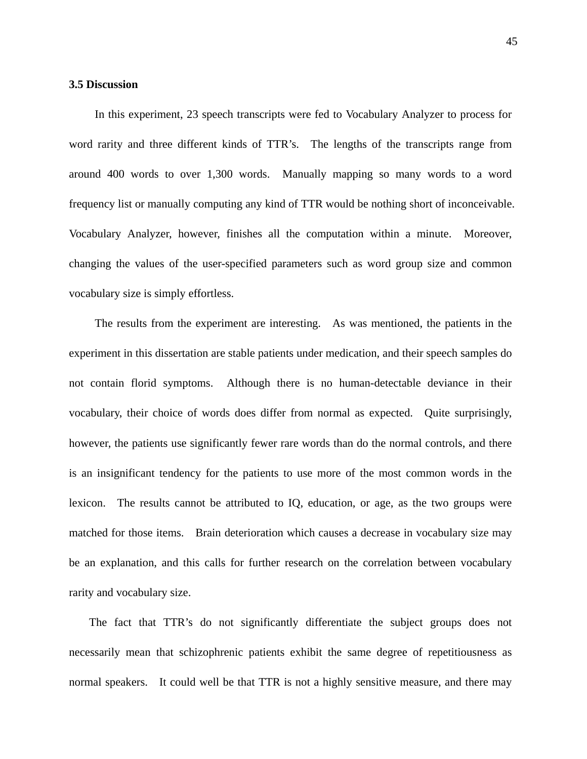# **3.5 Discussion**

In this experiment, 23 speech transcripts were fed to Vocabulary Analyzer to process for word rarity and three different kinds of TTR's. The lengths of the transcripts range from around 400 words to over 1,300 words. Manually mapping so many words to a word frequency list or manually computing any kind of TTR would be nothing short of inconceivable. Vocabulary Analyzer, however, finishes all the computation within a minute. Moreover, changing the values of the user-specified parameters such as word group size and common vocabulary size is simply effortless.

The results from the experiment are interesting. As was mentioned, the patients in the experiment in this dissertation are stable patients under medication, and their speech samples do not contain florid symptoms. Although there is no human-detectable deviance in their vocabulary, their choice of words does differ from normal as expected. Quite surprisingly, however, the patients use significantly fewer rare words than do the normal controls, and there is an insignificant tendency for the patients to use more of the most common words in the lexicon. The results cannot be attributed to IQ, education, or age, as the two groups were matched for those items. Brain deterioration which causes a decrease in vocabulary size may be an explanation, and this calls for further research on the correlation between vocabulary rarity and vocabulary size.

The fact that TTR's do not significantly differentiate the subject groups does not necessarily mean that schizophrenic patients exhibit the same degree of repetitiousness as normal speakers. It could well be that TTR is not a highly sensitive measure, and there may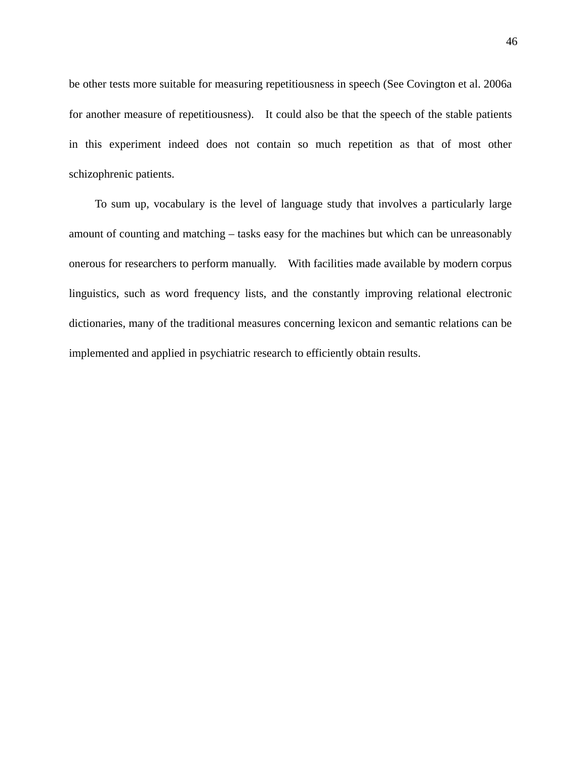be other tests more suitable for measuring repetitiousness in speech (See Covington et al. 2006a for another measure of repetitiousness). It could also be that the speech of the stable patients in this experiment indeed does not contain so much repetition as that of most other schizophrenic patients.

To sum up, vocabulary is the level of language study that involves a particularly large amount of counting and matching – tasks easy for the machines but which can be unreasonably onerous for researchers to perform manually. With facilities made available by modern corpus linguistics, such as word frequency lists, and the constantly improving relational electronic dictionaries, many of the traditional measures concerning lexicon and semantic relations can be implemented and applied in psychiatric research to efficiently obtain results.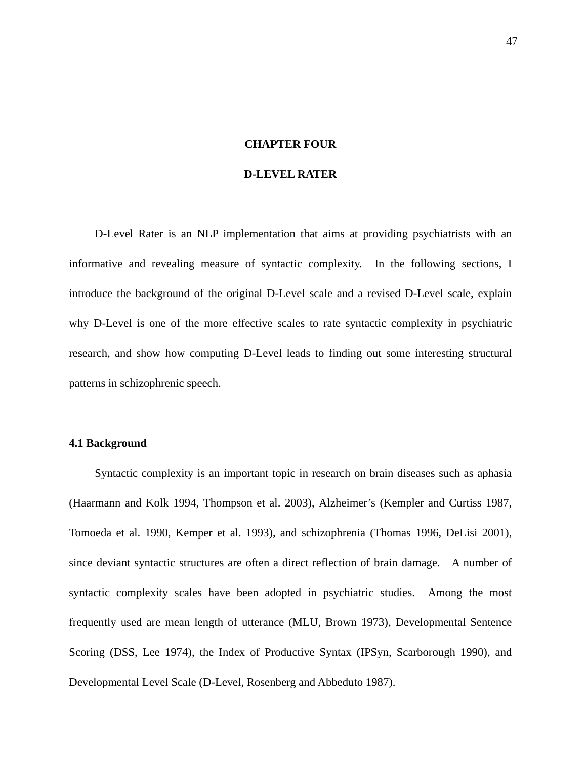#### **CHAPTER FOUR**

#### **D-LEVEL RATER**

D-Level Rater is an NLP implementation that aims at providing psychiatrists with an informative and revealing measure of syntactic complexity. In the following sections, I introduce the background of the original D-Level scale and a revised D-Level scale, explain why D-Level is one of the more effective scales to rate syntactic complexity in psychiatric research, and show how computing D-Level leads to finding out some interesting structural patterns in schizophrenic speech.

# **4.1 Background**

Syntactic complexity is an important topic in research on brain diseases such as aphasia (Haarmann and Kolk 1994, Thompson et al. 2003), Alzheimer's (Kempler and Curtiss 1987, Tomoeda et al. 1990, Kemper et al. 1993), and schizophrenia (Thomas 1996, DeLisi 2001), since deviant syntactic structures are often a direct reflection of brain damage. A number of syntactic complexity scales have been adopted in psychiatric studies. Among the most frequently used are mean length of utterance (MLU, Brown 1973), Developmental Sentence Scoring (DSS, Lee 1974), the Index of Productive Syntax (IPSyn, Scarborough 1990), and Developmental Level Scale (D-Level, Rosenberg and Abbeduto 1987).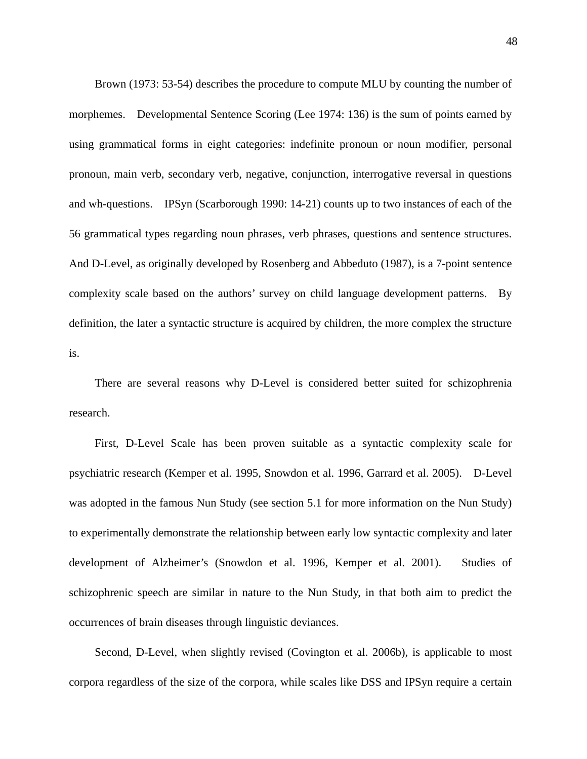Brown (1973: 53-54) describes the procedure to compute MLU by counting the number of morphemes. Developmental Sentence Scoring (Lee 1974: 136) is the sum of points earned by using grammatical forms in eight categories: indefinite pronoun or noun modifier, personal pronoun, main verb, secondary verb, negative, conjunction, interrogative reversal in questions and wh-questions. IPSyn (Scarborough 1990: 14-21) counts up to two instances of each of the 56 grammatical types regarding noun phrases, verb phrases, questions and sentence structures. And D-Level, as originally developed by Rosenberg and Abbeduto (1987), is a 7-point sentence complexity scale based on the authors' survey on child language development patterns. By definition, the later a syntactic structure is acquired by children, the more complex the structure is.

There are several reasons why D-Level is considered better suited for schizophrenia research.

First, D-Level Scale has been proven suitable as a syntactic complexity scale for psychiatric research (Kemper et al. 1995, Snowdon et al. 1996, Garrard et al. 2005). D-Level was adopted in the famous Nun Study (see section 5.1 for more information on the Nun Study) to experimentally demonstrate the relationship between early low syntactic complexity and later development of Alzheimer's (Snowdon et al. 1996, Kemper et al. 2001). Studies of schizophrenic speech are similar in nature to the Nun Study, in that both aim to predict the occurrences of brain diseases through linguistic deviances.

Second, D-Level, when slightly revised (Covington et al. 2006b), is applicable to most corpora regardless of the size of the corpora, while scales like DSS and IPSyn require a certain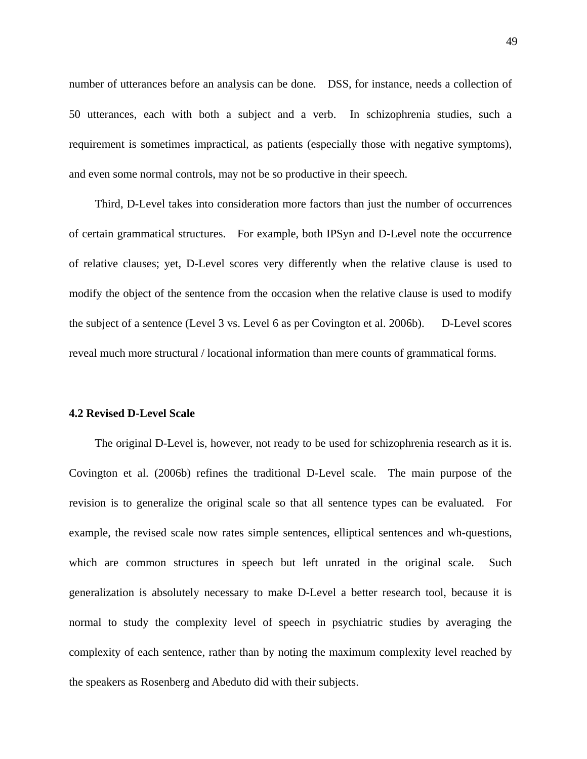number of utterances before an analysis can be done. DSS, for instance, needs a collection of 50 utterances, each with both a subject and a verb. In schizophrenia studies, such a requirement is sometimes impractical, as patients (especially those with negative symptoms), and even some normal controls, may not be so productive in their speech.

Third, D-Level takes into consideration more factors than just the number of occurrences of certain grammatical structures. For example, both IPSyn and D-Level note the occurrence of relative clauses; yet, D-Level scores very differently when the relative clause is used to modify the object of the sentence from the occasion when the relative clause is used to modify the subject of a sentence (Level 3 vs. Level 6 as per Covington et al. 2006b). D-Level scores reveal much more structural / locational information than mere counts of grammatical forms.

### **4.2 Revised D-Level Scale**

The original D-Level is, however, not ready to be used for schizophrenia research as it is. Covington et al. (2006b) refines the traditional D-Level scale. The main purpose of the revision is to generalize the original scale so that all sentence types can be evaluated. For example, the revised scale now rates simple sentences, elliptical sentences and wh-questions, which are common structures in speech but left unrated in the original scale. Such generalization is absolutely necessary to make D-Level a better research tool, because it is normal to study the complexity level of speech in psychiatric studies by averaging the complexity of each sentence, rather than by noting the maximum complexity level reached by the speakers as Rosenberg and Abeduto did with their subjects.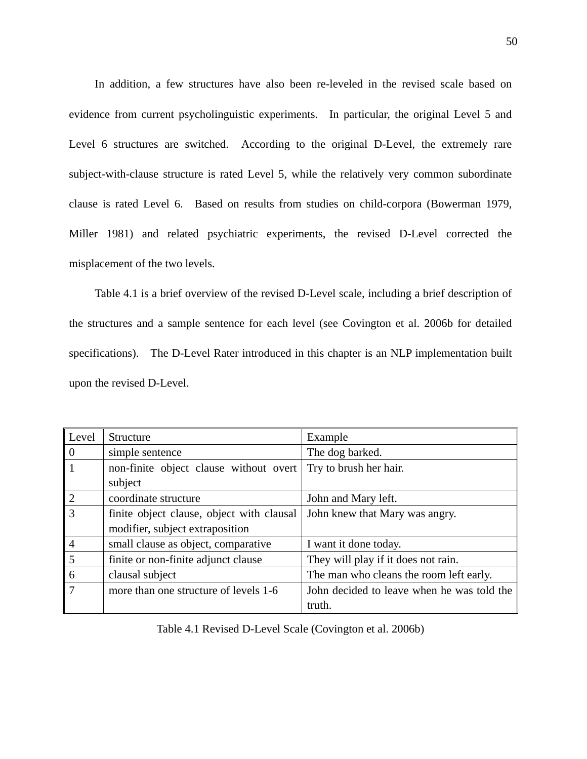In addition, a few structures have also been re-leveled in the revised scale based on evidence from current psycholinguistic experiments. In particular, the original Level 5 and Level 6 structures are switched. According to the original D-Level, the extremely rare subject-with-clause structure is rated Level 5, while the relatively very common subordinate clause is rated Level 6. Based on results from studies on child-corpora (Bowerman 1979, Miller 1981) and related psychiatric experiments, the revised D-Level corrected the misplacement of the two levels.

Table 4.1 is a brief overview of the revised D-Level scale, including a brief description of the structures and a sample sentence for each level (see Covington et al. 2006b for detailed specifications). The D-Level Rater introduced in this chapter is an NLP implementation built upon the revised D-Level.

| Level          | Structure                                 | Example                                    |
|----------------|-------------------------------------------|--------------------------------------------|
| $\theta$       | simple sentence                           | The dog barked.                            |
| 1              | non-finite object clause without overt    | Try to brush her hair.                     |
|                | subject                                   |                                            |
| $\overline{2}$ | coordinate structure                      | John and Mary left.                        |
| 3              | finite object clause, object with clausal | John knew that Mary was angry.             |
|                | modifier, subject extraposition           |                                            |
| $\overline{4}$ | small clause as object, comparative       | I want it done today.                      |
| 5              | finite or non-finite adjunct clause       | They will play if it does not rain.        |
| 6              | clausal subject                           | The man who cleans the room left early.    |
| 7              | more than one structure of levels 1-6     | John decided to leave when he was told the |
|                |                                           | truth.                                     |

Table 4.1 Revised D-Level Scale (Covington et al. 2006b)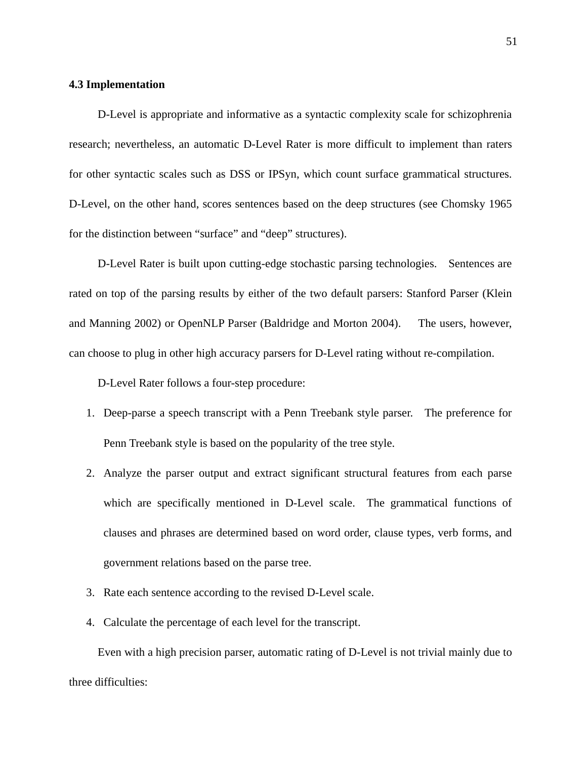# **4.3 Implementation**

D-Level is appropriate and informative as a syntactic complexity scale for schizophrenia research; nevertheless, an automatic D-Level Rater is more difficult to implement than raters for other syntactic scales such as DSS or IPSyn, which count surface grammatical structures. D-Level, on the other hand, scores sentences based on the deep structures (see Chomsky 1965 for the distinction between "surface" and "deep" structures).

D-Level Rater is built upon cutting-edge stochastic parsing technologies. Sentences are rated on top of the parsing results by either of the two default parsers: Stanford Parser (Klein and Manning 2002) or OpenNLP Parser (Baldridge and Morton 2004). The users, however, can choose to plug in other high accuracy parsers for D-Level rating without re-compilation.

D-Level Rater follows a four-step procedure:

- 1. Deep-parse a speech transcript with a Penn Treebank style parser. The preference for Penn Treebank style is based on the popularity of the tree style.
- 2. Analyze the parser output and extract significant structural features from each parse which are specifically mentioned in D-Level scale. The grammatical functions of clauses and phrases are determined based on word order, clause types, verb forms, and government relations based on the parse tree.
- 3. Rate each sentence according to the revised D-Level scale.
- 4. Calculate the percentage of each level for the transcript.

Even with a high precision parser, automatic rating of D-Level is not trivial mainly due to three difficulties: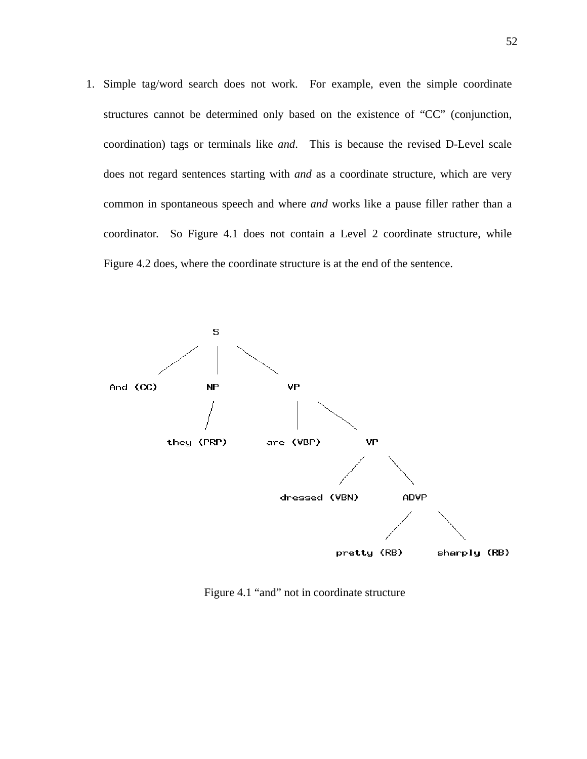1. Simple tag/word search does not work. For example, even the simple coordinate structures cannot be determined only based on the existence of "CC" (conjunction, coordination) tags or terminals like *and*. This is because the revised D-Level scale does not regard sentences starting with *and* as a coordinate structure, which are very common in spontaneous speech and where *and* works like a pause filler rather than a coordinator. So Figure 4.1 does not contain a Level 2 coordinate structure, while Figure 4.2 does, where the coordinate structure is at the end of the sentence.



Figure 4.1 "and" not in coordinate structure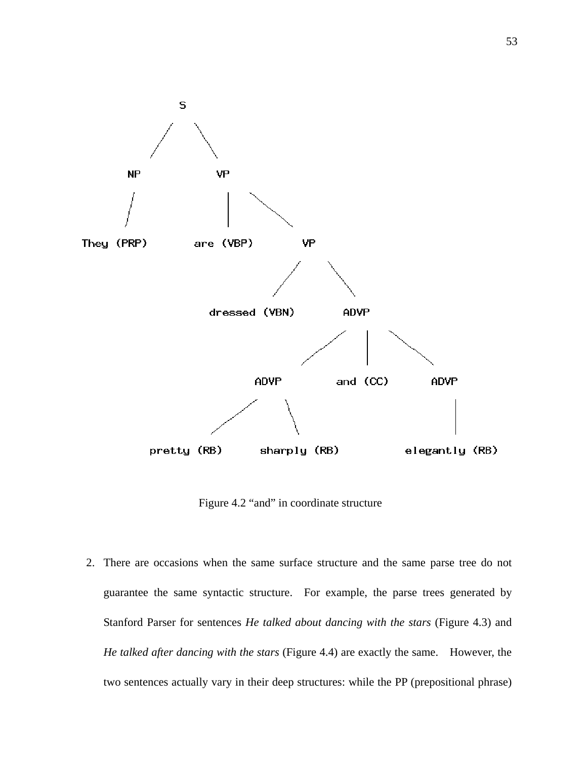

Figure 4.2 "and" in coordinate structure

2. There are occasions when the same surface structure and the same parse tree do not guarantee the same syntactic structure. For example, the parse trees generated by Stanford Parser for sentences *He talked about dancing with the stars* (Figure 4.3) and *He talked after dancing with the stars* (Figure 4.4) are exactly the same. However, the two sentences actually vary in their deep structures: while the PP (prepositional phrase)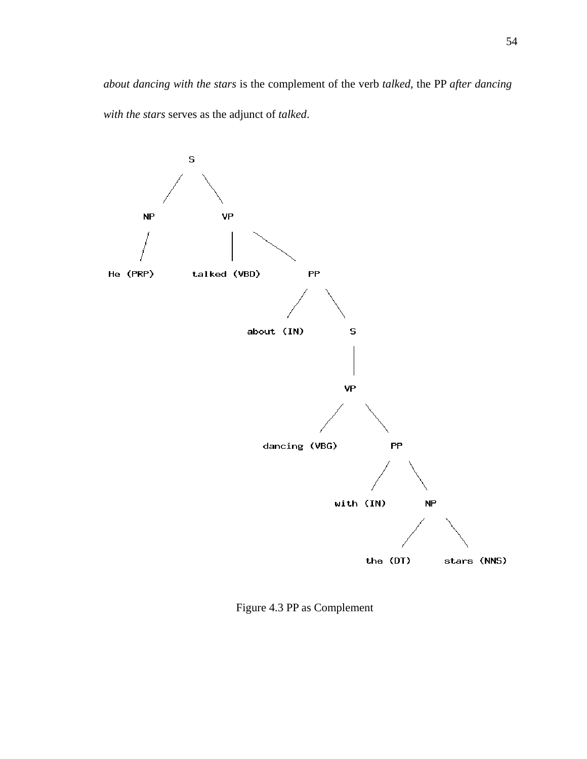*about dancing with the stars* is the complement of the verb *talked*, the PP *after dancing with the stars* serves as the adjunct of *talked*.



Figure 4.3 PP as Complement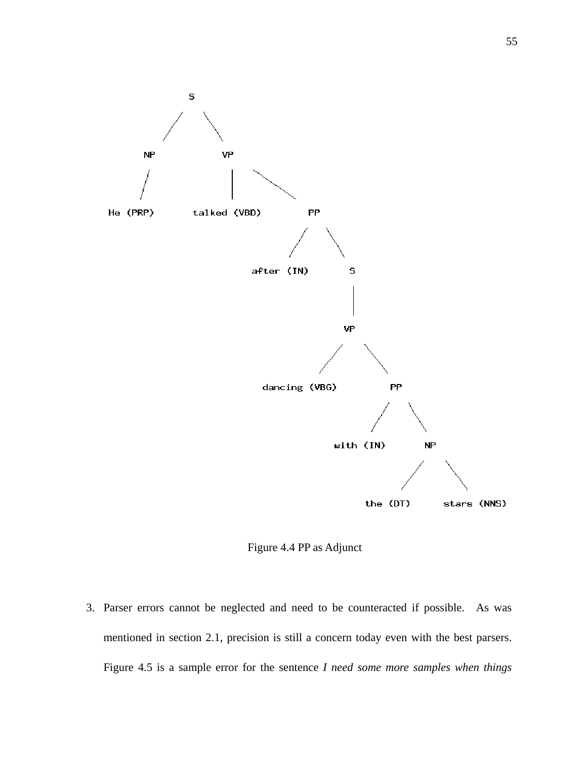

Figure 4.4 PP as Adjunct

3. Parser errors cannot be neglected and need to be counteracted if possible. As was mentioned in section 2.1, precision is still a concern today even with the best parsers. Figure 4.5 is a sample error for the sentence *I need some more samples when things*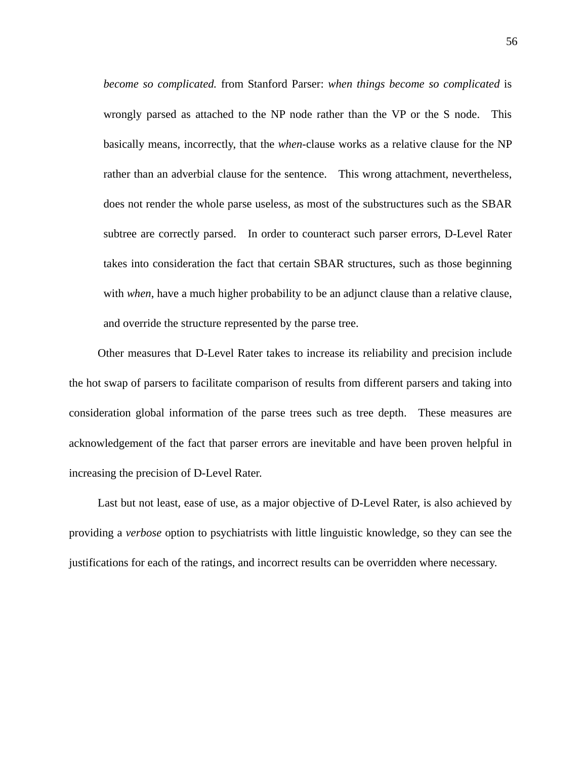*become so complicated.* from Stanford Parser: *when things become so complicated* is wrongly parsed as attached to the NP node rather than the VP or the S node. This basically means, incorrectly, that the *when*-clause works as a relative clause for the NP rather than an adverbial clause for the sentence. This wrong attachment, nevertheless, does not render the whole parse useless, as most of the substructures such as the SBAR subtree are correctly parsed. In order to counteract such parser errors, D-Level Rater takes into consideration the fact that certain SBAR structures, such as those beginning with *when*, have a much higher probability to be an adjunct clause than a relative clause, and override the structure represented by the parse tree.

Other measures that D-Level Rater takes to increase its reliability and precision include the hot swap of parsers to facilitate comparison of results from different parsers and taking into consideration global information of the parse trees such as tree depth. These measures are acknowledgement of the fact that parser errors are inevitable and have been proven helpful in increasing the precision of D-Level Rater.

Last but not least, ease of use, as a major objective of D-Level Rater, is also achieved by providing a *verbose* option to psychiatrists with little linguistic knowledge, so they can see the justifications for each of the ratings, and incorrect results can be overridden where necessary.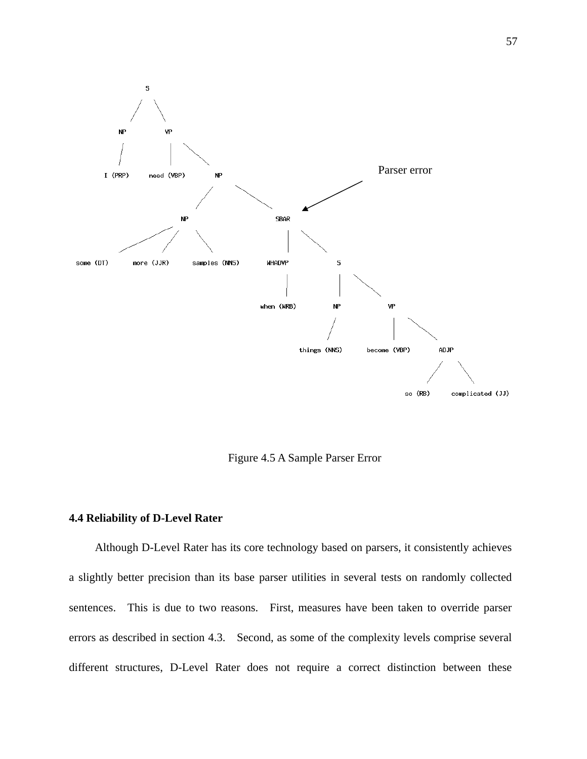

Figure 4.5 A Sample Parser Error

## **4.4 Reliability of D-Level Rater**

Although D-Level Rater has its core technology based on parsers, it consistently achieves a slightly better precision than its base parser utilities in several tests on randomly collected sentences. This is due to two reasons. First, measures have been taken to override parser errors as described in section 4.3. Second, as some of the complexity levels comprise several different structures, D-Level Rater does not require a correct distinction between these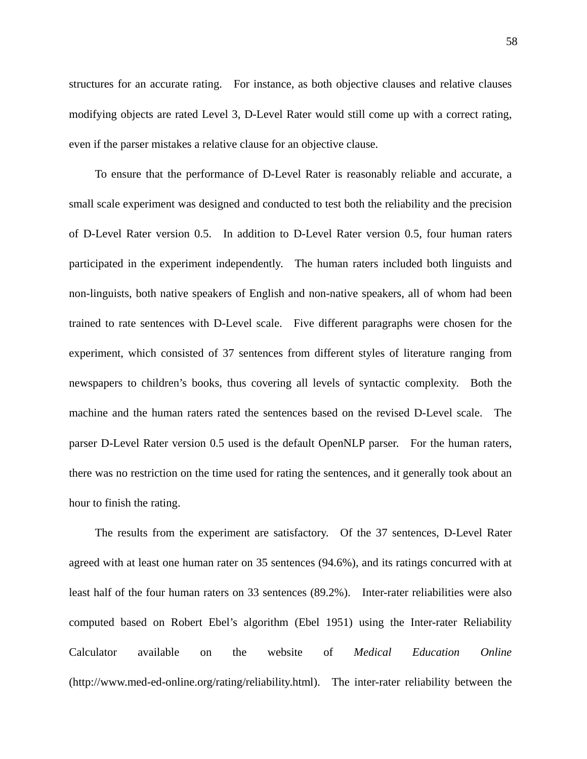structures for an accurate rating. For instance, as both objective clauses and relative clauses modifying objects are rated Level 3, D-Level Rater would still come up with a correct rating, even if the parser mistakes a relative clause for an objective clause.

To ensure that the performance of D-Level Rater is reasonably reliable and accurate, a small scale experiment was designed and conducted to test both the reliability and the precision of D-Level Rater version 0.5. In addition to D-Level Rater version 0.5, four human raters participated in the experiment independently. The human raters included both linguists and non-linguists, both native speakers of English and non-native speakers, all of whom had been trained to rate sentences with D-Level scale. Five different paragraphs were chosen for the experiment, which consisted of 37 sentences from different styles of literature ranging from newspapers to children's books, thus covering all levels of syntactic complexity. Both the machine and the human raters rated the sentences based on the revised D-Level scale. The parser D-Level Rater version 0.5 used is the default OpenNLP parser. For the human raters, there was no restriction on the time used for rating the sentences, and it generally took about an hour to finish the rating.

The results from the experiment are satisfactory. Of the 37 sentences, D-Level Rater agreed with at least one human rater on 35 sentences (94.6%), and its ratings concurred with at least half of the four human raters on 33 sentences (89.2%). Inter-rater reliabilities were also computed based on Robert Ebel's algorithm (Ebel 1951) using the Inter-rater Reliability Calculator available on the website of *Medical Education Online* (http://www.med-ed-online.org/rating/reliability.html). The inter-rater reliability between the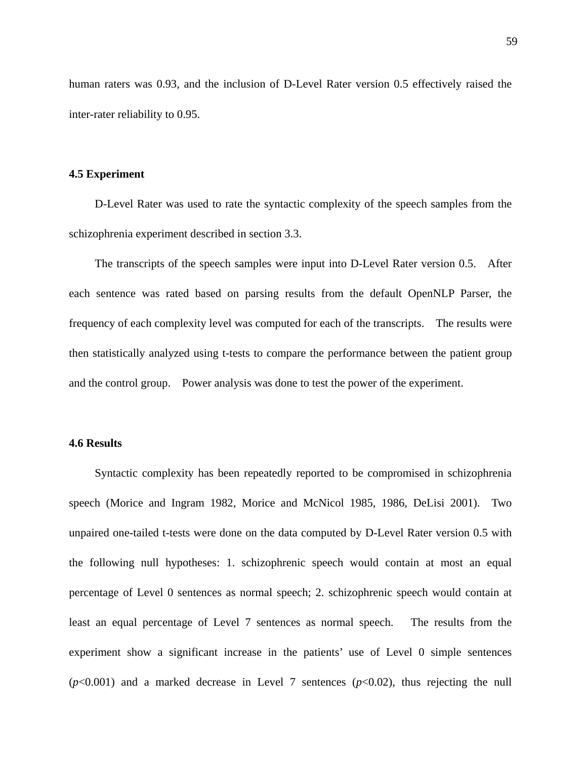human raters was 0.93, and the inclusion of D-Level Rater version 0.5 effectively raised the inter-rater reliability to 0.95.

### **4.5 Experiment**

D-Level Rater was used to rate the syntactic complexity of the speech samples from the schizophrenia experiment described in section 3.3.

The transcripts of the speech samples were input into D-Level Rater version 0.5. After each sentence was rated based on parsing results from the default OpenNLP Parser, the frequency of each complexity level was computed for each of the transcripts. The results were then statistically analyzed using t-tests to compare the performance between the patient group and the control group. Power analysis was done to test the power of the experiment.

# **4.6 Results**

Syntactic complexity has been repeatedly reported to be compromised in schizophrenia speech (Morice and Ingram 1982, Morice and McNicol 1985, 1986, DeLisi 2001). Two unpaired one-tailed t-tests were done on the data computed by D-Level Rater version 0.5 with the following null hypotheses: 1. schizophrenic speech would contain at most an equal percentage of Level 0 sentences as normal speech; 2. schizophrenic speech would contain at least an equal percentage of Level 7 sentences as normal speech. The results from the experiment show a significant increase in the patients' use of Level 0 simple sentences  $(p<0.001)$  and a marked decrease in Level 7 sentences  $(p<0.02)$ , thus rejecting the null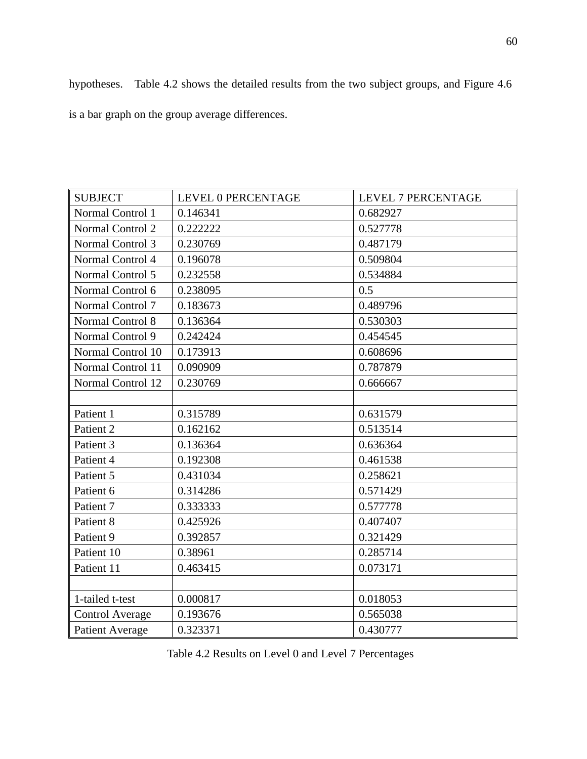hypotheses. Table 4.2 shows the detailed results from the two subject groups, and Figure 4.6 is a bar graph on the group average differences.

| <b>SUBJECT</b>         | <b>LEVEL 0 PERCENTAGE</b> | <b>LEVEL 7 PERCENTAGE</b> |
|------------------------|---------------------------|---------------------------|
| Normal Control 1       | 0.146341                  | 0.682927                  |
| Normal Control 2       | 0.222222                  | 0.527778                  |
| Normal Control 3       | 0.230769                  | 0.487179                  |
| Normal Control 4       | 0.196078                  | 0.509804                  |
| Normal Control 5       | 0.232558                  | 0.534884                  |
| Normal Control 6       | 0.238095                  | 0.5                       |
| Normal Control 7       | 0.183673                  | 0.489796                  |
| Normal Control 8       | 0.136364                  | 0.530303                  |
| Normal Control 9       | 0.242424                  | 0.454545                  |
| Normal Control 10      | 0.173913                  | 0.608696                  |
| Normal Control 11      | 0.090909                  | 0.787879                  |
| Normal Control 12      | 0.230769                  | 0.666667                  |
|                        |                           |                           |
| Patient 1              | 0.315789                  | 0.631579                  |
| Patient 2              | 0.162162                  | 0.513514                  |
| Patient 3              | 0.136364                  | 0.636364                  |
| Patient 4              | 0.192308                  | 0.461538                  |
| Patient 5              | 0.431034                  | 0.258621                  |
| Patient 6              | 0.314286                  | 0.571429                  |
| Patient 7              | 0.333333                  | 0.577778                  |
| Patient 8              | 0.425926                  | 0.407407                  |
| Patient 9              | 0.392857                  | 0.321429                  |
| Patient 10             | 0.38961                   | 0.285714                  |
| Patient 11             | 0.463415                  | 0.073171                  |
|                        |                           |                           |
| 1-tailed t-test        | 0.000817                  | 0.018053                  |
| <b>Control Average</b> | 0.193676                  | 0.565038                  |
| <b>Patient Average</b> | 0.323371                  | 0.430777                  |

Table 4.2 Results on Level 0 and Level 7 Percentages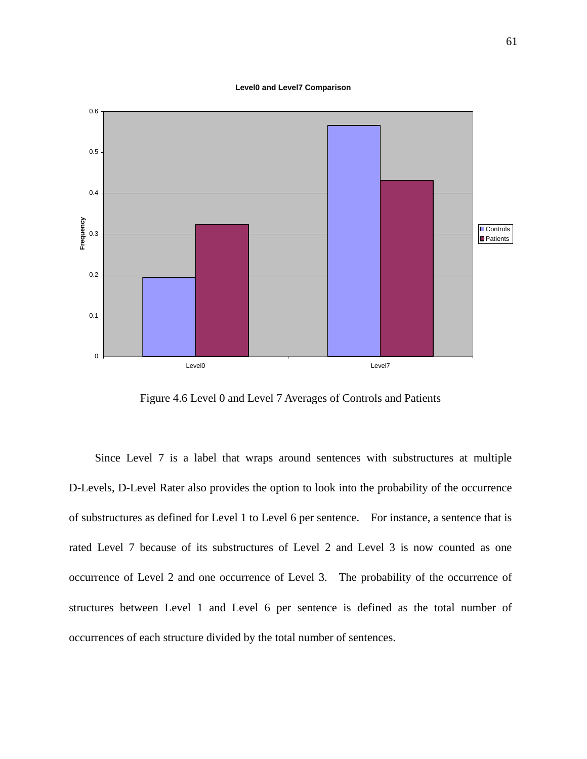#### **Level0 and Level7 Comparison**



Figure 4.6 Level 0 and Level 7 Averages of Controls and Patients

Since Level 7 is a label that wraps around sentences with substructures at multiple D-Levels, D-Level Rater also provides the option to look into the probability of the occurrence of substructures as defined for Level 1 to Level 6 per sentence. For instance, a sentence that is rated Level 7 because of its substructures of Level 2 and Level 3 is now counted as one occurrence of Level 2 and one occurrence of Level 3. The probability of the occurrence of structures between Level 1 and Level 6 per sentence is defined as the total number of occurrences of each structure divided by the total number of sentences.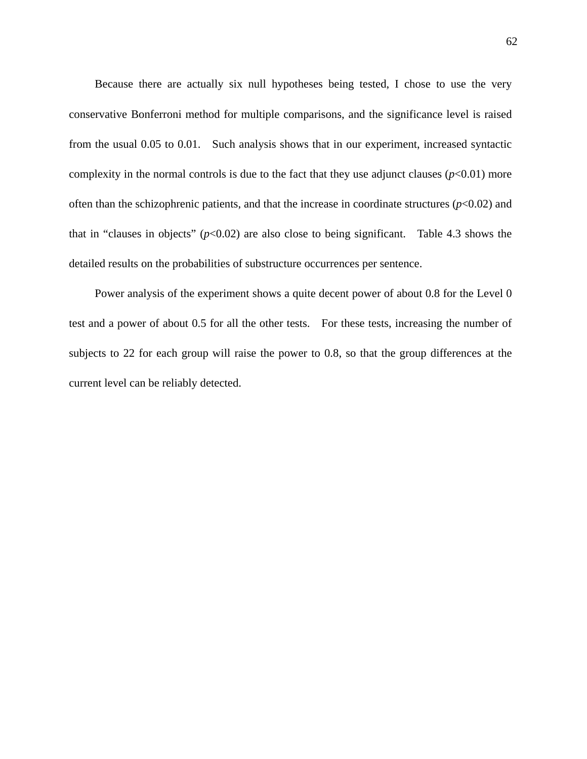Because there are actually six null hypotheses being tested, I chose to use the very conservative Bonferroni method for multiple comparisons, and the significance level is raised from the usual 0.05 to 0.01. Such analysis shows that in our experiment, increased syntactic complexity in the normal controls is due to the fact that they use adjunct clauses  $(p<0.01)$  more often than the schizophrenic patients, and that the increase in coordinate structures  $(p<0.02)$  and that in "clauses in objects"  $(p<0.02)$  are also close to being significant. Table 4.3 shows the detailed results on the probabilities of substructure occurrences per sentence.

Power analysis of the experiment shows a quite decent power of about 0.8 for the Level 0 test and a power of about 0.5 for all the other tests. For these tests, increasing the number of subjects to 22 for each group will raise the power to 0.8, so that the group differences at the current level can be reliably detected.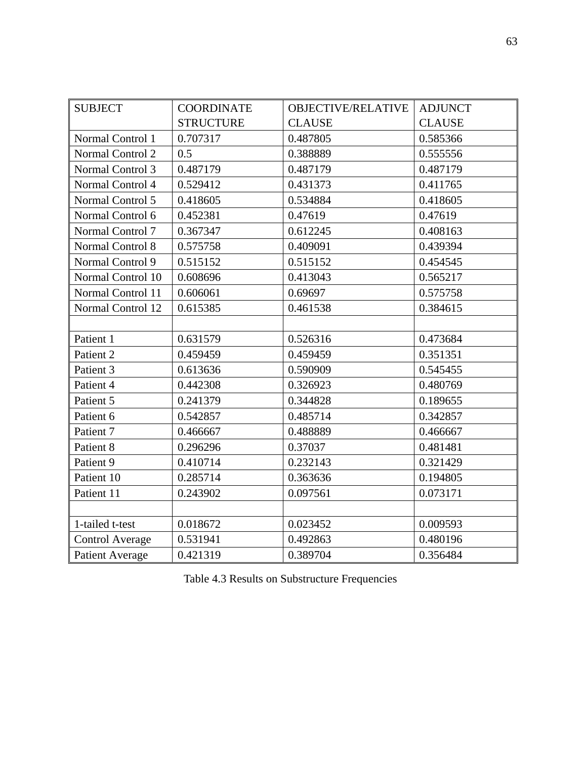| <b>SUBJECT</b>         | <b>COORDINATE</b> | <b>OBJECTIVE/RELATIVE</b> | <b>ADJUNCT</b> |
|------------------------|-------------------|---------------------------|----------------|
|                        | <b>STRUCTURE</b>  | <b>CLAUSE</b>             | <b>CLAUSE</b>  |
| Normal Control 1       | 0.707317          | 0.487805                  | 0.585366       |
| Normal Control 2       | 0.5               | 0.388889                  | 0.555556       |
| Normal Control 3       | 0.487179          | 0.487179                  | 0.487179       |
| Normal Control 4       | 0.529412          | 0.431373                  | 0.411765       |
| Normal Control 5       | 0.418605          | 0.534884                  | 0.418605       |
| Normal Control 6       | 0.452381          | 0.47619                   | 0.47619        |
| Normal Control 7       | 0.367347          | 0.612245                  | 0.408163       |
| Normal Control 8       | 0.575758          | 0.409091                  | 0.439394       |
| Normal Control 9       | 0.515152          | 0.515152                  | 0.454545       |
| Normal Control 10      | 0.608696          | 0.413043                  | 0.565217       |
| Normal Control 11      | 0.606061          | 0.69697                   | 0.575758       |
| Normal Control 12      | 0.615385          | 0.461538                  | 0.384615       |
|                        |                   |                           |                |
| Patient 1              | 0.631579          | 0.526316                  | 0.473684       |
| Patient 2              | 0.459459          | 0.459459                  | 0.351351       |
| Patient 3              | 0.613636          | 0.590909                  | 0.545455       |
| Patient 4              | 0.442308          | 0.326923                  | 0.480769       |
| Patient 5              | 0.241379          | 0.344828                  | 0.189655       |
| Patient 6              | 0.542857          | 0.485714                  | 0.342857       |
| Patient 7              | 0.466667          | 0.488889                  | 0.466667       |
| Patient 8              | 0.296296          | 0.37037                   | 0.481481       |
| Patient 9              | 0.410714          | 0.232143                  | 0.321429       |
| Patient 10             | 0.285714          | 0.363636                  | 0.194805       |
| Patient 11             | 0.243902          | 0.097561                  | 0.073171       |
|                        |                   |                           |                |
| 1-tailed t-test        | 0.018672          | 0.023452                  | 0.009593       |
| Control Average        | 0.531941          | 0.492863                  | 0.480196       |
| <b>Patient Average</b> | 0.421319          | 0.389704                  | 0.356484       |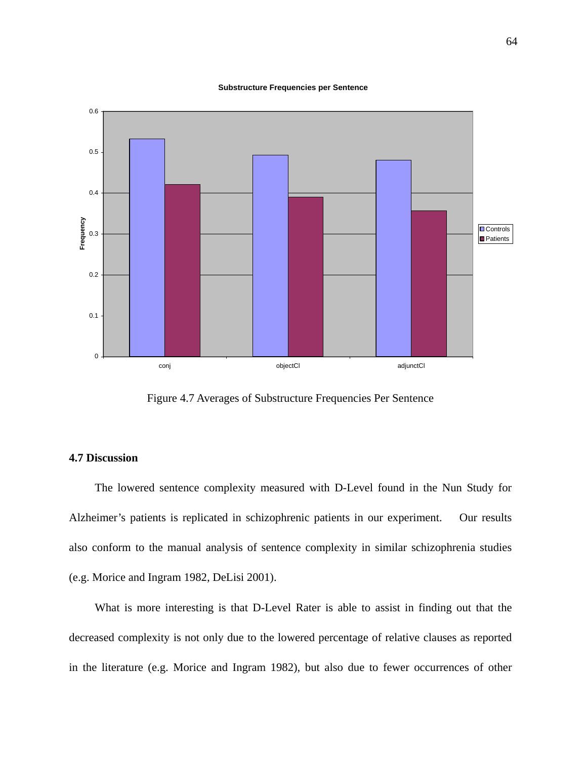#### **Substructure Frequencies per Sentence**



Figure 4.7 Averages of Substructure Frequencies Per Sentence

### **4.7 Discussion**

The lowered sentence complexity measured with D-Level found in the Nun Study for Alzheimer's patients is replicated in schizophrenic patients in our experiment. Our results also conform to the manual analysis of sentence complexity in similar schizophrenia studies (e.g. Morice and Ingram 1982, DeLisi 2001).

What is more interesting is that D-Level Rater is able to assist in finding out that the decreased complexity is not only due to the lowered percentage of relative clauses as reported in the literature (e.g. Morice and Ingram 1982), but also due to fewer occurrences of other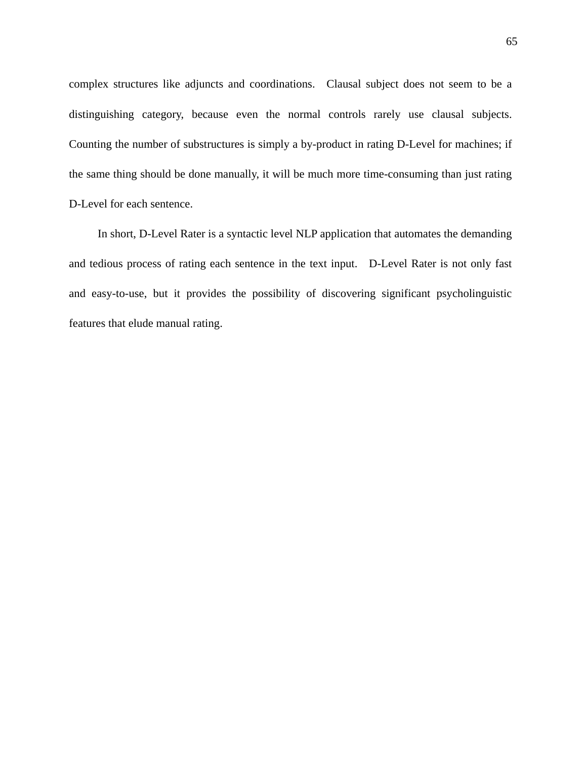complex structures like adjuncts and coordinations. Clausal subject does not seem to be a distinguishing category, because even the normal controls rarely use clausal subjects. Counting the number of substructures is simply a by-product in rating D-Level for machines; if the same thing should be done manually, it will be much more time-consuming than just rating D-Level for each sentence.

In short, D-Level Rater is a syntactic level NLP application that automates the demanding and tedious process of rating each sentence in the text input. D-Level Rater is not only fast and easy-to-use, but it provides the possibility of discovering significant psycholinguistic features that elude manual rating.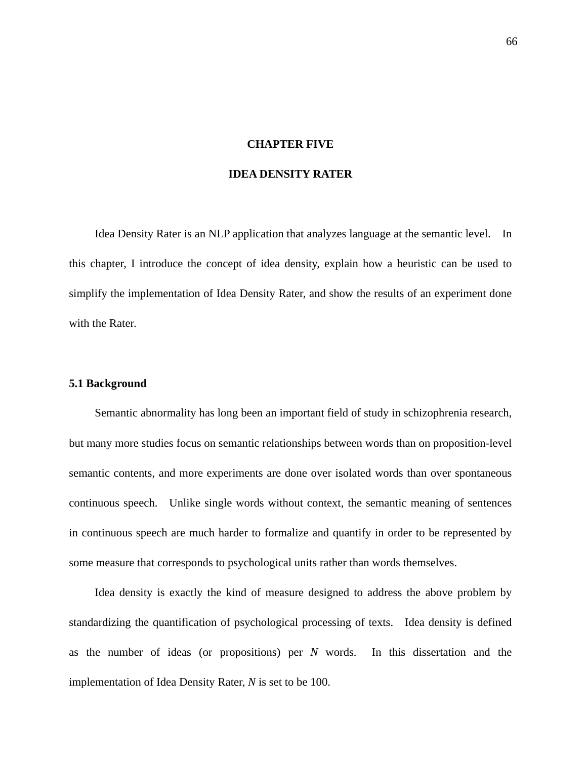## **CHAPTER FIVE**

## **IDEA DENSITY RATER**

Idea Density Rater is an NLP application that analyzes language at the semantic level. In this chapter, I introduce the concept of idea density, explain how a heuristic can be used to simplify the implementation of Idea Density Rater, and show the results of an experiment done with the Rater.

#### **5.1 Background**

Semantic abnormality has long been an important field of study in schizophrenia research, but many more studies focus on semantic relationships between words than on proposition-level semantic contents, and more experiments are done over isolated words than over spontaneous continuous speech. Unlike single words without context, the semantic meaning of sentences in continuous speech are much harder to formalize and quantify in order to be represented by some measure that corresponds to psychological units rather than words themselves.

Idea density is exactly the kind of measure designed to address the above problem by standardizing the quantification of psychological processing of texts. Idea density is defined as the number of ideas (or propositions) per *N* words. In this dissertation and the implementation of Idea Density Rater, *N* is set to be 100.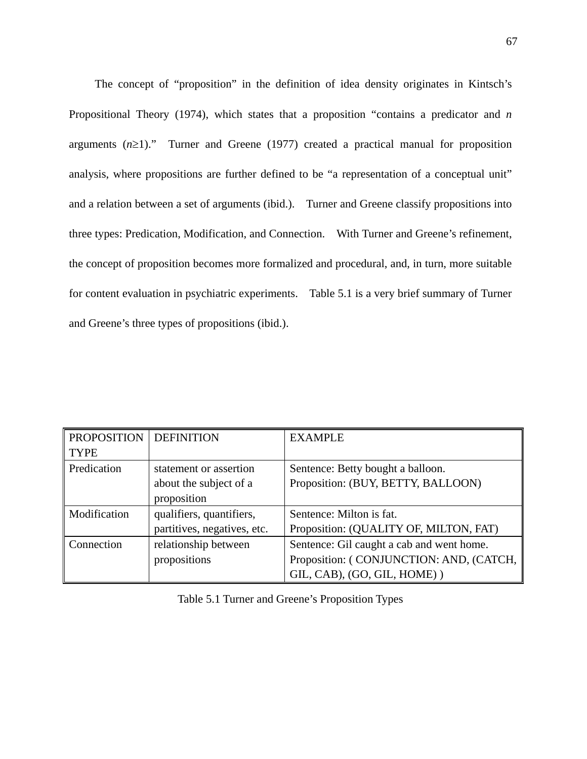The concept of "proposition" in the definition of idea density originates in Kintsch's Propositional Theory (1974), which states that a proposition "contains a predicator and *n* arguments  $(n \geq 1)$ ." Turner and Greene (1977) created a practical manual for proposition analysis, where propositions are further defined to be "a representation of a conceptual unit" and a relation between a set of arguments (ibid.). Turner and Greene classify propositions into three types: Predication, Modification, and Connection. With Turner and Greene's refinement, the concept of proposition becomes more formalized and procedural, and, in turn, more suitable for content evaluation in psychiatric experiments. Table 5.1 is a very brief summary of Turner and Greene's three types of propositions (ibid.).

| PROPOSITION  | <b>DEFINITION</b>           | <b>EXAMPLE</b>                            |
|--------------|-----------------------------|-------------------------------------------|
| <b>TYPE</b>  |                             |                                           |
| Predication  | statement or assertion      | Sentence: Betty bought a balloon.         |
|              | about the subject of a      | Proposition: (BUY, BETTY, BALLOON)        |
|              | proposition                 |                                           |
| Modification | qualifiers, quantifiers,    | Sentence: Milton is fat.                  |
|              | partitives, negatives, etc. | Proposition: (QUALITY OF, MILTON, FAT)    |
| Connection   | relationship between        | Sentence: Gil caught a cab and went home. |
|              | propositions                | Proposition: (CONJUNCTION: AND, (CATCH,   |
|              |                             | GIL, CAB), (GO, GIL, HOME))               |

Table 5.1 Turner and Greene's Proposition Types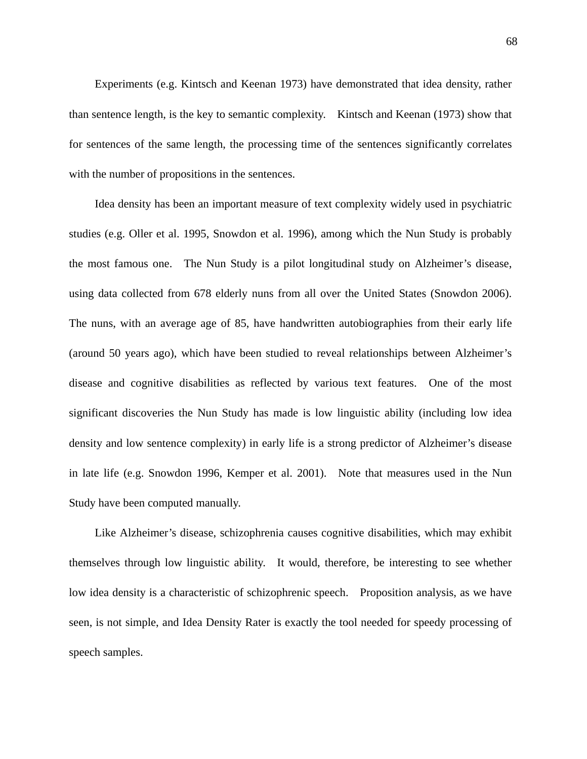Experiments (e.g. Kintsch and Keenan 1973) have demonstrated that idea density, rather than sentence length, is the key to semantic complexity. Kintsch and Keenan (1973) show that for sentences of the same length, the processing time of the sentences significantly correlates with the number of propositions in the sentences.

Idea density has been an important measure of text complexity widely used in psychiatric studies (e.g. Oller et al. 1995, Snowdon et al. 1996), among which the Nun Study is probably the most famous one. The Nun Study is a pilot longitudinal study on Alzheimer's disease, using data collected from 678 elderly nuns from all over the United States (Snowdon 2006). The nuns, with an average age of 85, have handwritten autobiographies from their early life (around 50 years ago), which have been studied to reveal relationships between Alzheimer's disease and cognitive disabilities as reflected by various text features. One of the most significant discoveries the Nun Study has made is low linguistic ability (including low idea density and low sentence complexity) in early life is a strong predictor of Alzheimer's disease in late life (e.g. Snowdon 1996, Kemper et al. 2001). Note that measures used in the Nun Study have been computed manually.

Like Alzheimer's disease, schizophrenia causes cognitive disabilities, which may exhibit themselves through low linguistic ability. It would, therefore, be interesting to see whether low idea density is a characteristic of schizophrenic speech. Proposition analysis, as we have seen, is not simple, and Idea Density Rater is exactly the tool needed for speedy processing of speech samples.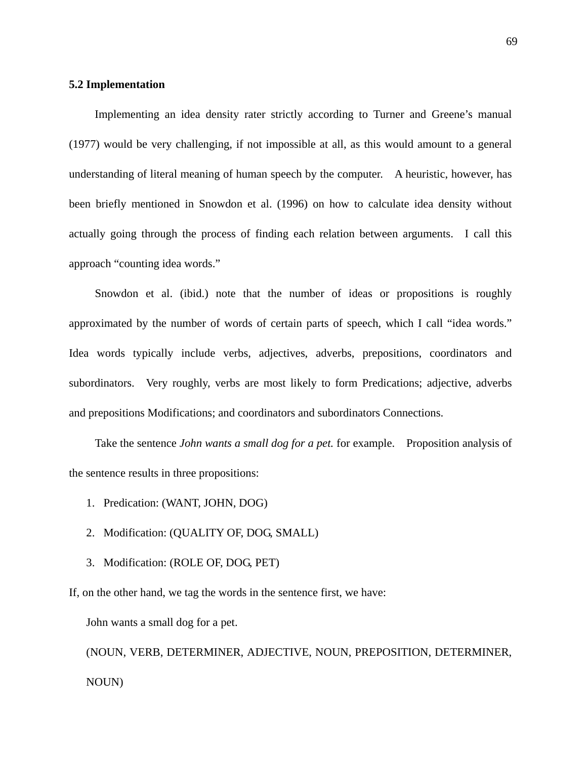## **5.2 Implementation**

Implementing an idea density rater strictly according to Turner and Greene's manual (1977) would be very challenging, if not impossible at all, as this would amount to a general understanding of literal meaning of human speech by the computer. A heuristic, however, has been briefly mentioned in Snowdon et al. (1996) on how to calculate idea density without actually going through the process of finding each relation between arguments. I call this approach "counting idea words."

Snowdon et al. (ibid.) note that the number of ideas or propositions is roughly approximated by the number of words of certain parts of speech, which I call "idea words." Idea words typically include verbs, adjectives, adverbs, prepositions, coordinators and subordinators. Very roughly, verbs are most likely to form Predications; adjective, adverbs and prepositions Modifications; and coordinators and subordinators Connections.

Take the sentence *John wants a small dog for a pet.* for example. Proposition analysis of the sentence results in three propositions:

- 1. Predication: (WANT, JOHN, DOG)
- 2. Modification: (QUALITY OF, DOG, SMALL)
- 3. Modification: (ROLE OF, DOG, PET)

If, on the other hand, we tag the words in the sentence first, we have:

John wants a small dog for a pet.

(NOUN, VERB, DETERMINER, ADJECTIVE, NOUN, PREPOSITION, DETERMINER, NOUN)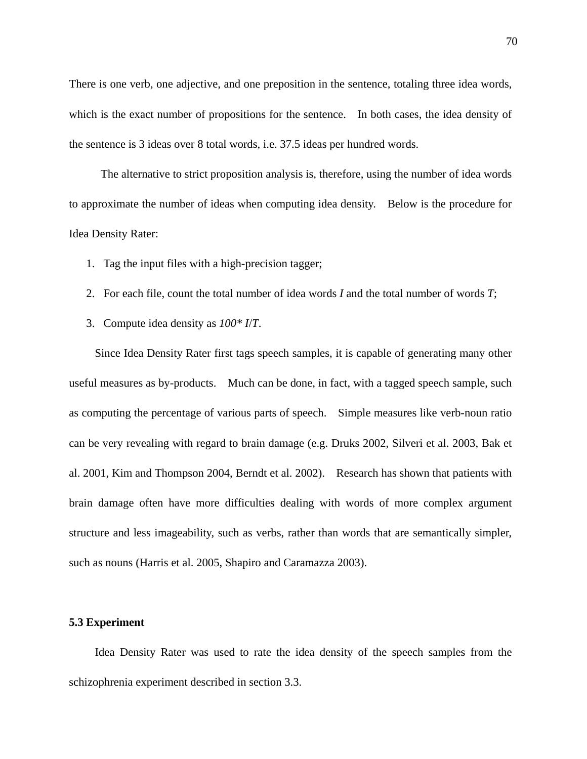There is one verb, one adjective, and one preposition in the sentence, totaling three idea words, which is the exact number of propositions for the sentence. In both cases, the idea density of the sentence is 3 ideas over 8 total words, i.e. 37.5 ideas per hundred words.

The alternative to strict proposition analysis is, therefore, using the number of idea words to approximate the number of ideas when computing idea density. Below is the procedure for Idea Density Rater:

- 1. Tag the input files with a high-precision tagger;
- 2. For each file, count the total number of idea words *I* and the total number of words *T*;
- 3. Compute idea density as *100\* I*/*T*.

Since Idea Density Rater first tags speech samples, it is capable of generating many other useful measures as by-products. Much can be done, in fact, with a tagged speech sample, such as computing the percentage of various parts of speech. Simple measures like verb-noun ratio can be very revealing with regard to brain damage (e.g. Druks 2002, Silveri et al. 2003, Bak et al. 2001, Kim and Thompson 2004, Berndt et al. 2002). Research has shown that patients with brain damage often have more difficulties dealing with words of more complex argument structure and less imageability, such as verbs, rather than words that are semantically simpler, such as nouns (Harris et al. 2005, Shapiro and Caramazza 2003).

#### **5.3 Experiment**

Idea Density Rater was used to rate the idea density of the speech samples from the schizophrenia experiment described in section 3.3.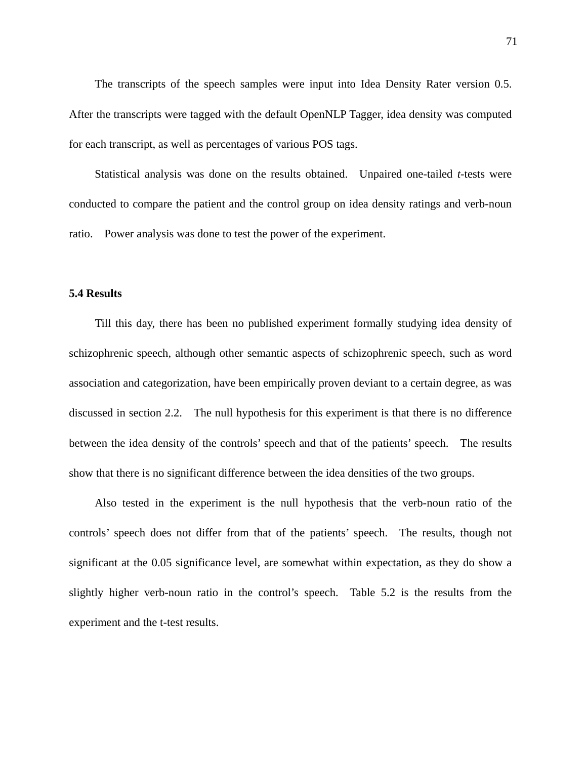The transcripts of the speech samples were input into Idea Density Rater version 0.5. After the transcripts were tagged with the default OpenNLP Tagger, idea density was computed for each transcript, as well as percentages of various POS tags.

Statistical analysis was done on the results obtained. Unpaired one-tailed *t*-tests were conducted to compare the patient and the control group on idea density ratings and verb-noun ratio. Power analysis was done to test the power of the experiment.

#### **5.4 Results**

Till this day, there has been no published experiment formally studying idea density of schizophrenic speech, although other semantic aspects of schizophrenic speech, such as word association and categorization, have been empirically proven deviant to a certain degree, as was discussed in section 2.2. The null hypothesis for this experiment is that there is no difference between the idea density of the controls' speech and that of the patients' speech. The results show that there is no significant difference between the idea densities of the two groups.

Also tested in the experiment is the null hypothesis that the verb-noun ratio of the controls' speech does not differ from that of the patients' speech. The results, though not significant at the 0.05 significance level, are somewhat within expectation, as they do show a slightly higher verb-noun ratio in the control's speech. Table 5.2 is the results from the experiment and the t-test results.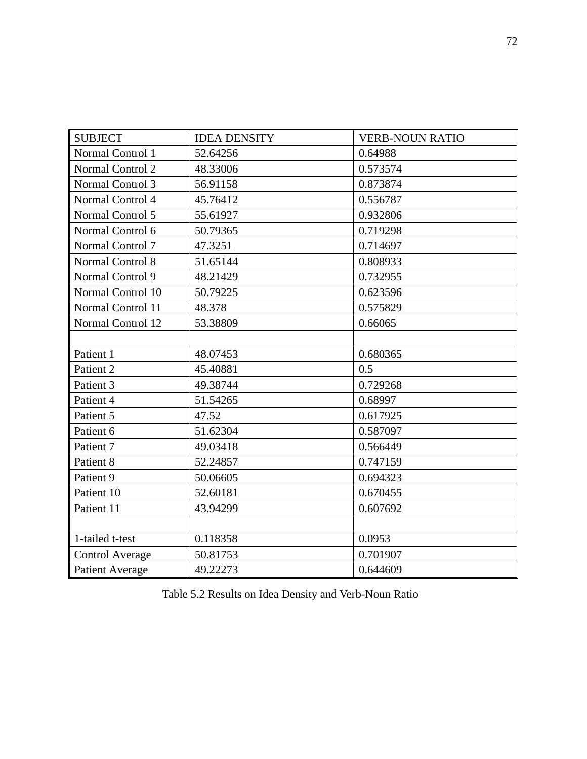| <b>SUBJECT</b>         | <b>IDEA DENSITY</b> | <b>VERB-NOUN RATIO</b> |
|------------------------|---------------------|------------------------|
| Normal Control 1       | 52.64256            | 0.64988                |
| Normal Control 2       | 48.33006            | 0.573574               |
| Normal Control 3       | 56.91158            | 0.873874               |
| Normal Control 4       | 45.76412            | 0.556787               |
| Normal Control 5       | 55.61927            | 0.932806               |
| Normal Control 6       | 50.79365            | 0.719298               |
| Normal Control 7       | 47.3251             | 0.714697               |
| Normal Control 8       | 51.65144            | 0.808933               |
| Normal Control 9       | 48.21429            | 0.732955               |
| Normal Control 10      | 50.79225            | 0.623596               |
| Normal Control 11      | 48.378              | 0.575829               |
| Normal Control 12      | 53.38809            | 0.66065                |
|                        |                     |                        |
| Patient 1              | 48.07453            | 0.680365               |
| Patient 2              | 45.40881            | 0.5                    |
| Patient 3              | 49.38744            | 0.729268               |
| Patient 4              | 51.54265            | 0.68997                |
| Patient 5              | 47.52               | 0.617925               |
| Patient 6              | 51.62304            | 0.587097               |
| Patient 7              | 49.03418            | 0.566449               |
| Patient 8              | 52.24857            | 0.747159               |
| Patient 9              | 50.06605            | 0.694323               |
| Patient 10             | 52.60181            | 0.670455               |
| Patient 11             | 43.94299            | 0.607692               |
|                        |                     |                        |
| 1-tailed t-test        | 0.118358            | 0.0953                 |
| <b>Control Average</b> | 50.81753            | 0.701907               |
| <b>Patient Average</b> | 49.22273            | 0.644609               |

Table 5.2 Results on Idea Density and Verb-Noun Ratio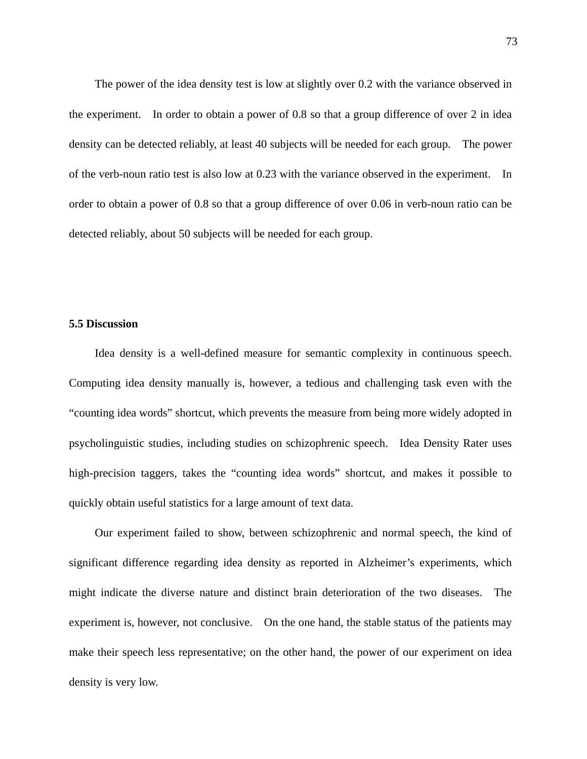The power of the idea density test is low at slightly over 0.2 with the variance observed in the experiment. In order to obtain a power of 0.8 so that a group difference of over 2 in idea density can be detected reliably, at least 40 subjects will be needed for each group. The power of the verb-noun ratio test is also low at 0.23 with the variance observed in the experiment. In order to obtain a power of 0.8 so that a group difference of over 0.06 in verb-noun ratio can be detected reliably, about 50 subjects will be needed for each group.

#### **5.5 Discussion**

Idea density is a well-defined measure for semantic complexity in continuous speech. Computing idea density manually is, however, a tedious and challenging task even with the "counting idea words" shortcut, which prevents the measure from being more widely adopted in psycholinguistic studies, including studies on schizophrenic speech. Idea Density Rater uses high-precision taggers, takes the "counting idea words" shortcut, and makes it possible to quickly obtain useful statistics for a large amount of text data.

Our experiment failed to show, between schizophrenic and normal speech, the kind of significant difference regarding idea density as reported in Alzheimer's experiments, which might indicate the diverse nature and distinct brain deterioration of the two diseases. The experiment is, however, not conclusive. On the one hand, the stable status of the patients may make their speech less representative; on the other hand, the power of our experiment on idea density is very low.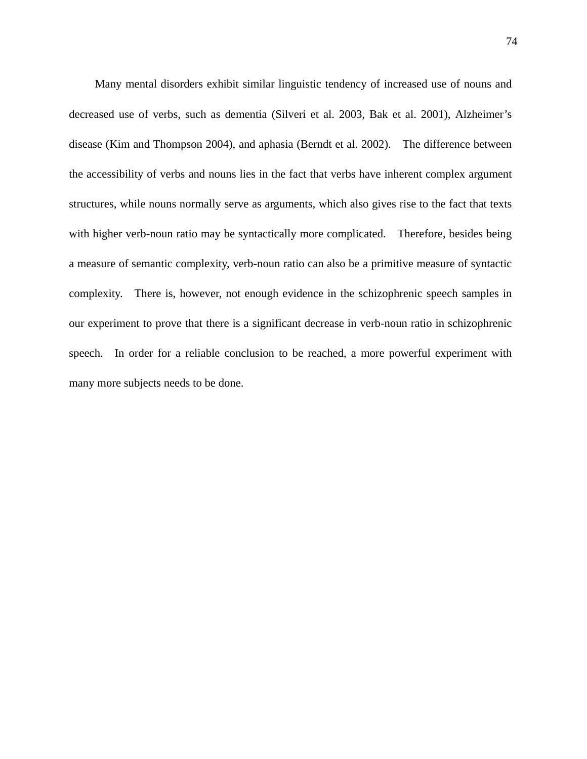Many mental disorders exhibit similar linguistic tendency of increased use of nouns and decreased use of verbs, such as dementia (Silveri et al. 2003, Bak et al. 2001), Alzheimer's disease (Kim and Thompson 2004), and aphasia (Berndt et al. 2002). The difference between the accessibility of verbs and nouns lies in the fact that verbs have inherent complex argument structures, while nouns normally serve as arguments, which also gives rise to the fact that texts with higher verb-noun ratio may be syntactically more complicated. Therefore, besides being a measure of semantic complexity, verb-noun ratio can also be a primitive measure of syntactic complexity. There is, however, not enough evidence in the schizophrenic speech samples in our experiment to prove that there is a significant decrease in verb-noun ratio in schizophrenic speech. In order for a reliable conclusion to be reached, a more powerful experiment with many more subjects needs to be done.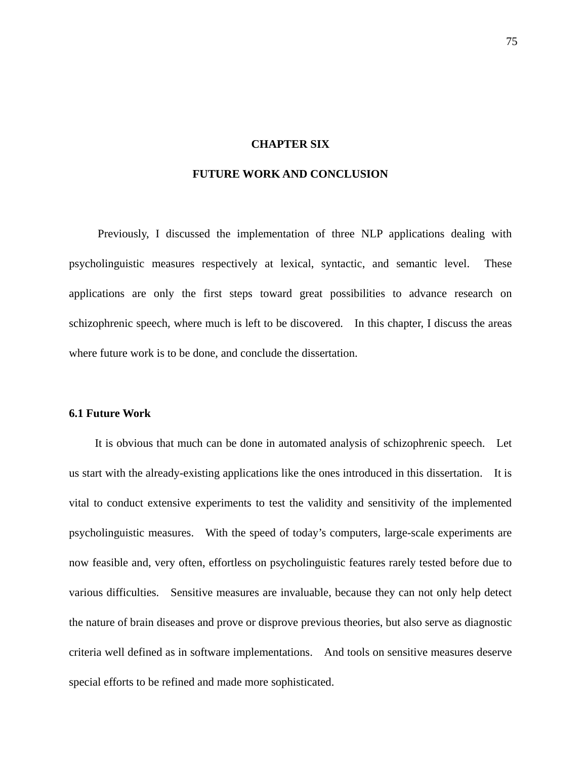## **CHAPTER SIX**

## **FUTURE WORK AND CONCLUSION**

Previously, I discussed the implementation of three NLP applications dealing with psycholinguistic measures respectively at lexical, syntactic, and semantic level. These applications are only the first steps toward great possibilities to advance research on schizophrenic speech, where much is left to be discovered. In this chapter, I discuss the areas where future work is to be done, and conclude the dissertation.

## **6.1 Future Work**

It is obvious that much can be done in automated analysis of schizophrenic speech. Let us start with the already-existing applications like the ones introduced in this dissertation. It is vital to conduct extensive experiments to test the validity and sensitivity of the implemented psycholinguistic measures. With the speed of today's computers, large-scale experiments are now feasible and, very often, effortless on psycholinguistic features rarely tested before due to various difficulties. Sensitive measures are invaluable, because they can not only help detect the nature of brain diseases and prove or disprove previous theories, but also serve as diagnostic criteria well defined as in software implementations. And tools on sensitive measures deserve special efforts to be refined and made more sophisticated.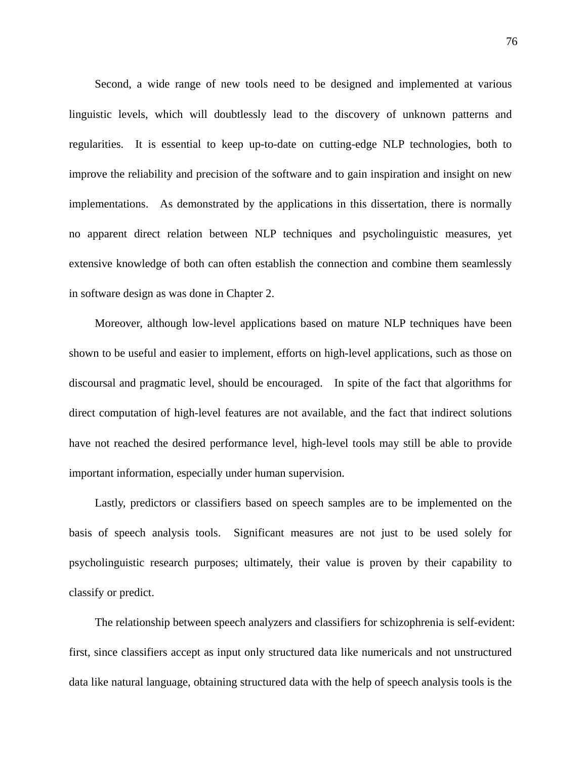Second, a wide range of new tools need to be designed and implemented at various linguistic levels, which will doubtlessly lead to the discovery of unknown patterns and regularities. It is essential to keep up-to-date on cutting-edge NLP technologies, both to improve the reliability and precision of the software and to gain inspiration and insight on new implementations. As demonstrated by the applications in this dissertation, there is normally no apparent direct relation between NLP techniques and psycholinguistic measures, yet extensive knowledge of both can often establish the connection and combine them seamlessly in software design as was done in Chapter 2.

Moreover, although low-level applications based on mature NLP techniques have been shown to be useful and easier to implement, efforts on high-level applications, such as those on discoursal and pragmatic level, should be encouraged. In spite of the fact that algorithms for direct computation of high-level features are not available, and the fact that indirect solutions have not reached the desired performance level, high-level tools may still be able to provide important information, especially under human supervision.

Lastly, predictors or classifiers based on speech samples are to be implemented on the basis of speech analysis tools. Significant measures are not just to be used solely for psycholinguistic research purposes; ultimately, their value is proven by their capability to classify or predict.

The relationship between speech analyzers and classifiers for schizophrenia is self-evident: first, since classifiers accept as input only structured data like numericals and not unstructured data like natural language, obtaining structured data with the help of speech analysis tools is the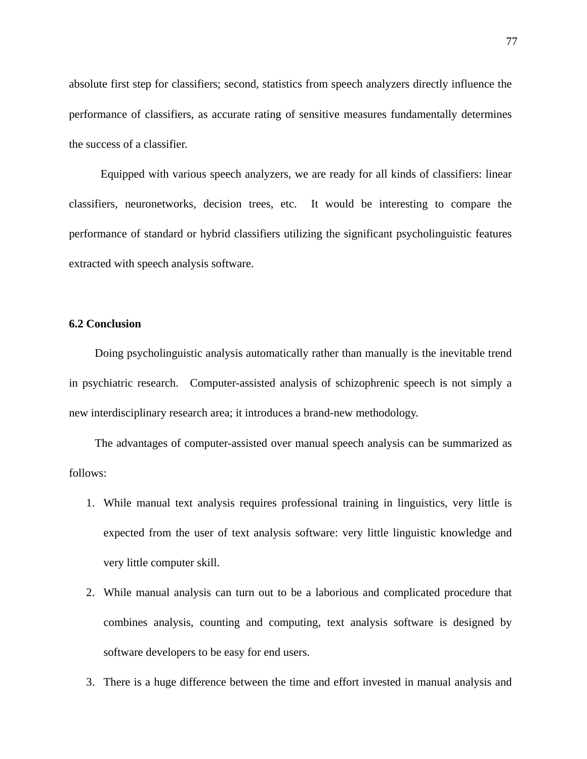absolute first step for classifiers; second, statistics from speech analyzers directly influence the performance of classifiers, as accurate rating of sensitive measures fundamentally determines the success of a classifier.

Equipped with various speech analyzers, we are ready for all kinds of classifiers: linear classifiers, neuronetworks, decision trees, etc. It would be interesting to compare the performance of standard or hybrid classifiers utilizing the significant psycholinguistic features extracted with speech analysis software.

# **6.2 Conclusion**

Doing psycholinguistic analysis automatically rather than manually is the inevitable trend in psychiatric research. Computer-assisted analysis of schizophrenic speech is not simply a new interdisciplinary research area; it introduces a brand-new methodology.

The advantages of computer-assisted over manual speech analysis can be summarized as follows:

- 1. While manual text analysis requires professional training in linguistics, very little is expected from the user of text analysis software: very little linguistic knowledge and very little computer skill.
- 2. While manual analysis can turn out to be a laborious and complicated procedure that combines analysis, counting and computing, text analysis software is designed by software developers to be easy for end users.
- 3. There is a huge difference between the time and effort invested in manual analysis and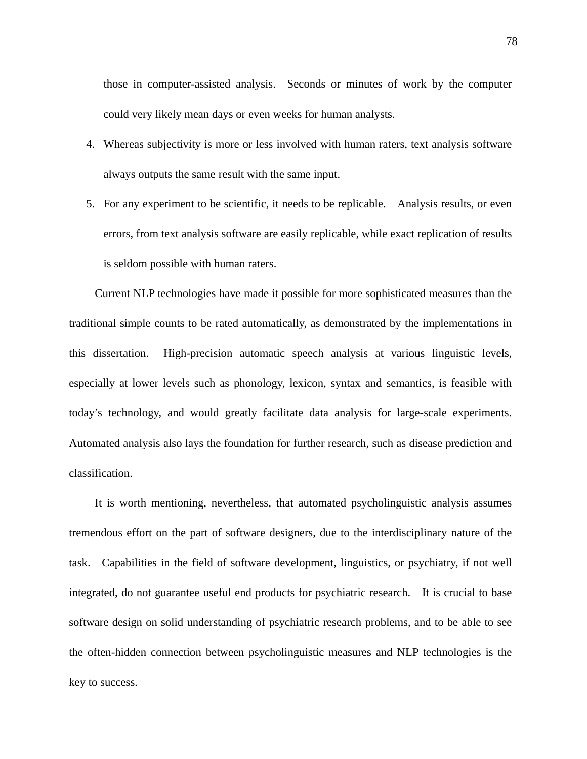those in computer-assisted analysis. Seconds or minutes of work by the computer could very likely mean days or even weeks for human analysts.

- 4. Whereas subjectivity is more or less involved with human raters, text analysis software always outputs the same result with the same input.
- 5. For any experiment to be scientific, it needs to be replicable. Analysis results, or even errors, from text analysis software are easily replicable, while exact replication of results is seldom possible with human raters.

Current NLP technologies have made it possible for more sophisticated measures than the traditional simple counts to be rated automatically, as demonstrated by the implementations in this dissertation. High-precision automatic speech analysis at various linguistic levels, especially at lower levels such as phonology, lexicon, syntax and semantics, is feasible with today's technology, and would greatly facilitate data analysis for large-scale experiments. Automated analysis also lays the foundation for further research, such as disease prediction and classification.

It is worth mentioning, nevertheless, that automated psycholinguistic analysis assumes tremendous effort on the part of software designers, due to the interdisciplinary nature of the task. Capabilities in the field of software development, linguistics, or psychiatry, if not well integrated, do not guarantee useful end products for psychiatric research. It is crucial to base software design on solid understanding of psychiatric research problems, and to be able to see the often-hidden connection between psycholinguistic measures and NLP technologies is the key to success.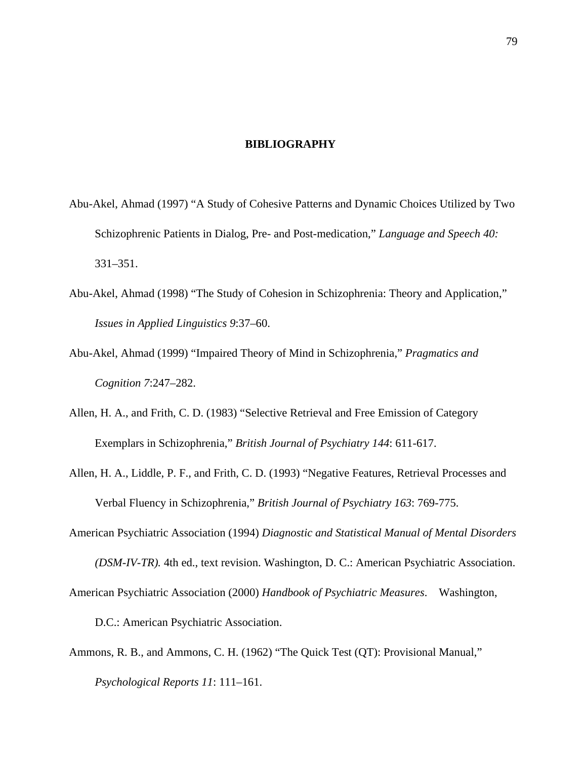#### **BIBLIOGRAPHY**

- Abu-Akel, Ahmad (1997) "A Study of Cohesive Patterns and Dynamic Choices Utilized by Two Schizophrenic Patients in Dialog, Pre- and Post-medication," *Language and Speech 40:*  331–351.
- Abu-Akel, Ahmad (1998) "The Study of Cohesion in Schizophrenia: Theory and Application," *Issues in Applied Linguistics 9*:37–60.
- Abu-Akel, Ahmad (1999) "Impaired Theory of Mind in Schizophrenia," *Pragmatics and Cognition 7*:247–282.
- Allen, H. A., and Frith, C. D. (1983) "Selective Retrieval and Free Emission of Category Exemplars in Schizophrenia," *British Journal of Psychiatry 144*: 611-617.
- Allen, H. A., Liddle, P. F., and Frith, C. D. (1993) "Negative Features, Retrieval Processes and Verbal Fluency in Schizophrenia," *British Journal of Psychiatry 163*: 769-775.
- American Psychiatric Association (1994) *Diagnostic and Statistical Manual of Mental Disorders (DSM-IV-TR).* 4th ed., text revision. Washington, D. C.: American Psychiatric Association. American Psychiatric Association (2000) *Handbook of Psychiatric Measures*. Washington,
	- D.C.: American Psychiatric Association.
- Ammons, R. B., and Ammons, C. H. (1962) "The Quick Test (QT): Provisional Manual," *Psychological Reports 11*: 111–161.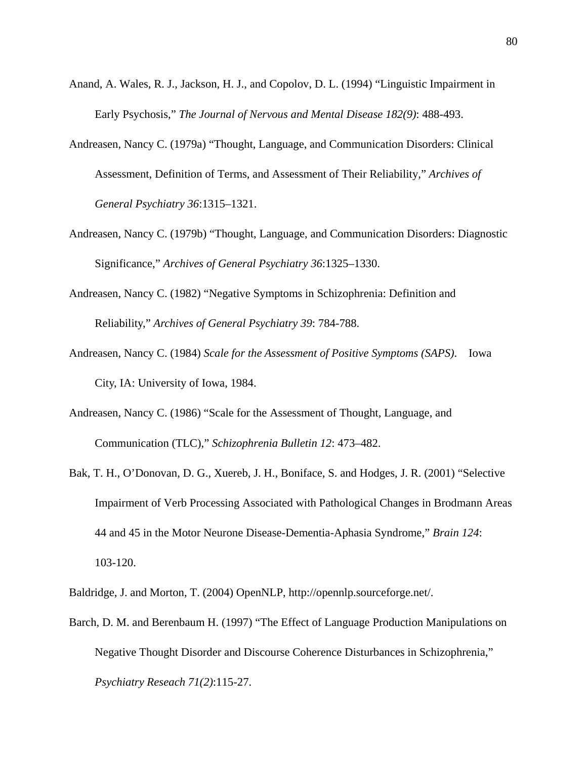- Anand, A. Wales, R. J., Jackson, H. J., and Copolov, D. L. (1994) "Linguistic Impairment in Early Psychosis," *The Journal of Nervous and Mental Disease 182(9)*: 488-493.
- Andreasen, Nancy C. (1979a) "Thought, Language, and Communication Disorders: Clinical Assessment, Definition of Terms, and Assessment of Their Reliability," *Archives of General Psychiatry 36*:1315–1321.
- Andreasen, Nancy C. (1979b) "Thought, Language, and Communication Disorders: Diagnostic Significance," *Archives of General Psychiatry 36*:1325–1330.
- Andreasen, Nancy C. (1982) "Negative Symptoms in Schizophrenia: Definition and Reliability," *Archives of General Psychiatry 39*: 784-788.
- Andreasen, Nancy C. (1984) *Scale for the Assessment of Positive Symptoms (SAPS)*. Iowa City, IA: University of Iowa, 1984.
- Andreasen, Nancy C. (1986) "Scale for the Assessment of Thought, Language, and Communication (TLC)," *Schizophrenia Bulletin 12*: 473–482.
- Bak, T. H., O'Donovan, D. G., Xuereb, J. H., Boniface, S. and Hodges, J. R. (2001) "Selective Impairment of Verb Processing Associated with Pathological Changes in Brodmann Areas 44 and 45 in the Motor Neurone Disease-Dementia-Aphasia Syndrome," *Brain 124*: 103-120.
- Baldridge, J. and Morton, T. (2004) OpenNLP, http://opennlp.sourceforge.net/.
- Barch, D. M. and Berenbaum H. (1997) "The Effect of Language Production Manipulations on Negative Thought Disorder and Discourse Coherence Disturbances in Schizophrenia," *Psychiatry Reseach 71(2)*:115-27.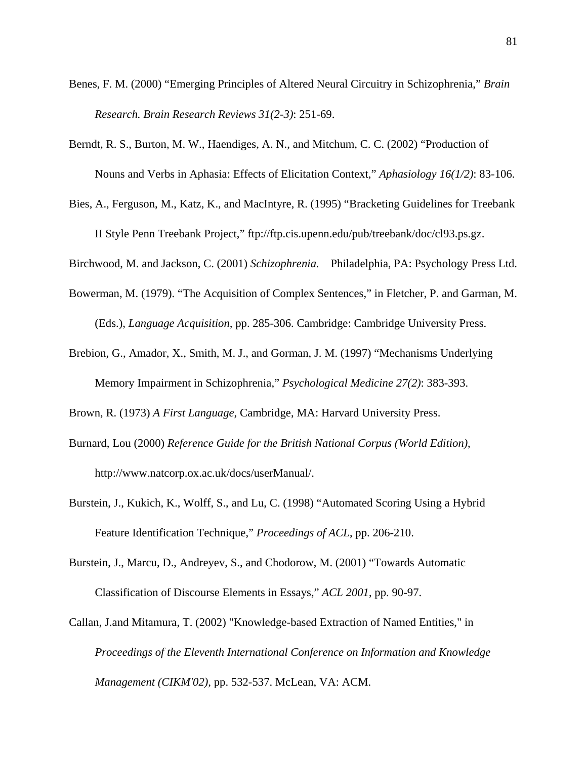- Benes, F. M. (2000) "Emerging Principles of Altered Neural Circuitry in Schizophrenia," *Brain Research. Brain Research Reviews 31(2-3)*: 251-69.
- Berndt, R. S., Burton, M. W., Haendiges, A. N., and Mitchum, C. C. (2002) "Production of Nouns and Verbs in Aphasia: Effects of Elicitation Context," *Aphasiology 16(1/2)*: 83-106.
- Bies, A., Ferguson, M., Katz, K., and MacIntyre, R. (1995) "Bracketing Guidelines for Treebank II Style Penn Treebank Project," ftp://ftp.cis.upenn.edu/pub/treebank/doc/cl93.ps.gz.

Birchwood, M. and Jackson, C. (2001) *Schizophrenia.* Philadelphia, PA: Psychology Press Ltd.

- Bowerman, M. (1979). "The Acquisition of Complex Sentences," in Fletcher, P. and Garman, M. (Eds.), *Language Acquisition,* pp. 285-306. Cambridge: Cambridge University Press.
- Brebion, G., Amador, X., Smith, M. J., and Gorman, J. M. (1997) "Mechanisms Underlying Memory Impairment in Schizophrenia," *Psychological Medicine 27(2)*: 383-393.

Brown, R. (1973) *A First Language*, Cambridge, MA: Harvard University Press.

- Burnard, Lou (2000) *Reference Guide for the British National Corpus (World Edition)*, http://www.natcorp.ox.ac.uk/docs/userManual/.
- Burstein, J., Kukich, K., Wolff, S., and Lu, C. (1998) "Automated Scoring Using a Hybrid Feature Identification Technique," *Proceedings of ACL*, pp. 206-210.
- Burstein, J., Marcu, D., Andreyev, S., and Chodorow, M. (2001) "Towards Automatic Classification of Discourse Elements in Essays," *ACL 2001*, pp. 90-97.
- Callan, J.and Mitamura, T. (2002) "Knowledge-based Extraction of Named Entities," in *Proceedings of the Eleventh International Conference on Information and Knowledge Management (CIKM'02),* pp. 532-537. McLean, VA: ACM.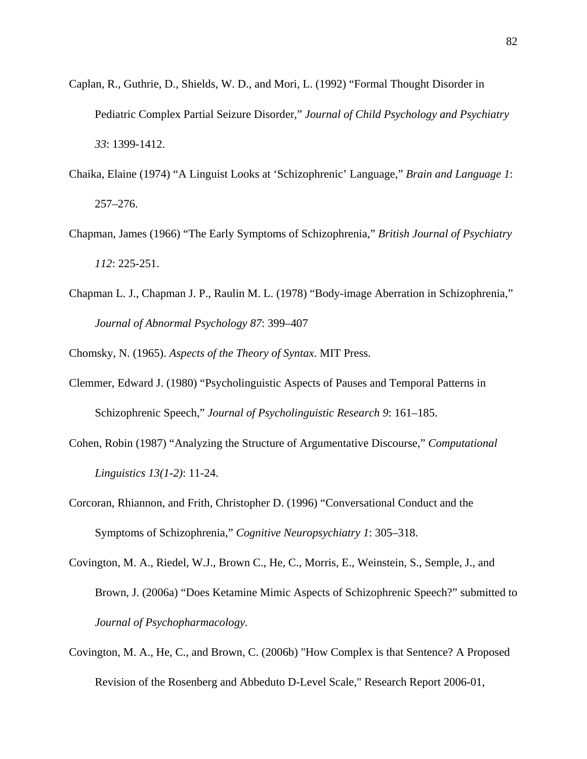- Caplan, R., Guthrie, D., Shields, W. D., and Mori, L. (1992) "Formal Thought Disorder in Pediatric Complex Partial Seizure Disorder," *Journal of Child Psychology and Psychiatry 33*: 1399-1412.
- Chaika, Elaine (1974) "A Linguist Looks at 'Schizophrenic' Language," *Brain and Language 1*: 257–276.
- Chapman, James (1966) "The Early Symptoms of Schizophrenia," *British Journal of Psychiatry 112*: 225-251.
- Chapman L. J., Chapman J. P., Raulin M. L. (1978) "Body-image Aberration in Schizophrenia," *Journal of Abnormal Psychology 87*: 399–407

Chomsky, N. (1965). *Aspects of the Theory of Syntax*. MIT Press.

- Clemmer, Edward J. (1980) "Psycholinguistic Aspects of Pauses and Temporal Patterns in Schizophrenic Speech," *Journal of Psycholinguistic Research 9*: 161–185.
- Cohen, Robin (1987) "Analyzing the Structure of Argumentative Discourse," *Computational Linguistics 13(1-2)*: 11-24.
- Corcoran, Rhiannon, and Frith, Christopher D. (1996) "Conversational Conduct and the Symptoms of Schizophrenia," *Cognitive Neuropsychiatry 1*: 305–318.
- Covington, M. A., Riedel, W.J., Brown C., He, C., Morris, E., Weinstein, S., Semple, J., and Brown, J. (2006a) "Does Ketamine Mimic Aspects of Schizophrenic Speech?" submitted to *Journal of Psychopharmacology.*
- Covington, M. A., He, C., and Brown, C. (2006b) "How Complex is that Sentence? A Proposed Revision of the Rosenberg and Abbeduto D-Level Scale," Research Report 2006-01,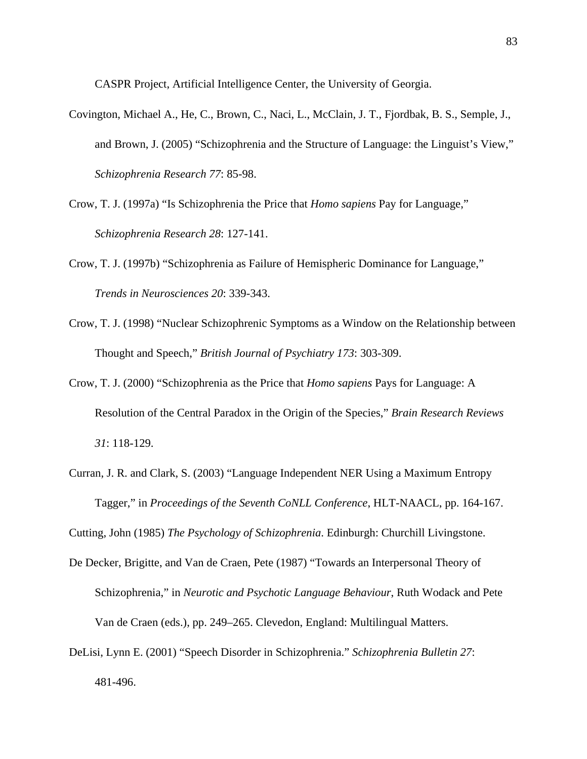CASPR Project, Artificial Intelligence Center, the University of Georgia.

- Covington, Michael A., He, C., Brown, C., Naci, L., McClain, J. T., Fjordbak, B. S., Semple, J., and Brown, J. (2005) "Schizophrenia and the Structure of Language: the Linguist's View," *Schizophrenia Research 77*: 85-98.
- Crow, T. J. (1997a) "Is Schizophrenia the Price that *Homo sapiens* Pay for Language," *Schizophrenia Research 28*: 127-141.
- Crow, T. J. (1997b) "Schizophrenia as Failure of Hemispheric Dominance for Language," *Trends in Neurosciences 20*: 339-343.
- Crow, T. J. (1998) "Nuclear Schizophrenic Symptoms as a Window on the Relationship between Thought and Speech," *British Journal of Psychiatry 173*: 303-309.
- Crow, T. J. (2000) "Schizophrenia as the Price that *Homo sapiens* Pays for Language: A Resolution of the Central Paradox in the Origin of the Species," *Brain Research Reviews 31*: 118-129.
- Curran, J. R. and Clark, S. (2003) "Language Independent NER Using a Maximum Entropy Tagger," in *Proceedings of the Seventh CoNLL Conference*, HLT-NAACL, pp. 164-167.

Cutting, John (1985) *The Psychology of Schizophrenia*. Edinburgh: Churchill Livingstone.

- De Decker, Brigitte, and Van de Craen, Pete (1987) "Towards an Interpersonal Theory of Schizophrenia," in *Neurotic and Psychotic Language Behaviour*, Ruth Wodack and Pete Van de Craen (eds.), pp. 249–265. Clevedon, England: Multilingual Matters.
- DeLisi, Lynn E. (2001) "Speech Disorder in Schizophrenia." *Schizophrenia Bulletin 27*: 481-496.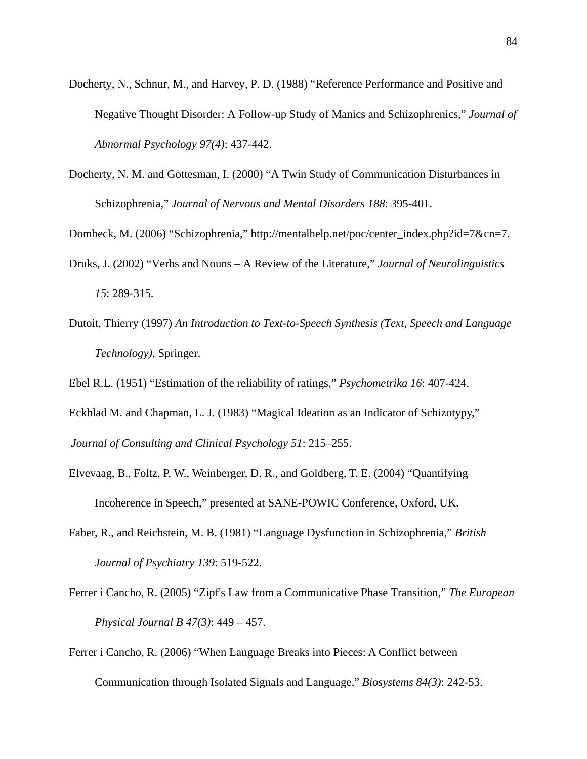- Docherty, N., Schnur, M., and Harvey, P. D. (1988) "Reference Performance and Positive and Negative Thought Disorder: A Follow-up Study of Manics and Schizophrenics," *Journal of Abnormal Psychology 97(4)*: 437-442.
- Docherty, N. M. and Gottesman, I. (2000) "A Twin Study of Communication Disturbances in Schizophrenia," *Journal of Nervous and Mental Disorders 188*: 395-401.

Dombeck, M. (2006) "Schizophrenia," http://mentalhelp.net/poc/center\_index.php?id=7&cn=7.

- Druks, J. (2002) "Verbs and Nouns A Review of the Literature," *Journal of Neurolinguistics 15*: 289-315.
- Dutoit, Thierry (1997) *An Introduction to Text-to-Speech Synthesis (Text, Speech and Language Technology)*, Springer.

Ebel R.L. (1951) "Estimation of the reliability of ratings," *Psychometrika 16*: 407-424.

Eckblad M. and Chapman, L. J. (1983) "Magical Ideation as an Indicator of Schizotypy," *Journal of Consulting and Clinical Psychology 51*: 215–255.

- Elvevaag, B., Foltz, P. W., Weinberger, D. R., and Goldberg, T. E. (2004) "Quantifying Incoherence in Speech," presented at SANE-POWIC Conference, Oxford, UK.
- Faber, R., and Reichstein, M. B. (1981) "Language Dysfunction in Schizophrenia," *British Journal of Psychiatry 139*: 519-522.
- Ferrer i Cancho, R. (2005) "Zipf's Law from a Communicative Phase Transition," *The European Physical Journal B 47(3)*: 449 – 457.

Ferrer i Cancho, R. (2006) "When Language Breaks into Pieces: A Conflict between Communication through Isolated Signals and Language," *Biosystems 84(3)*: 242-53.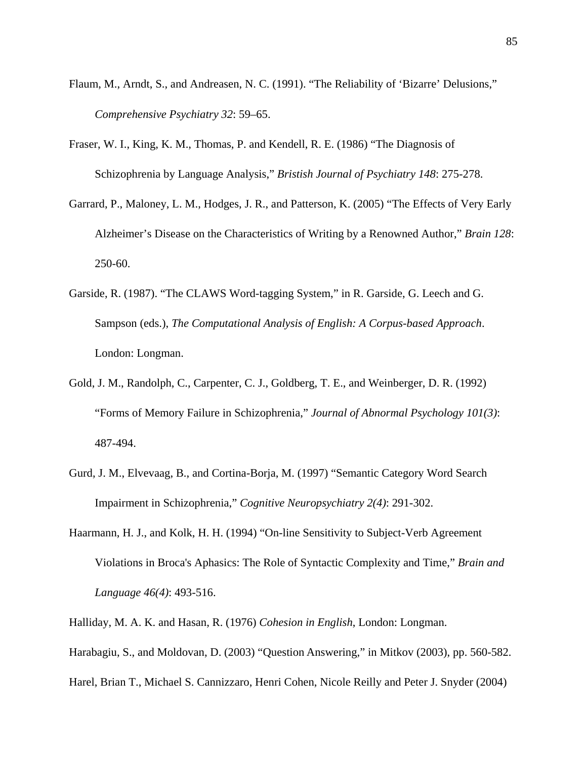- Flaum, M., Arndt, S., and Andreasen, N. C. (1991). "The Reliability of 'Bizarre' Delusions," *Comprehensive Psychiatry 32*: 59–65.
- Fraser, W. I., King, K. M., Thomas, P. and Kendell, R. E. (1986) "The Diagnosis of Schizophrenia by Language Analysis," *Bristish Journal of Psychiatry 148*: 275-278.
- Garrard, P., Maloney, L. M., Hodges, J. R., and Patterson, K. (2005) "The Effects of Very Early Alzheimer's Disease on the Characteristics of Writing by a Renowned Author," *Brain 128*: 250-60.
- Garside, R. (1987). "The CLAWS Word-tagging System," in R. Garside, G. Leech and G. Sampson (eds.), *The Computational Analysis of English: A Corpus-based Approach*. London: Longman.
- Gold, J. M., Randolph, C., Carpenter, C. J., Goldberg, T. E., and Weinberger, D. R. (1992) "Forms of Memory Failure in Schizophrenia," *Journal of Abnormal Psychology 101(3)*: 487-494.
- Gurd, J. M., Elvevaag, B., and Cortina-Borja, M. (1997) "Semantic Category Word Search Impairment in Schizophrenia," *Cognitive Neuropsychiatry 2(4)*: 291-302.
- Haarmann, H. J., and Kolk, H. H. (1994) "On-line Sensitivity to Subject-Verb Agreement Violations in Broca's Aphasics: The Role of Syntactic Complexity and Time," *Brain and Language 46(4)*: 493-516.
- Halliday, M. A. K. and Hasan, R. (1976) *Cohesion in English*, London: Longman.
- Harabagiu, S., and Moldovan, D. (2003) "Question Answering," in Mitkov (2003), pp. 560-582.
- Harel, Brian T., Michael S. Cannizzaro, Henri Cohen, Nicole Reilly and Peter J. Snyder (2004)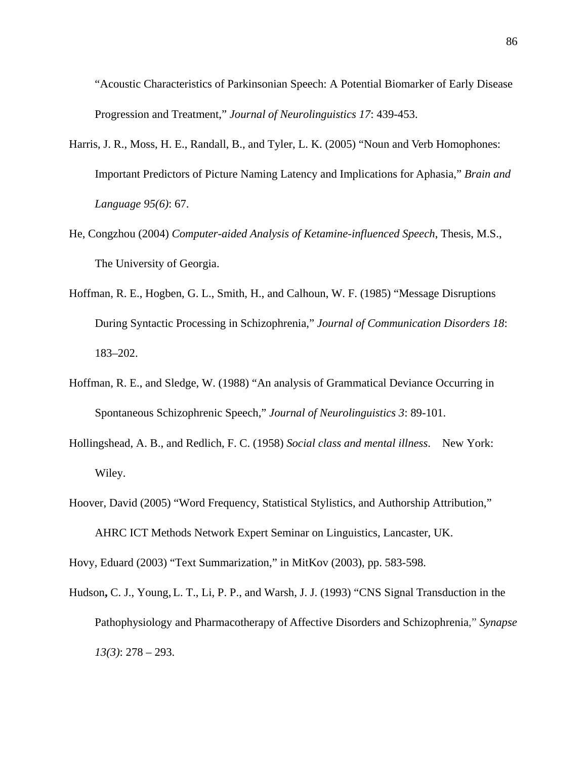"Acoustic Characteristics of Parkinsonian Speech: A Potential Biomarker of Early Disease Progression and Treatment," *Journal of Neurolinguistics 17*: 439-453.

- Harris, J. R., Moss, H. E., Randall, B., and Tyler, L. K. (2005) "Noun and Verb Homophones: Important Predictors of Picture Naming Latency and Implications for Aphasia," *Brain and Language 95(6)*: 67.
- He, Congzhou (2004) *Computer-aided Analysis of Ketamine-influenced Speech*, Thesis, M.S., The University of Georgia.
- Hoffman, R. E., Hogben, G. L., Smith, H., and Calhoun, W. F. (1985) "Message Disruptions During Syntactic Processing in Schizophrenia," *Journal of Communication Disorders 18*: 183–202.
- Hoffman, R. E., and Sledge, W. (1988) "An analysis of Grammatical Deviance Occurring in Spontaneous Schizophrenic Speech," *Journal of Neurolinguistics 3*: 89-101.
- Hollingshead, A. B., and Redlich, F. C. (1958) *Social class and mental illness*. New York: Wiley.
- Hoover, David (2005) "Word Frequency, Statistical Stylistics, and Authorship Attribution," AHRC ICT Methods Network Expert Seminar on Linguistics, Lancaster, UK.

Hovy, Eduard (2003) "Text Summarization," in MitKov (2003), pp. 583-598.

Hudson**,** C. J., Young, L. T., Li, P. P., and Warsh, J. J. (1993) "CNS Signal Transduction in the Pathophysiology and Pharmacotherapy of Affective Disorders and Schizophrenia," *Synapse 13(3)*: 278 – 293.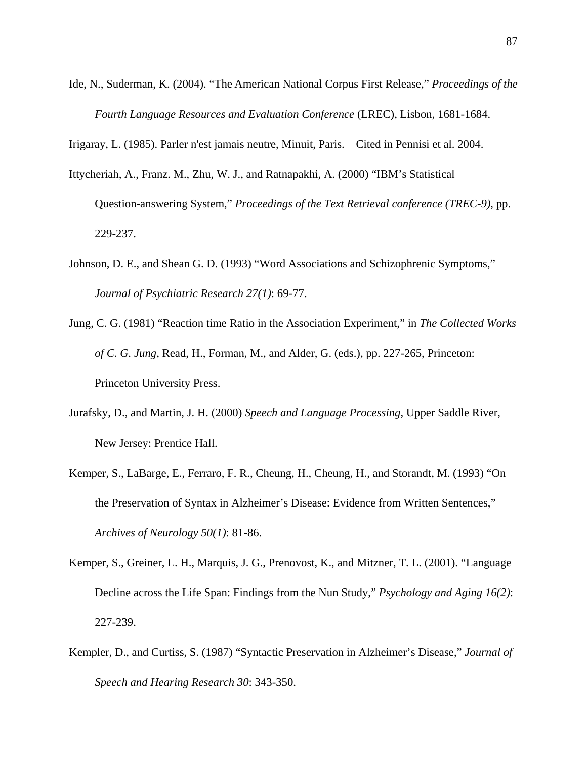Ide, N., Suderman, K. (2004). "The American National Corpus First Release," *Proceedings of the Fourth Language Resources and Evaluation Conference* (LREC), Lisbon, 1681-1684.

Irigaray, L. (1985). Parler n'est jamais neutre, Minuit, Paris. Cited in Pennisi et al. 2004.

- Ittycheriah, A., Franz. M., Zhu, W. J., and Ratnapakhi, A. (2000) "IBM's Statistical Question-answering System," *Proceedings of the Text Retrieval conference (TREC-9)*, pp. 229-237.
- Johnson, D. E., and Shean G. D. (1993) "Word Associations and Schizophrenic Symptoms," *Journal of Psychiatric Research 27(1)*: 69-77.
- Jung, C. G. (1981) "Reaction time Ratio in the Association Experiment," in *The Collected Works of C. G. Jung*, Read, H., Forman, M., and Alder, G. (eds.), pp. 227-265, Princeton: Princeton University Press.
- Jurafsky, D., and Martin, J. H. (2000) *Speech and Language Processing*, Upper Saddle River, New Jersey: Prentice Hall.
- Kemper, S., LaBarge, E., Ferraro, F. R., Cheung, H., Cheung, H., and Storandt, M. (1993) "On the Preservation of Syntax in Alzheimer's Disease: Evidence from Written Sentences," *Archives of Neurology 50(1)*: 81-86.
- Kemper, S., Greiner, L. H., Marquis, J. G., Prenovost, K., and Mitzner, T. L. (2001). "Language Decline across the Life Span: Findings from the Nun Study," *Psychology and Aging 16(2)*: 227-239.
- Kempler, D., and Curtiss, S. (1987) "Syntactic Preservation in Alzheimer's Disease," *Journal of Speech and Hearing Research 30*: 343-350.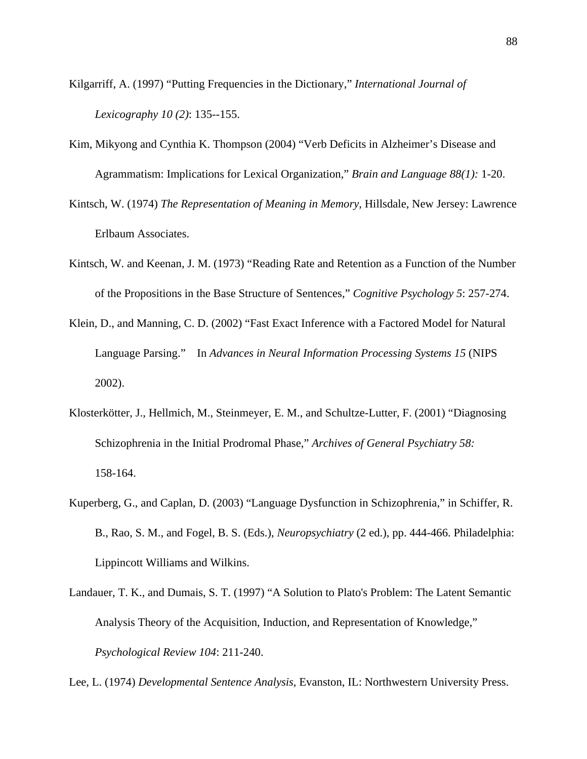Kilgarriff, A. (1997) "Putting Frequencies in the Dictionary," *International Journal of Lexicography 10 (2)*: 135--155.

- Kim, Mikyong and Cynthia K. Thompson (2004) "Verb Deficits in Alzheimer's Disease and Agrammatism: Implications for Lexical Organization," *Brain and Language 88(1):* 1-20.
- Kintsch, W. (1974) *The Representation of Meaning in Memory*, Hillsdale, New Jersey: Lawrence Erlbaum Associates.
- Kintsch, W. and Keenan, J. M. (1973) "Reading Rate and Retention as a Function of the Number of the Propositions in the Base Structure of Sentences," *Cognitive Psychology 5*: 257-274.
- Klein, D., and Manning, C. D. (2002) "Fast Exact Inference with a Factored Model for Natural Language Parsing." In *Advances in Neural Information Processing Systems 15* (NIPS 2002).
- Klosterkötter, J., Hellmich, M., Steinmeyer, E. M., and Schultze-Lutter, F. (2001) "Diagnosing Schizophrenia in the Initial Prodromal Phase," *Archives of General Psychiatry 58:*  158-164.
- Kuperberg, G., and Caplan, D. (2003) "Language Dysfunction in Schizophrenia," in Schiffer, R. B., Rao, S. M., and Fogel, B. S. (Eds.), *Neuropsychiatry* (2 ed.), pp. 444-466. Philadelphia: Lippincott Williams and Wilkins.
- Landauer, T. K., and Dumais, S. T. (1997) "A Solution to Plato's Problem: The Latent Semantic Analysis Theory of the Acquisition, Induction, and Representation of Knowledge," *Psychological Review 104*: 211-240.

Lee, L. (1974) *Developmental Sentence Analysis*, Evanston, IL: Northwestern University Press.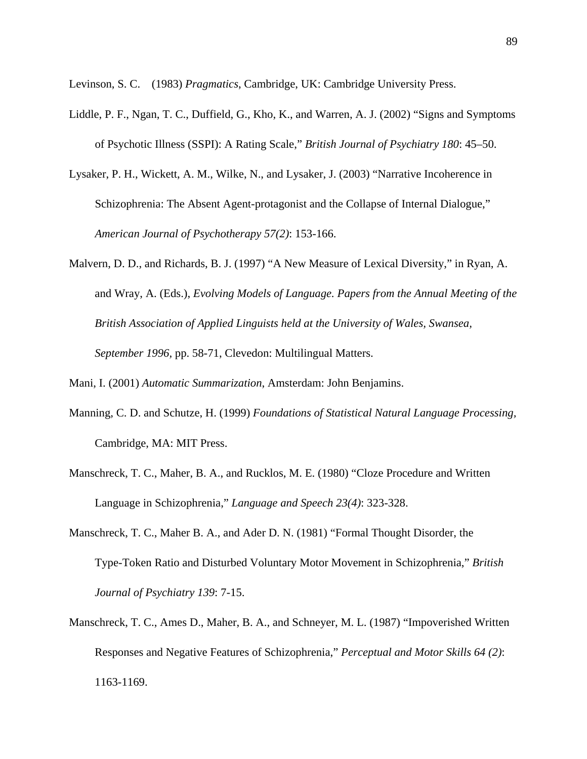Levinson, S. C. (1983) *Pragmatics*, Cambridge, UK: Cambridge University Press.

- Liddle, P. F., Ngan, T. C., Duffield, G., Kho, K., and Warren, A. J. (2002) "Signs and Symptoms of Psychotic Illness (SSPI): A Rating Scale," *British Journal of Psychiatry 180*: 45–50.
- Lysaker, P. H., Wickett, A. M., Wilke, N., and Lysaker, J. (2003) "Narrative Incoherence in Schizophrenia: The Absent Agent-protagonist and the Collapse of Internal Dialogue," *American Journal of Psychotherapy 57(2)*: 153-166.
- Malvern, D. D., and Richards, B. J. (1997) "A New Measure of Lexical Diversity," in Ryan, A. and Wray, A. (Eds.), *Evolving Models of Language. Papers from the Annual Meeting of the British Association of Applied Linguists held at the University of Wales, Swansea, September 1996,* pp. 58-71, Clevedon: Multilingual Matters.

Mani, I. (2001) *Automatic Summarization*, Amsterdam: John Benjamins.

- Manning, C. D. and Schutze, H. (1999) *Foundations of Statistical Natural Language Processing,* Cambridge, MA: MIT Press.
- Manschreck, T. C., Maher, B. A., and Rucklos, M. E. (1980) "Cloze Procedure and Written Language in Schizophrenia," *Language and Speech 23(4)*: 323-328.
- Manschreck, T. C., Maher B. A., and Ader D. N. (1981) "Formal Thought Disorder, the Type-Token Ratio and Disturbed Voluntary Motor Movement in Schizophrenia," *British Journal of Psychiatry 139*: 7-15.
- Manschreck, T. C., Ames D., Maher, B. A., and Schneyer, M. L. (1987) "Impoverished Written Responses and Negative Features of Schizophrenia," *Perceptual and Motor Skills 64 (2)*: 1163-1169.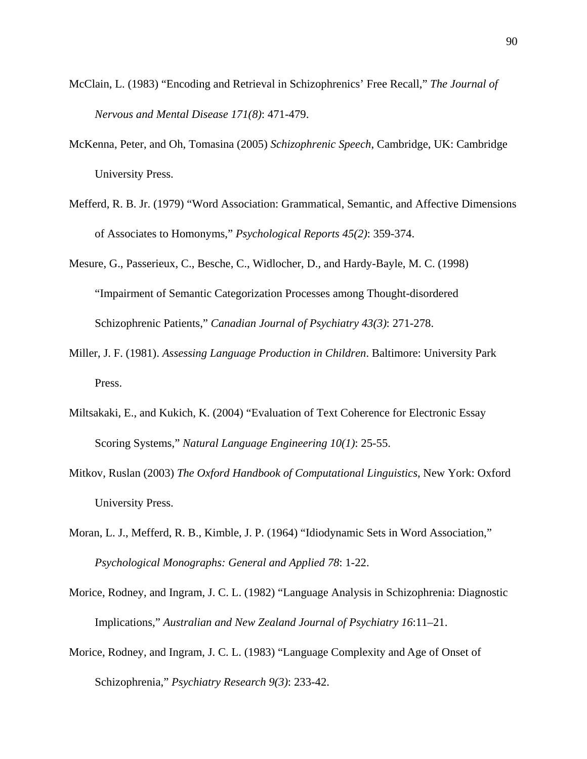- McClain, L. (1983) "Encoding and Retrieval in Schizophrenics' Free Recall," *The Journal of Nervous and Mental Disease 171(8)*: 471-479.
- McKenna, Peter, and Oh, Tomasina (2005) *Schizophrenic Speech*, Cambridge, UK: Cambridge University Press.
- Mefferd, R. B. Jr. (1979) "Word Association: Grammatical, Semantic, and Affective Dimensions of Associates to Homonyms," *Psychological Reports 45(2)*: 359-374.
- Mesure, G., Passerieux, C., Besche, C., Widlocher, D., and Hardy-Bayle, M. C. (1998) "Impairment of Semantic Categorization Processes among Thought-disordered Schizophrenic Patients," *Canadian Journal of Psychiatry 43(3)*: 271-278.
- Miller, J. F. (1981). *Assessing Language Production in Children*. Baltimore: University Park Press.
- Miltsakaki, E., and Kukich, K. (2004) "Evaluation of Text Coherence for Electronic Essay Scoring Systems," *Natural Language Engineering 10(1)*: 25-55.
- Mitkov, Ruslan (2003) *The Oxford Handbook of Computational Linguistics*, New York: Oxford University Press.
- Moran, L. J., Mefferd, R. B., Kimble, J. P. (1964) "Idiodynamic Sets in Word Association," *Psychological Monographs: General and Applied 78*: 1-22.
- Morice, Rodney, and Ingram, J. C. L. (1982) "Language Analysis in Schizophrenia: Diagnostic Implications," *Australian and New Zealand Journal of Psychiatry 16*:11–21.
- Morice, Rodney, and Ingram, J. C. L. (1983) "Language Complexity and Age of Onset of Schizophrenia," *Psychiatry Research 9(3)*: 233-42.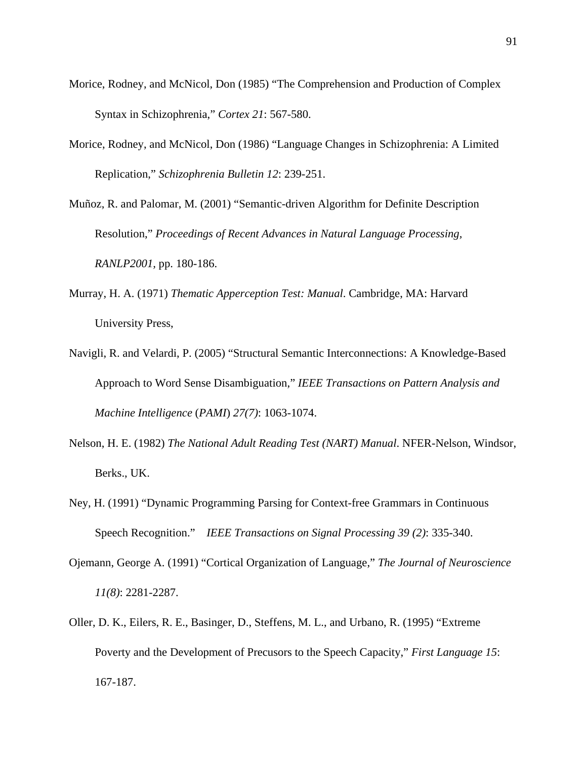- Morice, Rodney, and McNicol, Don (1985) "The Comprehension and Production of Complex Syntax in Schizophrenia," *Cortex 21*: 567-580.
- Morice, Rodney, and McNicol, Don (1986) "Language Changes in Schizophrenia: A Limited Replication," *Schizophrenia Bulletin 12*: 239-251.

Muñoz, R. and Palomar, M. (2001) "Semantic-driven Algorithm for Definite Description Resolution," *Proceedings of Recent Advances in Natural Language Processing, RANLP2001,* pp. 180-186.

- Murray, H. A. (1971) *Thematic Apperception Test: Manual*. Cambridge, MA: Harvard University Press,
- Navigli, R. and Velardi, P. (2005) "Structural Semantic Interconnections: A Knowledge-Based Approach to Word Sense Disambiguation," *IEEE Transactions on Pattern Analysis and Machine Intelligence* (*PAMI*) *27(7)*: 1063-1074.
- Nelson, H. E. (1982) *The National Adult Reading Test (NART) Manual*. NFER-Nelson, Windsor, Berks., UK.
- Ney, H. (1991) "Dynamic Programming Parsing for Context-free Grammars in Continuous Speech Recognition." *IEEE Transactions on Signal Processing 39 (2)*: 335-340.
- Ojemann, George A. (1991) "Cortical Organization of Language," *The Journal of Neuroscience 11(8)*: 2281-2287.
- Oller, D. K., Eilers, R. E., Basinger, D., Steffens, M. L., and Urbano, R. (1995) "Extreme Poverty and the Development of Precusors to the Speech Capacity," *First Language 15*: 167-187.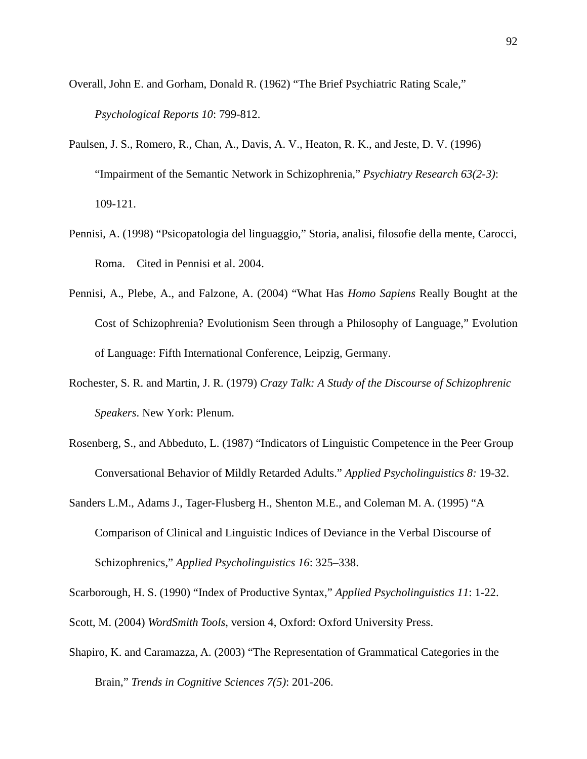- Overall, John E. and Gorham, Donald R. (1962) "The Brief Psychiatric Rating Scale," *Psychological Reports 10*: 799-812.
- Paulsen, J. S., Romero, R., Chan, A., Davis, A. V., Heaton, R. K., and Jeste, D. V. (1996) "Impairment of the Semantic Network in Schizophrenia," *Psychiatry Research 63(2-3)*: 109-121.
- Pennisi, A. (1998) "Psicopatologia del linguaggio," Storia, analisi, filosofie della mente, Carocci, Roma. Cited in Pennisi et al. 2004.
- Pennisi, A., Plebe, A., and Falzone, A. (2004) "What Has *Homo Sapiens* Really Bought at the Cost of Schizophrenia? Evolutionism Seen through a Philosophy of Language," Evolution of Language: Fifth International Conference, Leipzig, Germany.
- Rochester, S. R. and Martin, J. R. (1979) *Crazy Talk: A Study of the Discourse of Schizophrenic Speakers*. New York: Plenum.
- Rosenberg, S., and Abbeduto, L. (1987) "Indicators of Linguistic Competence in the Peer Group Conversational Behavior of Mildly Retarded Adults." *Applied Psycholinguistics 8:* 19-32.
- Sanders L.M., Adams J., Tager-Flusberg H., Shenton M.E., and Coleman M. A. (1995) "A Comparison of Clinical and Linguistic Indices of Deviance in the Verbal Discourse of Schizophrenics," *Applied Psycholinguistics 16*: 325–338.

Scarborough, H. S. (1990) "Index of Productive Syntax," *Applied Psycholinguistics 11*: 1-22.

- Scott, M. (2004) *WordSmith Tools*, version 4, Oxford: Oxford University Press.
- Shapiro, K. and Caramazza, A. (2003) "The Representation of Grammatical Categories in the Brain," *Trends in Cognitive Sciences 7(5)*: 201-206.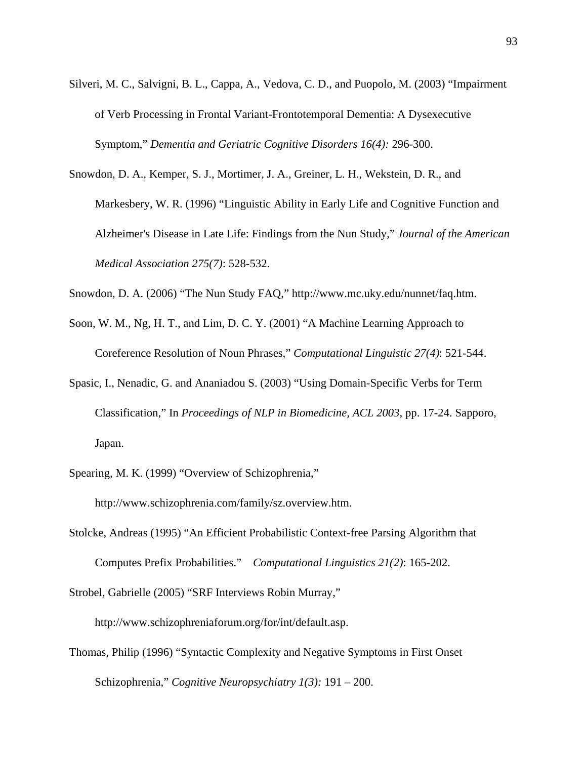- Silveri, M. C., Salvigni, B. L., Cappa, A., Vedova, C. D., and Puopolo, M. (2003) "Impairment of Verb Processing in Frontal Variant-Frontotemporal Dementia: A Dysexecutive Symptom," *Dementia and Geriatric Cognitive Disorders 16(4):* 296-300.
- Snowdon, D. A., Kemper, S. J., Mortimer, J. A., Greiner, L. H., Wekstein, D. R., and Markesbery, W. R. (1996) "Linguistic Ability in Early Life and Cognitive Function and Alzheimer's Disease in Late Life: Findings from the Nun Study," *Journal of the American Medical Association 275(7)*: 528-532.
- Snowdon, D. A. (2006) "The Nun Study FAQ," http://www.mc.uky.edu/nunnet/faq.htm.
- Soon, W. M., Ng, H. T., and Lim, D. C. Y. (2001) "A Machine Learning Approach to Coreference Resolution of Noun Phrases," *Computational Linguistic 27(4)*: 521-544.
- Spasic, I., Nenadic, G. and Ananiadou S. (2003) "Using Domain-Specific Verbs for Term Classification," In *Proceedings of NLP in Biomedicine, ACL 2003*, pp. 17-24. Sapporo, Japan.
- Spearing, M. K. (1999) "Overview of Schizophrenia,"

http://www.schizophrenia.com/family/sz.overview.htm.

Stolcke, Andreas (1995) "An Efficient Probabilistic Context-free Parsing Algorithm that Computes Prefix Probabilities." *Computational Linguistics 21(2)*: 165-202.

Strobel, Gabrielle (2005) "SRF Interviews Robin Murray,"

http://www.schizophreniaforum.org/for/int/default.asp.

Thomas, Philip (1996) "Syntactic Complexity and Negative Symptoms in First Onset Schizophrenia," *Cognitive Neuropsychiatry 1(3):* 191 – 200.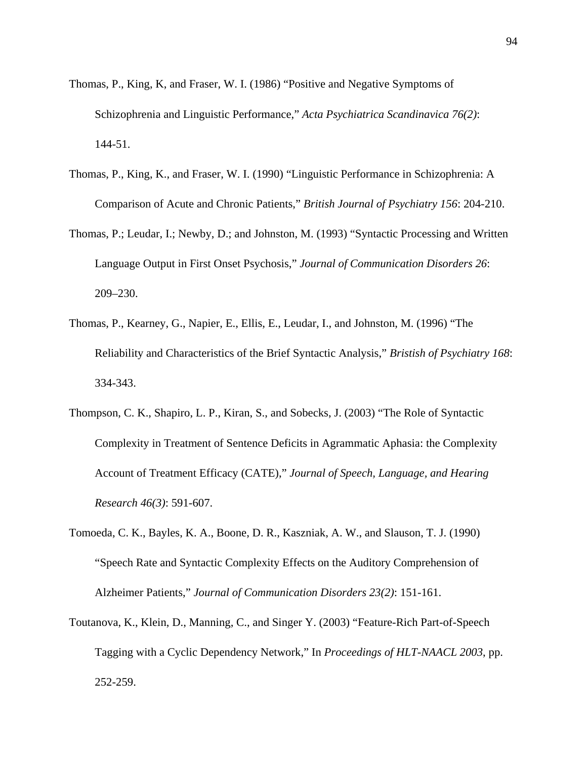- Thomas, P., King, K, and Fraser, W. I. (1986) "Positive and Negative Symptoms of Schizophrenia and Linguistic Performance," *Acta Psychiatrica Scandinavica 76(2)*: 144-51.
- Thomas, P., King, K., and Fraser, W. I. (1990) "Linguistic Performance in Schizophrenia: A Comparison of Acute and Chronic Patients," *British Journal of Psychiatry 156*: 204-210.
- Thomas, P.; Leudar, I.; Newby, D.; and Johnston, M. (1993) "Syntactic Processing and Written Language Output in First Onset Psychosis," *Journal of Communication Disorders 26*: 209–230.
- Thomas, P., Kearney, G., Napier, E., Ellis, E., Leudar, I., and Johnston, M. (1996) "The Reliability and Characteristics of the Brief Syntactic Analysis," *Bristish of Psychiatry 168*: 334-343.
- Thompson, C. K., Shapiro, L. P., Kiran, S., and Sobecks, J. (2003) "The Role of Syntactic Complexity in Treatment of Sentence Deficits in Agrammatic Aphasia: the Complexity Account of Treatment Efficacy (CATE)," *Journal of Speech, Language, and Hearing Research 46(3)*: 591-607.
- Tomoeda, C. K., Bayles, K. A., Boone, D. R., Kaszniak, A. W., and Slauson, T. J. (1990) "Speech Rate and Syntactic Complexity Effects on the Auditory Comprehension of Alzheimer Patients," *Journal of Communication Disorders 23(2)*: 151-161.
- Toutanova, K., Klein, D., Manning, C., and Singer Y. (2003) "Feature-Rich Part-of-Speech Tagging with a Cyclic Dependency Network," In *Proceedings of HLT-NAACL 2003*, pp. 252-259.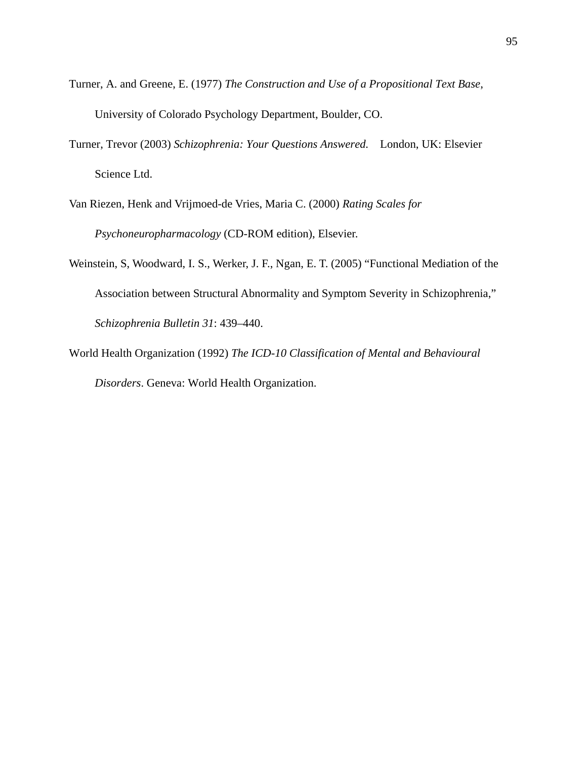- Turner, A. and Greene, E. (1977) *The Construction and Use of a Propositional Text Base*, University of Colorado Psychology Department, Boulder, CO.
- Turner, Trevor (2003) *Schizophrenia: Your Questions Answered.* London, UK: Elsevier Science Ltd.
- Van Riezen, Henk and Vrijmoed-de Vries, Maria C. (2000) *Rating Scales for Psychoneuropharmacology* (CD-ROM edition), Elsevier.
- Weinstein, S, Woodward, I. S., Werker, J. F., Ngan, E. T. (2005) "Functional Mediation of the Association between Structural Abnormality and Symptom Severity in Schizophrenia," *Schizophrenia Bulletin 31*: 439–440.
- World Health Organization (1992) *The ICD-10 Classification of Mental and Behavioural Disorders*. Geneva: World Health Organization.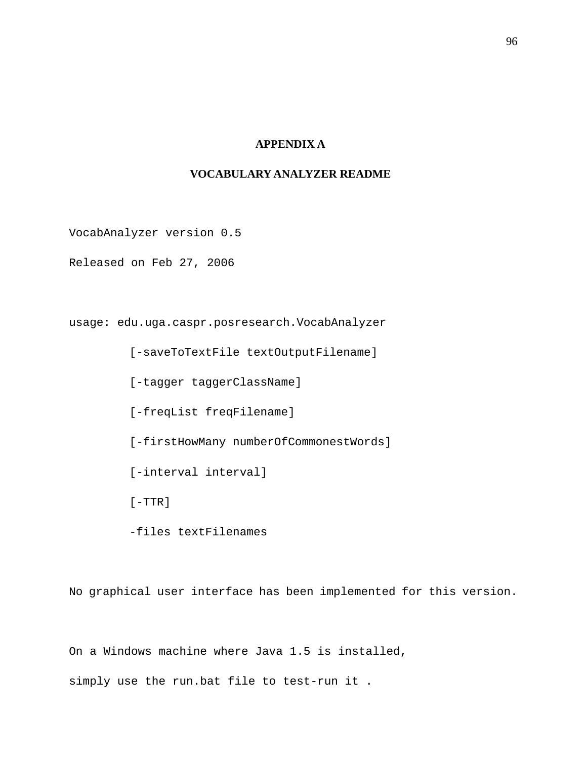# **APPENDIX A**

# **VOCABULARY ANALYZER README**

VocabAnalyzer version 0.5

Released on Feb 27, 2006

usage: edu.uga.caspr.posresearch.VocabAnalyzer

 [-saveToTextFile textOutputFilename] [-tagger taggerClassName] [-freqList freqFilename] [-firstHowMany numberOfCommonestWords] [-interval interval]  $[-TTR]$ -files textFilenames

No graphical user interface has been implemented for this version.

On a Windows machine where Java 1.5 is installed,

simply use the run.bat file to test-run it .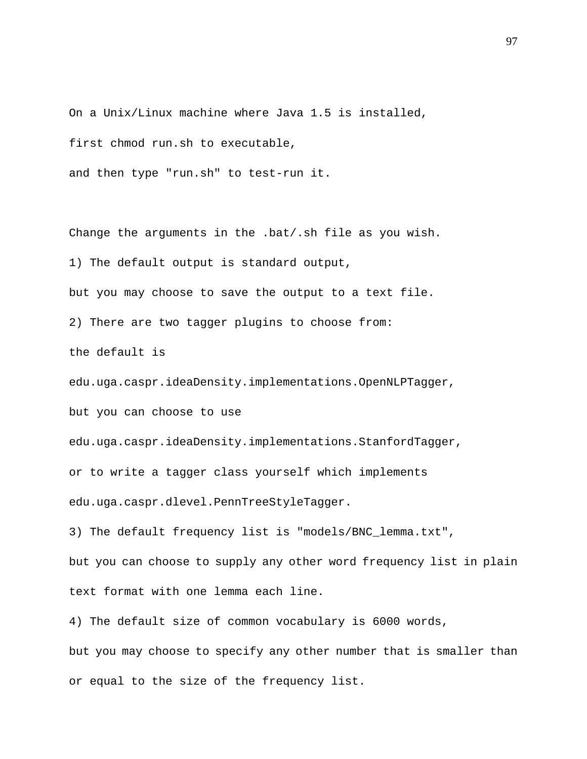On a Unix/Linux machine where Java 1.5 is installed, first chmod run.sh to executable,

and then type "run.sh" to test-run it.

Change the arguments in the .bat/.sh file as you wish.

1) The default output is standard output,

but you may choose to save the output to a text file.

2) There are two tagger plugins to choose from:

the default is

edu.uga.caspr.ideaDensity.implementations.OpenNLPTagger,

but you can choose to use

edu.uga.caspr.ideaDensity.implementations.StanfordTagger,

or to write a tagger class yourself which implements

edu.uga.caspr.dlevel.PennTreeStyleTagger.

3) The default frequency list is "models/BNC\_lemma.txt",

but you can choose to supply any other word frequency list in plain text format with one lemma each line.

4) The default size of common vocabulary is 6000 words,

but you may choose to specify any other number that is smaller than or equal to the size of the frequency list.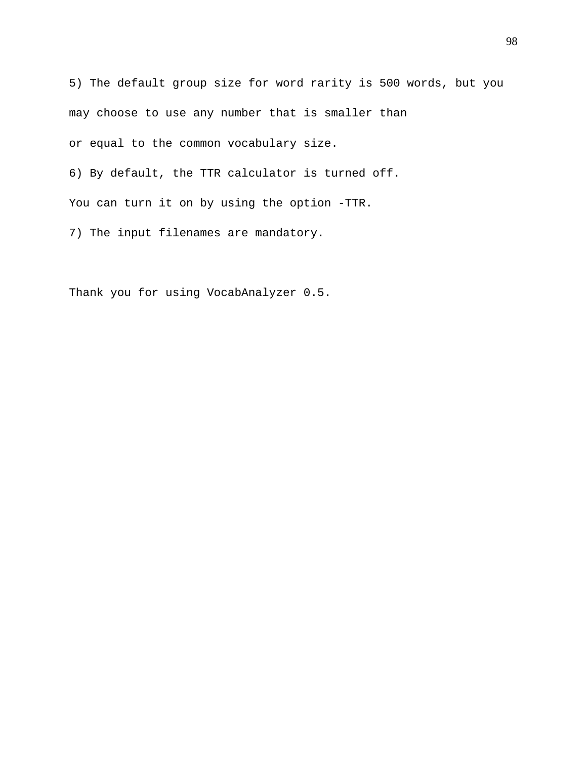5) The default group size for word rarity is 500 words, but you may choose to use any number that is smaller than or equal to the common vocabulary size.

6) By default, the TTR calculator is turned off.

You can turn it on by using the option -TTR.

7) The input filenames are mandatory.

Thank you for using VocabAnalyzer 0.5.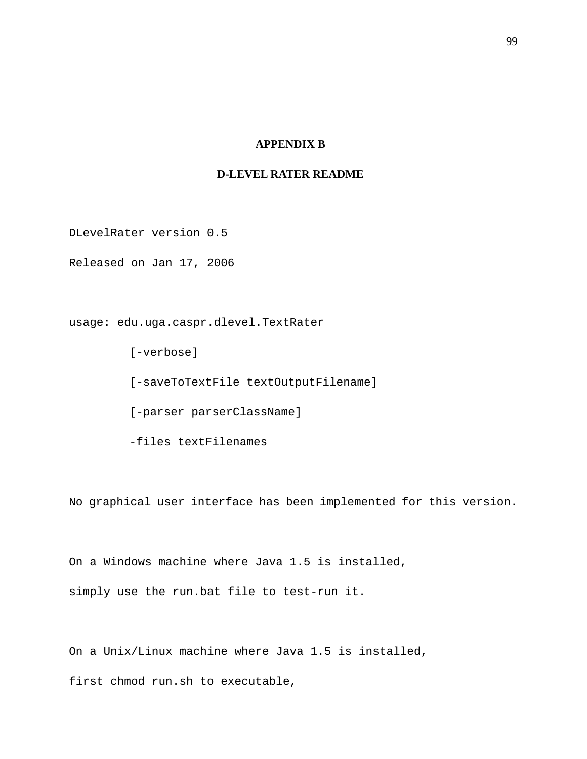## **APPENDIX B**

## **D-LEVEL RATER README**

DLevelRater version 0.5

Released on Jan 17, 2006

usage: edu.uga.caspr.dlevel.TextRater

[-verbose] [-saveToTextFile textOutputFilename] [-parser parserClassName] -files textFilenames

No graphical user interface has been implemented for this version.

On a Windows machine where Java 1.5 is installed, simply use the run.bat file to test-run it.

On a Unix/Linux machine where Java 1.5 is installed,

first chmod run.sh to executable,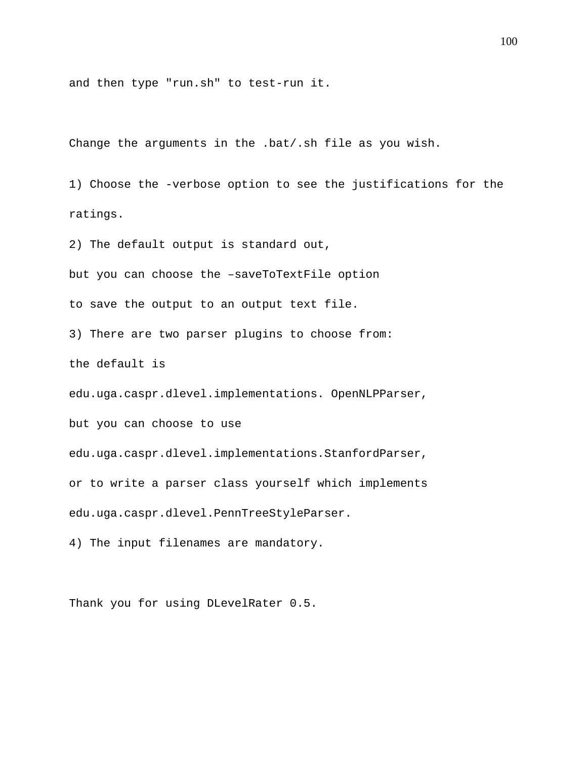and then type "run.sh" to test-run it.

Change the arguments in the .bat/.sh file as you wish.

1) Choose the -verbose option to see the justifications for the ratings.

2) The default output is standard out,

but you can choose the –saveToTextFile option

to save the output to an output text file.

3) There are two parser plugins to choose from:

the default is

edu.uga.caspr.dlevel.implementations. OpenNLPParser,

but you can choose to use

edu.uga.caspr.dlevel.implementations.StanfordParser,

or to write a parser class yourself which implements

edu.uga.caspr.dlevel.PennTreeStyleParser.

4) The input filenames are mandatory.

Thank you for using DLevelRater 0.5.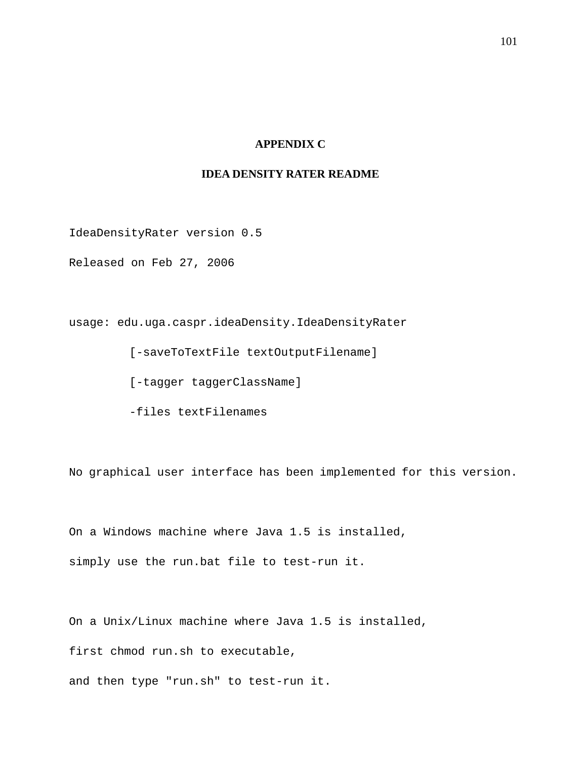## **APPENDIX C**

## **IDEA DENSITY RATER README**

IdeaDensityRater version 0.5

Released on Feb 27, 2006

usage: edu.uga.caspr.ideaDensity.IdeaDensityRater

[-saveToTextFile textOutputFilename]

[-tagger taggerClassName]

-files textFilenames

No graphical user interface has been implemented for this version.

On a Windows machine where Java 1.5 is installed, simply use the run.bat file to test-run it.

On a Unix/Linux machine where Java 1.5 is installed,

first chmod run.sh to executable,

and then type "run.sh" to test-run it.